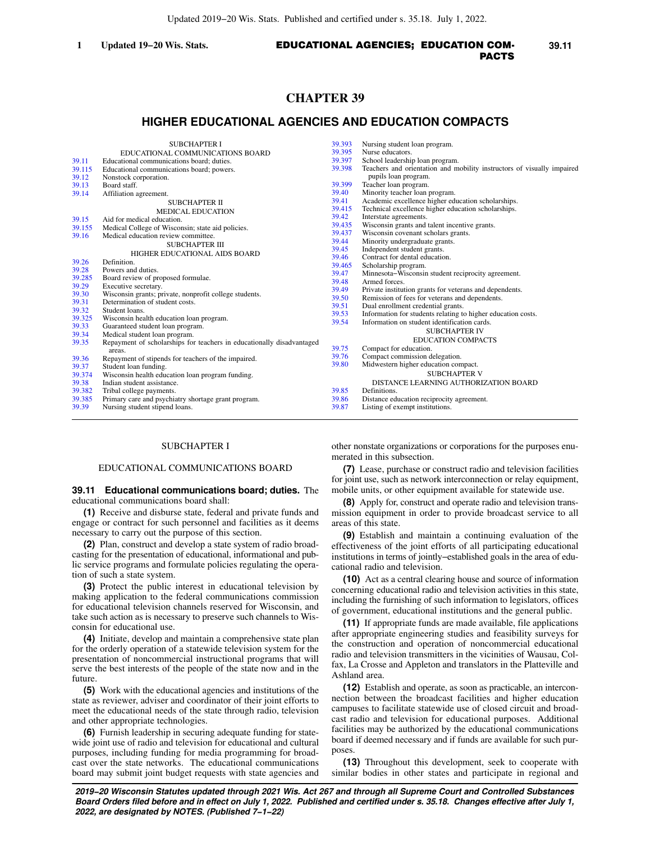# **CHAPTER 39**

# **HIGHER EDUCATIONAL AGENCIES AND EDUCATION COMPACTS**

|        | <b>SUBCHAPTER I</b>                                                   | 39.393 | Nursing student loan program.                                          |
|--------|-----------------------------------------------------------------------|--------|------------------------------------------------------------------------|
|        | EDUCATIONAL COMMUNICATIONS BOARD                                      | 39.395 | Nurse educators.                                                       |
| 39.11  | Educational communications board; duties.                             | 39.397 | School leadership loan program.                                        |
| 39.115 | Educational communications board; powers.                             | 39.398 | Teachers and orientation and mobility instructors of visually impaired |
| 39.12  | Nonstock corporation.                                                 |        | pupils loan program.                                                   |
| 39.13  | Board staff.                                                          | 39.399 | Teacher loan program.                                                  |
| 39.14  | Affiliation agreement.                                                | 39.40  | Minority teacher loan program.                                         |
|        | <b>SUBCHAPTER II</b>                                                  | 39.41  | Academic excellence higher education scholarships.                     |
|        | <b>MEDICAL EDUCATION</b>                                              | 39.415 | Technical excellence higher education scholarships.                    |
| 39.15  | Aid for medical education.                                            | 39.42  | Interstate agreements.                                                 |
| 39.155 | Medical College of Wisconsin; state aid policies.                     | 39.435 | Wisconsin grants and talent incentive grants.                          |
| 39.16  | Medical education review committee.                                   | 39.437 | Wisconsin covenant scholars grants.                                    |
|        | <b>SUBCHAPTER III</b>                                                 | 39.44  | Minority undergraduate grants.                                         |
|        | HIGHER EDUCATIONAL AIDS BOARD                                         | 39.45  | Independent student grants.                                            |
| 39.26  | Definition.                                                           | 39.46  | Contract for dental education.                                         |
| 39.28  | Powers and duties.                                                    | 39.465 | Scholarship program.                                                   |
| 39.285 | Board review of proposed formulae.                                    | 39.47  | Minnesota–Wisconsin student reciprocity agreement.                     |
| 39.29  | Executive secretary.                                                  | 39.48  | Armed forces.                                                          |
| 39.30  | Wisconsin grants; private, nonprofit college students.                | 39.49  | Private institution grants for veterans and dependents.                |
| 39.31  | Determination of student costs.                                       | 39.50  | Remission of fees for veterans and dependents.                         |
| 39.32  | Student loans.                                                        | 39.51  | Dual enrollment credential grants.                                     |
| 39.325 | Wisconsin health education loan program.                              | 39.53  | Information for students relating to higher education costs.           |
| 39.33  | Guaranteed student loan program.                                      | 39.54  | Information on student identification cards.                           |
| 39.34  | Medical student loan program.                                         |        | <b>SUBCHAPTER IV</b>                                                   |
| 39.35  | Repayment of scholarships for teachers in educationally disadvantaged |        | <b>EDUCATION COMPACTS</b>                                              |
|        | areas.                                                                | 39.75  | Compact for education.                                                 |
| 39.36  | Repayment of stipends for teachers of the impaired.                   | 39.76  | Compact commission delegation.                                         |
| 39.37  | Student loan funding.                                                 | 39.80  | Midwestern higher education compact.                                   |
| 39.374 | Wisconsin health education loan program funding.                      |        | <b>SUBCHAPTER V</b>                                                    |
| 39.38  | Indian student assistance.                                            |        | DISTANCE LEARNING AUTHORIZATION BOARD                                  |
| 39.382 | Tribal college payments.                                              | 39.85  | Definitions.                                                           |
| 39.385 | Primary care and psychiatry shortage grant program.                   | 39.86  | Distance education reciprocity agreement.                              |
| 39.39  | Nursing student stipend loans.                                        | 39.87  | Listing of exempt institutions.                                        |
|        |                                                                       |        |                                                                        |

### SUBCHAPTER I

### EDUCATIONAL COMMUNICATIONS BOARD

### **39.11 Educational communications board; duties.** The educational communications board shall:

**(1)** Receive and disburse state, federal and private funds and engage or contract for such personnel and facilities as it deems necessary to carry out the purpose of this section.

**(2)** Plan, construct and develop a state system of radio broadcasting for the presentation of educational, informational and public service programs and formulate policies regulating the operation of such a state system.

**(3)** Protect the public interest in educational television by making application to the federal communications commission for educational television channels reserved for Wisconsin, and take such action as is necessary to preserve such channels to Wisconsin for educational use.

**(4)** Initiate, develop and maintain a comprehensive state plan for the orderly operation of a statewide television system for the presentation of noncommercial instructional programs that will serve the best interests of the people of the state now and in the future.

**(5)** Work with the educational agencies and institutions of the state as reviewer, adviser and coordinator of their joint efforts to meet the educational needs of the state through radio, television and other appropriate technologies.

**(6)** Furnish leadership in securing adequate funding for statewide joint use of radio and television for educational and cultural purposes, including funding for media programming for broadcast over the state networks. The educational communications board may submit joint budget requests with state agencies and other nonstate organizations or corporations for the purposes enumerated in this subsection.

**(7)** Lease, purchase or construct radio and television facilities for joint use, such as network interconnection or relay equipment, mobile units, or other equipment available for statewide use.

**(8)** Apply for, construct and operate radio and television transmission equipment in order to provide broadcast service to all areas of this state.

**(9)** Establish and maintain a continuing evaluation of the effectiveness of the joint efforts of all participating educational institutions in terms of jointly−established goals in the area of educational radio and television.

**(10)** Act as a central clearing house and source of information concerning educational radio and television activities in this state, including the furnishing of such information to legislators, offices of government, educational institutions and the general public.

**(11)** If appropriate funds are made available, file applications after appropriate engineering studies and feasibility surveys for the construction and operation of noncommercial educational radio and television transmitters in the vicinities of Wausau, Colfax, La Crosse and Appleton and translators in the Platteville and Ashland area.

**(12)** Establish and operate, as soon as practicable, an interconnection between the broadcast facilities and higher education campuses to facilitate statewide use of closed circuit and broadcast radio and television for educational purposes. Additional facilities may be authorized by the educational communications board if deemed necessary and if funds are available for such purposes.

**(13)** Throughout this development, seek to cooperate with similar bodies in other states and participate in regional and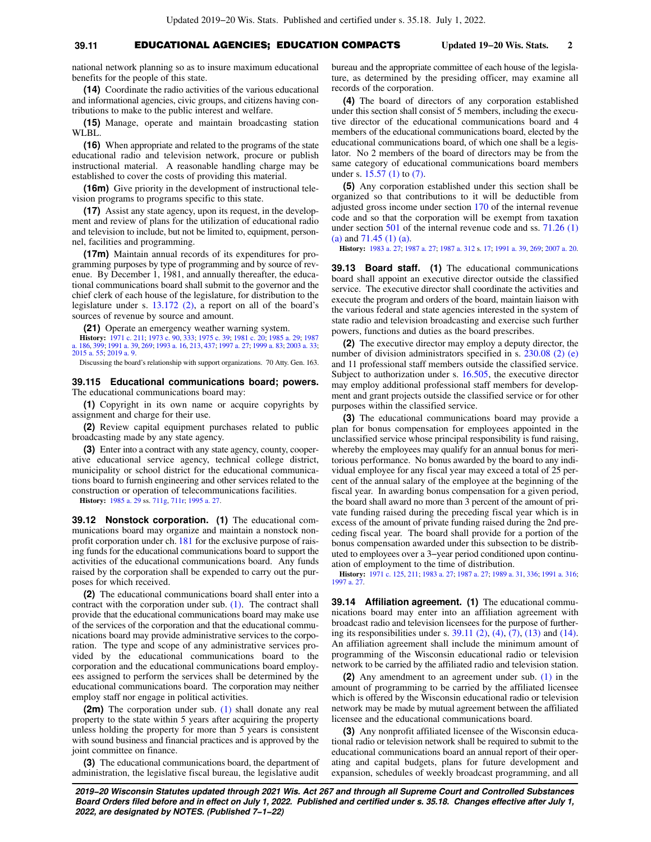# **39.11** EDUCATIONAL AGENCIES; EDUCATION COMPACTS **Updated 19−20 Wis. Stats. 2**

national network planning so as to insure maximum educational benefits for the people of this state.

**(14)** Coordinate the radio activities of the various educational and informational agencies, civic groups, and citizens having contributions to make to the public interest and welfare.

**(15)** Manage, operate and maintain broadcasting station WLBL.

**(16)** When appropriate and related to the programs of the state educational radio and television network, procure or publish instructional material. A reasonable handling charge may be established to cover the costs of providing this material.

**(16m)** Give priority in the development of instructional television programs to programs specific to this state.

**(17)** Assist any state agency, upon its request, in the development and review of plans for the utilization of educational radio and television to include, but not be limited to, equipment, personnel, facilities and programming.

**(17m)** Maintain annual records of its expenditures for programming purposes by type of programming and by source of revenue. By December 1, 1981, and annually thereafter, the educational communications board shall submit to the governor and the chief clerk of each house of the legislature, for distribution to the legislature under s. [13.172 \(2\)](https://docs.legis.wisconsin.gov/document/statutes/13.172(2)), a report on all of the board's sources of revenue by source and amount.

**(21)** Operate an emergency weather warning system.

**History:** [1971 c. 211;](https://docs.legis.wisconsin.gov/document/acts/1971/211) [1973 c. 90](https://docs.legis.wisconsin.gov/document/acts/1973/90), [333](https://docs.legis.wisconsin.gov/document/acts/1973/333); [1975 c. 39](https://docs.legis.wisconsin.gov/document/acts/1975/39); [1981 c. 20](https://docs.legis.wisconsin.gov/document/acts/1981/20); [1985 a. 29](https://docs.legis.wisconsin.gov/document/acts/1985/29); [1987](https://docs.legis.wisconsin.gov/document/acts/1987/186) [a. 186](https://docs.legis.wisconsin.gov/document/acts/1987/186), [399](https://docs.legis.wisconsin.gov/document/acts/1987/399); [1991 a. 39,](https://docs.legis.wisconsin.gov/document/acts/1991/39) [269](https://docs.legis.wisconsin.gov/document/acts/1991/269); [1993 a. 16](https://docs.legis.wisconsin.gov/document/acts/1993/16), [213,](https://docs.legis.wisconsin.gov/document/acts/1993/213) [437;](https://docs.legis.wisconsin.gov/document/acts/1993/437) [1997 a. 27](https://docs.legis.wisconsin.gov/document/acts/1997/27); [1999 a. 83](https://docs.legis.wisconsin.gov/document/acts/1999/83); [2003 a. 33](https://docs.legis.wisconsin.gov/document/acts/2003/33); [2015 a. 55](https://docs.legis.wisconsin.gov/document/acts/2015/55); [2019 a. 9.](https://docs.legis.wisconsin.gov/document/acts/2019/9)

Discussing the board's relationship with support organizations. 70 Atty. Gen. 163.

**39.115 Educational communications board; powers.** The educational communications board may:

**(1)** Copyright in its own name or acquire copyrights by assignment and charge for their use.

**(2)** Review capital equipment purchases related to public broadcasting made by any state agency.

**(3)** Enter into a contract with any state agency, county, cooperative educational service agency, technical college district, municipality or school district for the educational communications board to furnish engineering and other services related to the construction or operation of telecommunications facilities.

**History:** [1985 a. 29](https://docs.legis.wisconsin.gov/document/acts/1985/29) ss. [711g](https://docs.legis.wisconsin.gov/document/acts/1985/29,%20s.%20711g), [711r](https://docs.legis.wisconsin.gov/document/acts/1985/29,%20s.%20711r); [1995 a. 27.](https://docs.legis.wisconsin.gov/document/acts/1995/27)

**39.12 Nonstock corporation. (1)** The educational communications board may organize and maintain a nonstock nonprofit corporation under ch. [181](https://docs.legis.wisconsin.gov/document/statutes/ch.%20181) for the exclusive purpose of raising funds for the educational communications board to support the activities of the educational communications board. Any funds raised by the corporation shall be expended to carry out the purposes for which received.

**(2)** The educational communications board shall enter into a contract with the corporation under sub. [\(1\)](https://docs.legis.wisconsin.gov/document/statutes/39.12(1)). The contract shall provide that the educational communications board may make use of the services of the corporation and that the educational communications board may provide administrative services to the corporation. The type and scope of any administrative services provided by the educational communications board to the corporation and the educational communications board employees assigned to perform the services shall be determined by the educational communications board. The corporation may neither employ staff nor engage in political activities.

**(2m)** The corporation under sub. [\(1\)](https://docs.legis.wisconsin.gov/document/statutes/39.12(1)) shall donate any real property to the state within 5 years after acquiring the property unless holding the property for more than 5 years is consistent with sound business and financial practices and is approved by the joint committee on finance.

**(3)** The educational communications board, the department of administration, the legislative fiscal bureau, the legislative audit bureau and the appropriate committee of each house of the legislature, as determined by the presiding officer, may examine all records of the corporation.

**(4)** The board of directors of any corporation established under this section shall consist of 5 members, including the executive director of the educational communications board and 4 members of the educational communications board, elected by the educational communications board, of which one shall be a legislator. No 2 members of the board of directors may be from the same category of educational communications board members under s. [15.57 \(1\)](https://docs.legis.wisconsin.gov/document/statutes/15.57(1)) to [\(7\)](https://docs.legis.wisconsin.gov/document/statutes/15.57(7)).

**(5)** Any corporation established under this section shall be organized so that contributions to it will be deductible from adjusted gross income under section [170](https://docs.legis.wisconsin.gov/document/usc/26%20USC%20170) of the internal revenue code and so that the corporation will be exempt from taxation under section [501](https://docs.legis.wisconsin.gov/document/usc/26%20USC%20501) of the internal revenue code and ss. [71.26 \(1\)](https://docs.legis.wisconsin.gov/document/statutes/71.26(1)(a)) [\(a\)](https://docs.legis.wisconsin.gov/document/statutes/71.26(1)(a)) and [71.45 \(1\) \(a\)](https://docs.legis.wisconsin.gov/document/statutes/71.45(1)(a)).

**History:** [1983 a. 27](https://docs.legis.wisconsin.gov/document/acts/1983/27); [1987 a. 27](https://docs.legis.wisconsin.gov/document/acts/1987/27); [1987 a. 312](https://docs.legis.wisconsin.gov/document/acts/1987/312) s. [17;](https://docs.legis.wisconsin.gov/document/acts/1987/312,%20s.%2017) [1991 a. 39](https://docs.legis.wisconsin.gov/document/acts/1991/39), [269](https://docs.legis.wisconsin.gov/document/acts/1991/269); [2007 a. 20](https://docs.legis.wisconsin.gov/document/acts/2007/20).

**39.13 Board staff. (1)** The educational communications board shall appoint an executive director outside the classified service. The executive director shall coordinate the activities and execute the program and orders of the board, maintain liaison with the various federal and state agencies interested in the system of state radio and television broadcasting and exercise such further powers, functions and duties as the board prescribes.

**(2)** The executive director may employ a deputy director, the number of division administrators specified in s. [230.08 \(2\) \(e\)](https://docs.legis.wisconsin.gov/document/statutes/230.08(2)(e)) and 11 professional staff members outside the classified service. Subject to authorization under s. [16.505,](https://docs.legis.wisconsin.gov/document/statutes/16.505) the executive director may employ additional professional staff members for development and grant projects outside the classified service or for other purposes within the classified service.

**(3)** The educational communications board may provide a plan for bonus compensation for employees appointed in the unclassified service whose principal responsibility is fund raising, whereby the employees may qualify for an annual bonus for meritorious performance. No bonus awarded by the board to any individual employee for any fiscal year may exceed a total of 25 percent of the annual salary of the employee at the beginning of the fiscal year. In awarding bonus compensation for a given period, the board shall award no more than 3 percent of the amount of private funding raised during the preceding fiscal year which is in excess of the amount of private funding raised during the 2nd preceding fiscal year. The board shall provide for a portion of the bonus compensation awarded under this subsection to be distributed to employees over a 3−year period conditioned upon continuation of employment to the time of distribution.

**History:** [1971 c. 125](https://docs.legis.wisconsin.gov/document/acts/1971/125), [211;](https://docs.legis.wisconsin.gov/document/acts/1971/211) [1983 a. 27;](https://docs.legis.wisconsin.gov/document/acts/1983/27) [1987 a. 27](https://docs.legis.wisconsin.gov/document/acts/1987/27); [1989 a. 31](https://docs.legis.wisconsin.gov/document/acts/1989/31), [336](https://docs.legis.wisconsin.gov/document/acts/1989/336); [1991 a. 316](https://docs.legis.wisconsin.gov/document/acts/1991/316); 1997 a. 2

**39.14 Affiliation agreement. (1)** The educational communications board may enter into an affiliation agreement with broadcast radio and television licensees for the purpose of furthering its responsibilities under s.  $39.11$  (2), [\(4\),](https://docs.legis.wisconsin.gov/document/statutes/39.11(4)) [\(7\)](https://docs.legis.wisconsin.gov/document/statutes/39.11(7)), [\(13\)](https://docs.legis.wisconsin.gov/document/statutes/39.11(13)) and [\(14\).](https://docs.legis.wisconsin.gov/document/statutes/39.11(14)) An affiliation agreement shall include the minimum amount of programming of the Wisconsin educational radio or television network to be carried by the affiliated radio and television station.

**(2)** Any amendment to an agreement under sub. [\(1\)](https://docs.legis.wisconsin.gov/document/statutes/39.14(1)) in the amount of programming to be carried by the affiliated licensee which is offered by the Wisconsin educational radio or television network may be made by mutual agreement between the affiliated licensee and the educational communications board.

**(3)** Any nonprofit affiliated licensee of the Wisconsin educational radio or television network shall be required to submit to the educational communications board an annual report of their operating and capital budgets, plans for future development and expansion, schedules of weekly broadcast programming, and all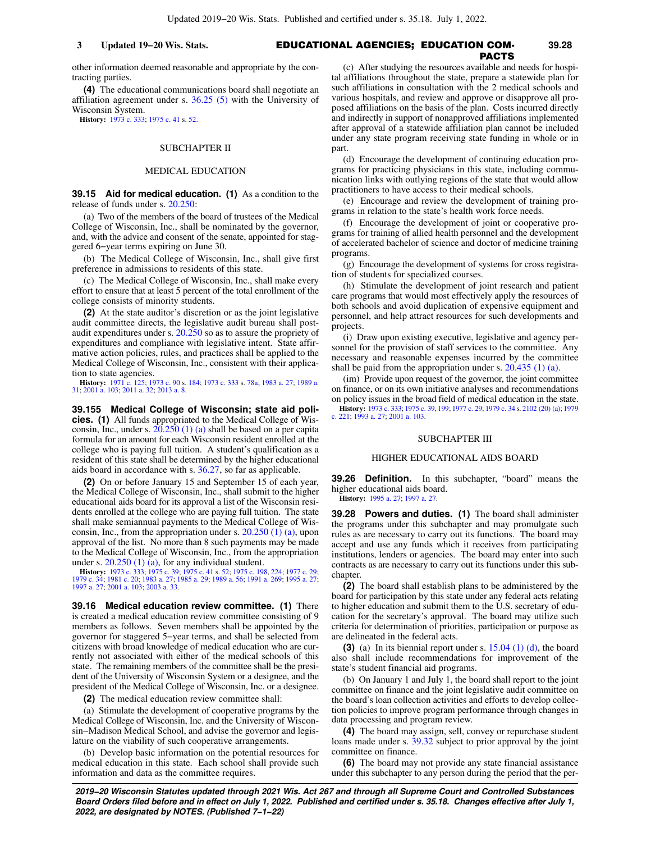### EDUCATIONAL AGENCIES; EDUCATION COM-**3 Updated 19−20 Wis. Stats. 39.28** PACTS

other information deemed reasonable and appropriate by the contracting parties.

**(4)** The educational communications board shall negotiate an affiliation agreement under s. [36.25 \(5\)](https://docs.legis.wisconsin.gov/document/statutes/36.25(5)) with the University of Wisconsin System.

**History:** [1973 c. 333](https://docs.legis.wisconsin.gov/document/acts/1973/333); [1975 c. 41](https://docs.legis.wisconsin.gov/document/acts/1975/41) s. [52.](https://docs.legis.wisconsin.gov/document/acts/1975/41,%20s.%2052)

### SUBCHAPTER II

## MEDICAL EDUCATION

**39.15 Aid for medical education. (1)** As a condition to the release of funds under s. [20.250](https://docs.legis.wisconsin.gov/document/statutes/20.250):

(a) Two of the members of the board of trustees of the Medical College of Wisconsin, Inc., shall be nominated by the governor, and, with the advice and consent of the senate, appointed for staggered 6−year terms expiring on June 30.

(b) The Medical College of Wisconsin, Inc., shall give first preference in admissions to residents of this state.

(c) The Medical College of Wisconsin, Inc., shall make every effort to ensure that at least 5 percent of the total enrollment of the college consists of minority students.

**(2)** At the state auditor's discretion or as the joint legislative audit committee directs, the legislative audit bureau shall postaudit expenditures under s. [20.250](https://docs.legis.wisconsin.gov/document/statutes/20.250) so as to assure the propriety of expenditures and compliance with legislative intent. State affirmative action policies, rules, and practices shall be applied to the Medical College of Wisconsin, Inc., consistent with their application to state agencies.

**History:** [1971 c. 125](https://docs.legis.wisconsin.gov/document/acts/1971/125); [1973 c. 90](https://docs.legis.wisconsin.gov/document/acts/1973/90) s. [184;](https://docs.legis.wisconsin.gov/document/acts/1973/90,%20s.%20184) [1973 c. 333](https://docs.legis.wisconsin.gov/document/acts/1973/333) s. [78a;](https://docs.legis.wisconsin.gov/document/acts/1973/333,%20s.%2078a) [1983 a. 27;](https://docs.legis.wisconsin.gov/document/acts/1983/27) [1989 a.](https://docs.legis.wisconsin.gov/document/acts/1989/31) [31;](https://docs.legis.wisconsin.gov/document/acts/1989/31) [2001 a. 103](https://docs.legis.wisconsin.gov/document/acts/2001/103); [2011 a. 32](https://docs.legis.wisconsin.gov/document/acts/2011/32); [2013 a. 8.](https://docs.legis.wisconsin.gov/document/acts/2013/8)

**39.155 Medical College of Wisconsin; state aid policies. (1)** All funds appropriated to the Medical College of Wisconsin, Inc., under s.  $20.250(1)$  (a) shall be based on a per capita formula for an amount for each Wisconsin resident enrolled at the college who is paying full tuition. A student's qualification as a resident of this state shall be determined by the higher educational aids board in accordance with s. [36.27,](https://docs.legis.wisconsin.gov/document/statutes/36.27) so far as applicable.

**(2)** On or before January 15 and September 15 of each year, the Medical College of Wisconsin, Inc., shall submit to the higher educational aids board for its approval a list of the Wisconsin residents enrolled at the college who are paying full tuition. The state shall make semiannual payments to the Medical College of Wisconsin, Inc., from the appropriation under s. [20.250 \(1\) \(a\),](https://docs.legis.wisconsin.gov/document/statutes/20.250(1)(a)) upon approval of the list. No more than 8 such payments may be made to the Medical College of Wisconsin, Inc., from the appropriation under s.  $20.250$  (1) (a), for any individual student.

**History:** [1973 c. 333;](https://docs.legis.wisconsin.gov/document/acts/1973/333) [1975 c. 39](https://docs.legis.wisconsin.gov/document/acts/1975/39); [1975 c. 41](https://docs.legis.wisconsin.gov/document/acts/1975/41) s. [52;](https://docs.legis.wisconsin.gov/document/acts/1975/41,%20s.%2052) [1975 c. 198,](https://docs.legis.wisconsin.gov/document/acts/1975/198) [224;](https://docs.legis.wisconsin.gov/document/acts/1975/224) [1977 c. 29](https://docs.legis.wisconsin.gov/document/acts/1977/29); 1979 c. 29; 1979 c. 20; 1985 a. 27; 1985 a. 27; 1985 a. 27; [2001 a. 103;](https://docs.legis.wisconsin.gov/document/acts/2001/103) [2003 a. 33](https://docs.legis.wisconsin.gov/document/acts/2003/33).

**39.16 Medical education review committee. (1)** There is created a medical education review committee consisting of 9 members as follows. Seven members shall be appointed by the governor for staggered 5−year terms, and shall be selected from citizens with broad knowledge of medical education who are currently not associated with either of the medical schools of this state. The remaining members of the committee shall be the president of the University of Wisconsin System or a designee, and the president of the Medical College of Wisconsin, Inc. or a designee.

**(2)** The medical education review committee shall:

(a) Stimulate the development of cooperative programs by the Medical College of Wisconsin, Inc. and the University of Wisconsin−Madison Medical School, and advise the governor and legislature on the viability of such cooperative arrangements.

(b) Develop basic information on the potential resources for medical education in this state. Each school shall provide such information and data as the committee requires.

(c) After studying the resources available and needs for hospital affiliations throughout the state, prepare a statewide plan for such affiliations in consultation with the 2 medical schools and various hospitals, and review and approve or disapprove all proposed affiliations on the basis of the plan. Costs incurred directly and indirectly in support of nonapproved affiliations implemented after approval of a statewide affiliation plan cannot be included under any state program receiving state funding in whole or in part.

(d) Encourage the development of continuing education programs for practicing physicians in this state, including communication links with outlying regions of the state that would allow practitioners to have access to their medical schools.

(e) Encourage and review the development of training programs in relation to the state's health work force needs.

(f) Encourage the development of joint or cooperative programs for training of allied health personnel and the development of accelerated bachelor of science and doctor of medicine training programs.

(g) Encourage the development of systems for cross registration of students for specialized courses.

(h) Stimulate the development of joint research and patient care programs that would most effectively apply the resources of both schools and avoid duplication of expensive equipment and personnel, and help attract resources for such developments and projects.

(i) Draw upon existing executive, legislative and agency personnel for the provision of staff services to the committee. Any necessary and reasonable expenses incurred by the committee shall be paid from the appropriation under s. [20.435 \(1\) \(a\)](https://docs.legis.wisconsin.gov/document/statutes/20.435(1)(a)).

(im) Provide upon request of the governor, the joint committee on finance, or on its own initiative analyses and recommendations

on policy issues in the broad field of medical education in the state. **History:** [1973 c. 333;](https://docs.legis.wisconsin.gov/document/acts/1973/333) [1975 c. 39,](https://docs.legis.wisconsin.gov/document/acts/1975/39) [199](https://docs.legis.wisconsin.gov/document/acts/1975/199); [1977 c. 29;](https://docs.legis.wisconsin.gov/document/acts/1977/29) [1979 c. 34](https://docs.legis.wisconsin.gov/document/acts/1979/34) s. [2102 \(20\) \(a\)](https://docs.legis.wisconsin.gov/document/acts/1979/34,%20s.%202102); [1979](https://docs.legis.wisconsin.gov/document/acts/1979/221) [c. 221](https://docs.legis.wisconsin.gov/document/acts/1979/221); [1993 a. 27](https://docs.legis.wisconsin.gov/document/acts/1993/27); [2001 a. 103](https://docs.legis.wisconsin.gov/document/acts/2001/103).

### SUBCHAPTER III

### HIGHER EDUCATIONAL AIDS BOARD

**39.26 Definition.** In this subchapter, "board" means the higher educational aids board.

**History:** [1995 a. 27](https://docs.legis.wisconsin.gov/document/acts/1995/27); [1997 a. 27](https://docs.legis.wisconsin.gov/document/acts/1997/27).

**39.28 Powers and duties. (1)** The board shall administer the programs under this subchapter and may promulgate such rules as are necessary to carry out its functions. The board may accept and use any funds which it receives from participating institutions, lenders or agencies. The board may enter into such contracts as are necessary to carry out its functions under this subchapter.

**(2)** The board shall establish plans to be administered by the board for participation by this state under any federal acts relating to higher education and submit them to the U.S. secretary of education for the secretary's approval. The board may utilize such criteria for determination of priorities, participation or purpose as are delineated in the federal acts.

**(3)** (a) In its biennial report under s. [15.04 \(1\) \(d\),](https://docs.legis.wisconsin.gov/document/statutes/15.04(1)(d)) the board also shall include recommendations for improvement of the state's student financial aid programs.

(b) On January 1 and July 1, the board shall report to the joint committee on finance and the joint legislative audit committee on the board's loan collection activities and efforts to develop collection policies to improve program performance through changes in data processing and program review.

**(4)** The board may assign, sell, convey or repurchase student loans made under s. [39.32](https://docs.legis.wisconsin.gov/document/statutes/39.32) subject to prior approval by the joint committee on finance.

**(6)** The board may not provide any state financial assistance under this subchapter to any person during the period that the per-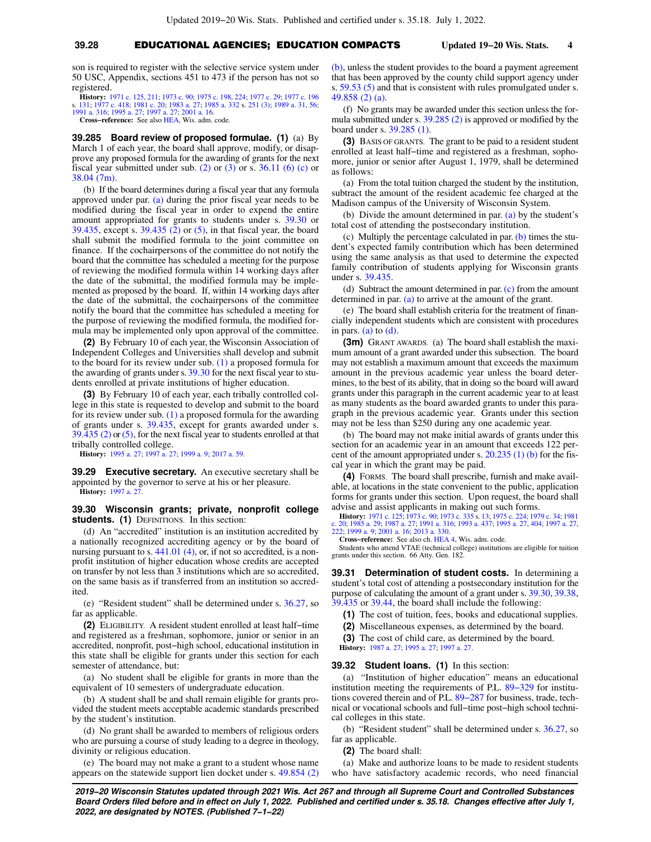son is required to register with the selective service system under 50 USC, Appendix, sections 451 to 473 if the person has not so registered.

**History:** [1971 c. 125](https://docs.legis.wisconsin.gov/document/acts/1971/125), [211;](https://docs.legis.wisconsin.gov/document/acts/1971/211) [1973 c. 90](https://docs.legis.wisconsin.gov/document/acts/1973/90); [1975 c. 198,](https://docs.legis.wisconsin.gov/document/acts/1975/198) [224](https://docs.legis.wisconsin.gov/document/acts/1975/224); [1977 c. 29;](https://docs.legis.wisconsin.gov/document/acts/1977/29) [1977 c. 196](https://docs.legis.wisconsin.gov/document/acts/1977/196) s. [131;](https://docs.legis.wisconsin.gov/document/acts/1977/196,%20s.%20131) [1977 c. 418;](https://docs.legis.wisconsin.gov/document/acts/1977/418) [1981 c. 20;](https://docs.legis.wisconsin.gov/document/acts/1981/20) [1983 a. 27](https://docs.legis.wisconsin.gov/document/acts/1983/27); [1985 a. 332](https://docs.legis.wisconsin.gov/document/acts/1985/332) s. [251 \(3\)](https://docs.legis.wisconsin.gov/document/acts/1985/332,%20s.%20251); [1989 a. 31](https://docs.legis.wisconsin.gov/document/acts/1989/31), [56](https://docs.legis.wisconsin.gov/document/acts/1989/56); [1991 a. 316;](https://docs.legis.wisconsin.gov/document/acts/1991/316) [1995 a. 27;](https://docs.legis.wisconsin.gov/document/acts/1995/27) [1997 a. 27](https://docs.legis.wisconsin.gov/document/acts/1997/27); [2001 a. 16](https://docs.legis.wisconsin.gov/document/acts/2001/16).

**Cross−reference:** See also [HEA](https://docs.legis.wisconsin.gov/document/administrativecode/HEA), Wis. adm. code.

**39.285 Board review of proposed formulae. (1)** (a) By March 1 of each year, the board shall approve, modify, or disapprove any proposed formula for the awarding of grants for the next fiscal year submitted under sub.  $(2)$  or  $(3)$  or s. 36.11  $(6)$  (c) or [38.04 \(7m\)](https://docs.legis.wisconsin.gov/document/statutes/38.04(7m)).

(b) If the board determines during a fiscal year that any formula approved under par. [\(a\)](https://docs.legis.wisconsin.gov/document/statutes/39.285(1)(a)) during the prior fiscal year needs to be modified during the fiscal year in order to expend the entire amount appropriated for grants to students under s. [39.30](https://docs.legis.wisconsin.gov/document/statutes/39.30) or [39.435,](https://docs.legis.wisconsin.gov/document/statutes/39.435) except s. [39.435 \(2\)](https://docs.legis.wisconsin.gov/document/statutes/39.435(2)) or [\(5\)](https://docs.legis.wisconsin.gov/document/statutes/39.435(5)), in that fiscal year, the board shall submit the modified formula to the joint committee on finance. If the cochairpersons of the committee do not notify the board that the committee has scheduled a meeting for the purpose of reviewing the modified formula within 14 working days after the date of the submittal, the modified formula may be implemented as proposed by the board. If, within 14 working days after the date of the submittal, the cochairpersons of the committee notify the board that the committee has scheduled a meeting for the purpose of reviewing the modified formula, the modified formula may be implemented only upon approval of the committee.

**(2)** By February 10 of each year, the Wisconsin Association of Independent Colleges and Universities shall develop and submit to the board for its review under sub. [\(1\)](https://docs.legis.wisconsin.gov/document/statutes/39.285(1)) a proposed formula for the awarding of grants under s. [39.30](https://docs.legis.wisconsin.gov/document/statutes/39.30) for the next fiscal year to students enrolled at private institutions of higher education.

**(3)** By February 10 of each year, each tribally controlled college in this state is requested to develop and submit to the board for its review under sub. [\(1\)](https://docs.legis.wisconsin.gov/document/statutes/39.285(1)) a proposed formula for the awarding of grants under s. [39.435](https://docs.legis.wisconsin.gov/document/statutes/39.435), except for grants awarded under s. [39.435 \(2\)](https://docs.legis.wisconsin.gov/document/statutes/39.435(2)) or [\(5\)](https://docs.legis.wisconsin.gov/document/statutes/39.435(5)), for the next fiscal year to students enrolled at that tribally controlled college.

**History:** [1995 a. 27;](https://docs.legis.wisconsin.gov/document/acts/1995/27) [1997 a. 27;](https://docs.legis.wisconsin.gov/document/acts/1997/27) [1999 a. 9;](https://docs.legis.wisconsin.gov/document/acts/1999/9) [2017 a. 59.](https://docs.legis.wisconsin.gov/document/acts/2017/59)

**39.29 Executive secretary.** An executive secretary shall be appointed by the governor to serve at his or her pleasure. **History:** [1997 a. 27.](https://docs.legis.wisconsin.gov/document/acts/1997/27)

# **39.30 Wisconsin grants; private, nonprofit college students. (1)** DEFINITIONS. In this section:

(d) An "accredited" institution is an institution accredited by a nationally recognized accrediting agency or by the board of nursing pursuant to s. [441.01 \(4\)](https://docs.legis.wisconsin.gov/document/statutes/441.01(4)), or, if not so accredited, is a nonprofit institution of higher education whose credits are accepted on transfer by not less than 3 institutions which are so accredited, on the same basis as if transferred from an institution so accredited.

(e) "Resident student" shall be determined under s. [36.27](https://docs.legis.wisconsin.gov/document/statutes/36.27), so far as applicable.

**(2)** ELIGIBILITY. A resident student enrolled at least half−time and registered as a freshman, sophomore, junior or senior in an accredited, nonprofit, post−high school, educational institution in this state shall be eligible for grants under this section for each semester of attendance, but:

(a) No student shall be eligible for grants in more than the equivalent of 10 semesters of undergraduate education.

(b) A student shall be and shall remain eligible for grants provided the student meets acceptable academic standards prescribed by the student's institution.

(d) No grant shall be awarded to members of religious orders who are pursuing a course of study leading to a degree in theology, divinity or religious education.

(e) The board may not make a grant to a student whose name appears on the statewide support lien docket under s. [49.854 \(2\)](https://docs.legis.wisconsin.gov/document/statutes/49.854(2)(b)) [\(b\),](https://docs.legis.wisconsin.gov/document/statutes/49.854(2)(b)) unless the student provides to the board a payment agreement that has been approved by the county child support agency under s. [59.53 \(5\)](https://docs.legis.wisconsin.gov/document/statutes/59.53(5)) and that is consistent with rules promulgated under s. [49.858 \(2\) \(a\)](https://docs.legis.wisconsin.gov/document/statutes/49.858(2)(a)).

(f) No grants may be awarded under this section unless the formula submitted under s. [39.285 \(2\)](https://docs.legis.wisconsin.gov/document/statutes/39.285(2)) is approved or modified by the board under s. [39.285 \(1\).](https://docs.legis.wisconsin.gov/document/statutes/39.285(1))

**(3)** BASIS OF GRANTS. The grant to be paid to a resident student enrolled at least half−time and registered as a freshman, sophomore, junior or senior after August 1, 1979, shall be determined as follows:

(a) From the total tuition charged the student by the institution, subtract the amount of the resident academic fee charged at the Madison campus of the University of Wisconsin System.

(b) Divide the amount determined in par. [\(a\)](https://docs.legis.wisconsin.gov/document/statutes/39.30(3)(a)) by the student's total cost of attending the postsecondary institution.

(c) Multiply the percentage calculated in par.  $(b)$  times the student's expected family contribution which has been determined using the same analysis as that used to determine the expected family contribution of students applying for Wisconsin grants under s. [39.435.](https://docs.legis.wisconsin.gov/document/statutes/39.435)

(d) Subtract the amount determined in par. [\(c\)](https://docs.legis.wisconsin.gov/document/statutes/39.30(3)(c)) from the amount determined in par. [\(a\)](https://docs.legis.wisconsin.gov/document/statutes/39.30(3)(a)) to arrive at the amount of the grant.

(e) The board shall establish criteria for the treatment of financially independent students which are consistent with procedures in pars. [\(a\)](https://docs.legis.wisconsin.gov/document/statutes/39.30(3)(a)) to  $(d)$ .

**(3m)** GRANT AWARDS. (a) The board shall establish the maximum amount of a grant awarded under this subsection. The board may not establish a maximum amount that exceeds the maximum amount in the previous academic year unless the board determines, to the best of its ability, that in doing so the board will award grants under this paragraph in the current academic year to at least as many students as the board awarded grants to under this paragraph in the previous academic year. Grants under this section may not be less than \$250 during any one academic year.

(b) The board may not make initial awards of grants under this section for an academic year in an amount that exceeds 122 percent of the amount appropriated under s. [20.235 \(1\) \(b\)](https://docs.legis.wisconsin.gov/document/statutes/20.235(1)(b)) for the fiscal year in which the grant may be paid.

**(4)** FORMS. The board shall prescribe, furnish and make available, at locations in the state convenient to the public, application forms for grants under this section. Upon request, the board shall advise and assist applicants in making out such forms.

**History:** [1971 c. 125;](https://docs.legis.wisconsin.gov/document/acts/1971/125) [1973 c. 90;](https://docs.legis.wisconsin.gov/document/acts/1973/90) [1973 c. 335](https://docs.legis.wisconsin.gov/document/acts/1973/335) s. [13](https://docs.legis.wisconsin.gov/document/acts/1973/335,%20s.%2013); [1975 c. 224](https://docs.legis.wisconsin.gov/document/acts/1975/224); [1979 c. 34](https://docs.legis.wisconsin.gov/document/acts/1979/34); [1981](https://docs.legis.wisconsin.gov/document/acts/1981/20) [c. 20](https://docs.legis.wisconsin.gov/document/acts/1981/20); [1985 a. 29](https://docs.legis.wisconsin.gov/document/acts/1985/29); [1987 a. 27;](https://docs.legis.wisconsin.gov/document/acts/1987/27) [1991 a. 316;](https://docs.legis.wisconsin.gov/document/acts/1991/316) [1993 a. 437](https://docs.legis.wisconsin.gov/document/acts/1993/437); [1995 a. 27,](https://docs.legis.wisconsin.gov/document/acts/1995/27) [404;](https://docs.legis.wisconsin.gov/document/acts/1995/404) [1997 a. 27](https://docs.legis.wisconsin.gov/document/acts/1997/27), [222;](https://docs.legis.wisconsin.gov/document/acts/1997/222) [1999 a. 9](https://docs.legis.wisconsin.gov/document/acts/1999/9); [2001 a. 16](https://docs.legis.wisconsin.gov/document/acts/2001/16); [2013 a. 330](https://docs.legis.wisconsin.gov/document/acts/2013/330).

**Cross−reference:** See also ch. [HEA 4,](https://docs.legis.wisconsin.gov/document/administrativecode/ch.%20HEA%204) Wis. adm. code.

Students who attend VTAE (technical college) institutions are eligible for tuition grants under this section. 66 Atty. Gen. 182.

**39.31 Determination of student costs.** In determining a student's total cost of attending a postsecondary institution for the purpose of calculating the amount of a grant under s. [39.30,](https://docs.legis.wisconsin.gov/document/statutes/39.30) [39.38,](https://docs.legis.wisconsin.gov/document/statutes/39.38) [39.435](https://docs.legis.wisconsin.gov/document/statutes/39.435) or [39.44](https://docs.legis.wisconsin.gov/document/statutes/39.44), the board shall include the following:

**(1)** The cost of tuition, fees, books and educational supplies.

**(2)** Miscellaneous expenses, as determined by the board.

**(3)** The cost of child care, as determined by the board.

**History:** [1987 a. 27](https://docs.legis.wisconsin.gov/document/acts/1987/27); [1995 a. 27](https://docs.legis.wisconsin.gov/document/acts/1995/27); [1997 a. 27](https://docs.legis.wisconsin.gov/document/acts/1997/27).

# **39.32 Student loans. (1)** In this section:

(a) "Institution of higher education" means an educational institution meeting the requirements of P.L. [89−329](https://docs.legis.wisconsin.gov/document/publiclaw/89-329) for institutions covered therein and of P.L. [89−287](https://docs.legis.wisconsin.gov/document/publiclaw/89-287) for business, trade, technical or vocational schools and full−time post−high school technical colleges in this state.

(b) "Resident student" shall be determined under s. [36.27,](https://docs.legis.wisconsin.gov/document/statutes/36.27) so far as applicable.

**(2)** The board shall:

(a) Make and authorize loans to be made to resident students who have satisfactory academic records, who need financial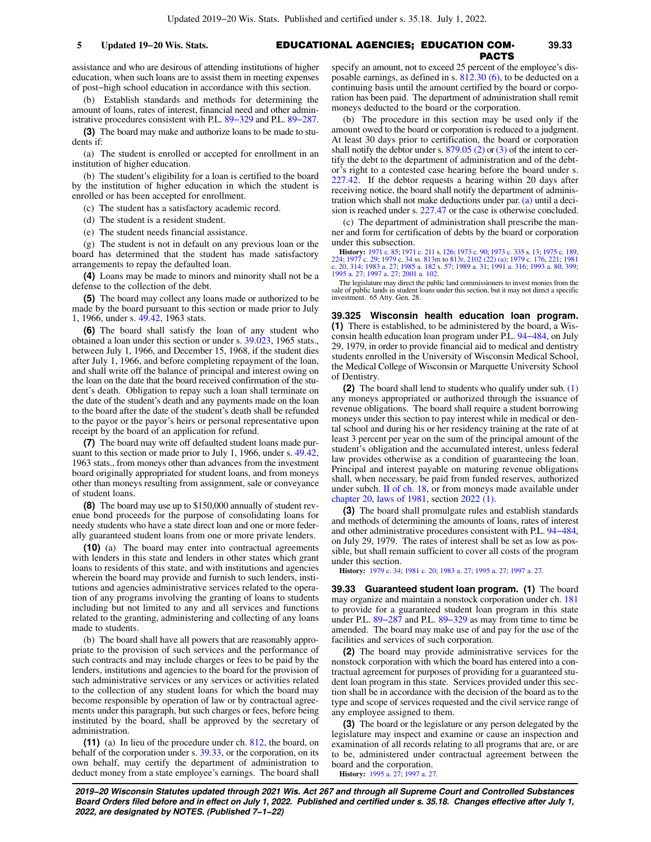## EDUCATIONAL AGENCIES; EDUCATION COM-**5 Updated 19−20 Wis. Stats. 39.33** PACTS

assistance and who are desirous of attending institutions of higher education, when such loans are to assist them in meeting expenses of post−high school education in accordance with this section.

(b) Establish standards and methods for determining the amount of loans, rates of interest, financial need and other administrative procedures consistent with P.L. [89−329](https://docs.legis.wisconsin.gov/document/publiclaw/89-329) and P.L. [89−287.](https://docs.legis.wisconsin.gov/document/publiclaw/89-287)

**(3)** The board may make and authorize loans to be made to students if:

(a) The student is enrolled or accepted for enrollment in an institution of higher education.

(b) The student's eligibility for a loan is certified to the board by the institution of higher education in which the student is enrolled or has been accepted for enrollment.

- (c) The student has a satisfactory academic record.
- (d) The student is a resident student.
- (e) The student needs financial assistance.

(g) The student is not in default on any previous loan or the board has determined that the student has made satisfactory arrangements to repay the defaulted loan.

**(4)** Loans may be made to minors and minority shall not be a defense to the collection of the debt.

**(5)** The board may collect any loans made or authorized to be made by the board pursuant to this section or made prior to July 1, 1966, under s. [49.42,](https://docs.legis.wisconsin.gov/document/statutes/1963/49.42) 1963 stats.

**(6)** The board shall satisfy the loan of any student who obtained a loan under this section or under s. [39.023](https://docs.legis.wisconsin.gov/document/statutes/1965/39.023), 1965 stats., between July 1, 1966, and December 15, 1968, if the student dies after July 1, 1966, and before completing repayment of the loan, and shall write off the balance of principal and interest owing on the loan on the date that the board received confirmation of the student's death. Obligation to repay such a loan shall terminate on the date of the student's death and any payments made on the loan to the board after the date of the student's death shall be refunded to the payor or the payor's heirs or personal representative upon receipt by the board of an application for refund.

**(7)** The board may write off defaulted student loans made pursuant to this section or made prior to July 1, 1966, under s. [49.42,](https://docs.legis.wisconsin.gov/document/statutes/1963/49.42) 1963 stats., from moneys other than advances from the investment board originally appropriated for student loans, and from moneys other than moneys resulting from assignment, sale or conveyance of student loans.

**(8)** The board may use up to \$150,000 annually of student revenue bond proceeds for the purpose of consolidating loans for needy students who have a state direct loan and one or more federally guaranteed student loans from one or more private lenders.

**(10)** (a) The board may enter into contractual agreements with lenders in this state and lenders in other states which grant loans to residents of this state, and with institutions and agencies wherein the board may provide and furnish to such lenders, institutions and agencies administrative services related to the operation of any programs involving the granting of loans to students including but not limited to any and all services and functions related to the granting, administering and collecting of any loans made to students.

(b) The board shall have all powers that are reasonably appropriate to the provision of such services and the performance of such contracts and may include charges or fees to be paid by the lenders, institutions and agencies to the board for the provision of such administrative services or any services or activities related to the collection of any student loans for which the board may become responsible by operation of law or by contractual agreements under this paragraph, but such charges or fees, before being instituted by the board, shall be approved by the secretary of administration.

**(11)** (a) In lieu of the procedure under ch. [812](https://docs.legis.wisconsin.gov/document/statutes/ch.%20812), the board, on behalf of the corporation under s. [39.33](https://docs.legis.wisconsin.gov/document/statutes/39.33), or the corporation, on its own behalf, may certify the department of administration to deduct money from a state employee's earnings. The board shall specify an amount, not to exceed 25 percent of the employee's disposable earnings, as defined in s. [812.30 \(6\)](https://docs.legis.wisconsin.gov/document/statutes/812.30(6)), to be deducted on a continuing basis until the amount certified by the board or corporation has been paid. The department of administration shall remit moneys deducted to the board or the corporation.

(b) The procedure in this section may be used only if the amount owed to the board or corporation is reduced to a judgment. At least 30 days prior to certification, the board or corporation shall notify the debtor under s.  $879.05$  (2) or [\(3\)](https://docs.legis.wisconsin.gov/document/statutes/879.05(3)) of the intent to certify the debt to the department of administration and of the debtor's right to a contested case hearing before the board under s. [227.42.](https://docs.legis.wisconsin.gov/document/statutes/227.42) If the debtor requests a hearing within 20 days after receiving notice, the board shall notify the department of administration which shall not make deductions under par. [\(a\)](https://docs.legis.wisconsin.gov/document/statutes/39.32(11)(a)) until a decision is reached under s. [227.47](https://docs.legis.wisconsin.gov/document/statutes/227.47) or the case is otherwise concluded.

(c) The department of administration shall prescribe the manner and form for certification of debts by the board or corporation under this subsection.

**History:** [1971 c. 85;](https://docs.legis.wisconsin.gov/document/acts/1971/85) [1971 c. 211](https://docs.legis.wisconsin.gov/document/acts/1971/211) s. [126;](https://docs.legis.wisconsin.gov/document/acts/1971/211,%20s.%20126) [1973 c. 90](https://docs.legis.wisconsin.gov/document/acts/1973/90); [1973 c. 335](https://docs.legis.wisconsin.gov/document/acts/1973/335) s. [13](https://docs.legis.wisconsin.gov/document/acts/1973/335,%20s.%2013); [1975 c. 189](https://docs.legis.wisconsin.gov/document/acts/1975/189), [224;](https://docs.legis.wisconsin.gov/document/acts/1975/224) [1977 c. 29](https://docs.legis.wisconsin.gov/document/acts/1977/29); [1979 c. 34](https://docs.legis.wisconsin.gov/document/acts/1979/34) ss. [813m](https://docs.legis.wisconsin.gov/document/acts/1979/34,%20s.%20813m) to [813r,](https://docs.legis.wisconsin.gov/document/acts/1979/34,%20s.%20813r) [2102 \(22\) \(a\)](https://docs.legis.wisconsin.gov/document/acts/1979/34,%20s.%202102); [1979 c. 176,](https://docs.legis.wisconsin.gov/document/acts/1979/176) [221;](https://docs.legis.wisconsin.gov/document/acts/1979/221) [1981](https://docs.legis.wisconsin.gov/document/acts/1981/20) [c. 20,](https://docs.legis.wisconsin.gov/document/acts/1981/20) [314;](https://docs.legis.wisconsin.gov/document/acts/1981/314) [1983 a. 27](https://docs.legis.wisconsin.gov/document/acts/1983/27); [1985 a. 182](https://docs.legis.wisconsin.gov/document/acts/1985/182) s. [57;](https://docs.legis.wisconsin.gov/document/acts/1985/182,%20s.%2057) [1989 a. 31](https://docs.legis.wisconsin.gov/document/acts/1989/31); [1991 a. 316;](https://docs.legis.wisconsin.gov/document/acts/1991/316) [1993 a. 80](https://docs.legis.wisconsin.gov/document/acts/1993/80), [399](https://docs.legis.wisconsin.gov/document/acts/1993/399); [1995 a. 27](https://docs.legis.wisconsin.gov/document/acts/1995/27); [1997 a. 27;](https://docs.legis.wisconsin.gov/document/acts/1997/27) [2001 a. 102](https://docs.legis.wisconsin.gov/document/acts/2001/102).

The legislature may direct the public land commissioners to invest monies from the sale of public lands in student loans under this section, but it may not direct a specific investment. 65 Atty. Gen. 28.

**39.325 Wisconsin health education loan program. (1)** There is established, to be administered by the board, a Wisconsin health education loan program under P.L. [94−484](https://docs.legis.wisconsin.gov/document/publiclaw/94-484), on July 29, 1979, in order to provide financial aid to medical and dentistry students enrolled in the University of Wisconsin Medical School, the Medical College of Wisconsin or Marquette University School of Dentistry.

**(2)** The board shall lend to students who qualify under sub. [\(1\)](https://docs.legis.wisconsin.gov/document/statutes/39.325(1)) any moneys appropriated or authorized through the issuance of revenue obligations. The board shall require a student borrowing moneys under this section to pay interest while in medical or dental school and during his or her residency training at the rate of at least 3 percent per year on the sum of the principal amount of the student's obligation and the accumulated interest, unless federal law provides otherwise as a condition of guaranteeing the loan. Principal and interest payable on maturing revenue obligations shall, when necessary, be paid from funded reserves, authorized under subch. [II of ch. 18](https://docs.legis.wisconsin.gov/document/statutes/subch.%20II%20of%20ch.%2018), or from moneys made available under [chapter 20, laws of 1981](https://docs.legis.wisconsin.gov/document/acts/1981/20), section [2022 \(1\).](https://docs.legis.wisconsin.gov/document/acts/1981/20,%20s.%202022)

**(3)** The board shall promulgate rules and establish standards and methods of determining the amounts of loans, rates of interest and other administrative procedures consistent with P.L. [94−484,](https://docs.legis.wisconsin.gov/document/publiclaw/94-484) on July 29, 1979. The rates of interest shall be set as low as possible, but shall remain sufficient to cover all costs of the program under this section.

**History:** [1979 c. 34](https://docs.legis.wisconsin.gov/document/acts/1979/34); [1981 c. 20](https://docs.legis.wisconsin.gov/document/acts/1981/20); [1983 a. 27](https://docs.legis.wisconsin.gov/document/acts/1983/27); [1995 a. 27;](https://docs.legis.wisconsin.gov/document/acts/1995/27) [1997 a. 27.](https://docs.legis.wisconsin.gov/document/acts/1997/27)

**39.33 Guaranteed student loan program. (1)** The board may organize and maintain a nonstock corporation under ch. [181](https://docs.legis.wisconsin.gov/document/statutes/ch.%20181) to provide for a guaranteed student loan program in this state under P.L. [89−287](https://docs.legis.wisconsin.gov/document/publiclaw/89-287) and P.L. [89−329](https://docs.legis.wisconsin.gov/document/publiclaw/89-329) as may from time to time be amended. The board may make use of and pay for the use of the facilities and services of such corporation.

**(2)** The board may provide administrative services for the nonstock corporation with which the board has entered into a contractual agreement for purposes of providing for a guaranteed student loan program in this state. Services provided under this section shall be in accordance with the decision of the board as to the type and scope of services requested and the civil service range of any employee assigned to them.

**(3)** The board or the legislature or any person delegated by the legislature may inspect and examine or cause an inspection and examination of all records relating to all programs that are, or are to be, administered under contractual agreement between the board and the corporation.

**History:** [1995 a. 27](https://docs.legis.wisconsin.gov/document/acts/1995/27); [1997 a. 27](https://docs.legis.wisconsin.gov/document/acts/1997/27).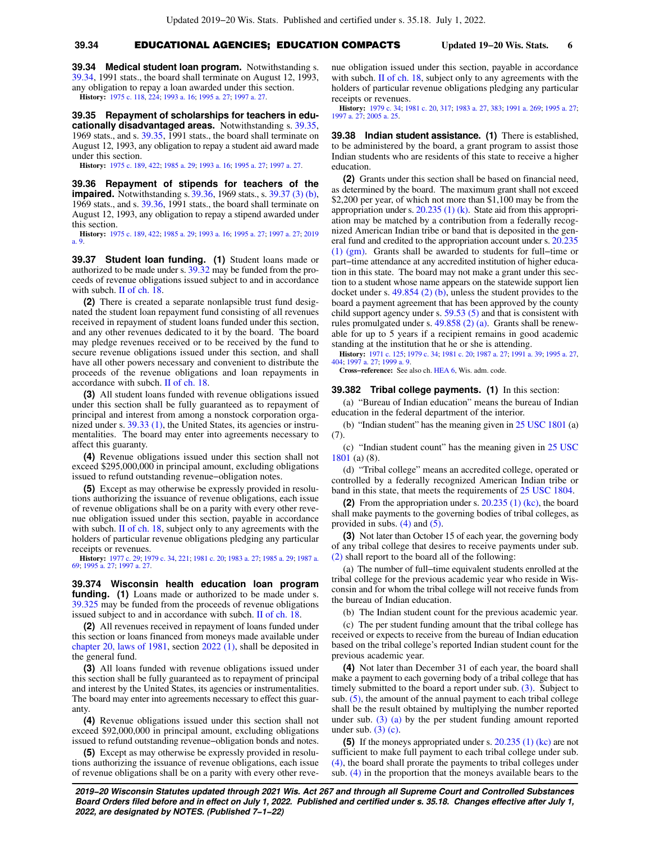# **39.34** EDUCATIONAL AGENCIES; EDUCATION COMPACTS **Updated 19−20 Wis. Stats. 6**

**39.34 Medical student loan program.** Notwithstanding s. [39.34](https://docs.legis.wisconsin.gov/document/statutes/1991/39.34), 1991 stats., the board shall terminate on August 12, 1993, any obligation to repay a loan awarded under this section. **History:** [1975 c. 118](https://docs.legis.wisconsin.gov/document/acts/1975/118), [224](https://docs.legis.wisconsin.gov/document/acts/1975/224); [1993 a. 16](https://docs.legis.wisconsin.gov/document/acts/1993/16); [1995 a. 27](https://docs.legis.wisconsin.gov/document/acts/1995/27); [1997 a. 27.](https://docs.legis.wisconsin.gov/document/acts/1997/27)

**39.35 Repayment of scholarships for teachers in educationally disadvantaged areas.** Notwithstanding s. [39.35,](https://docs.legis.wisconsin.gov/document/statutes/1969/39.35) 1969 stats., and s. [39.35](https://docs.legis.wisconsin.gov/document/statutes/1991/39.35), 1991 stats., the board shall terminate on August 12, 1993, any obligation to repay a student aid award made under this section.

**History:** [1975 c. 189](https://docs.legis.wisconsin.gov/document/acts/1975/189), [422](https://docs.legis.wisconsin.gov/document/acts/1975/422); [1985 a. 29;](https://docs.legis.wisconsin.gov/document/acts/1985/29) [1993 a. 16;](https://docs.legis.wisconsin.gov/document/acts/1993/16) [1995 a. 27;](https://docs.legis.wisconsin.gov/document/acts/1995/27) [1997 a. 27](https://docs.legis.wisconsin.gov/document/acts/1997/27).

**39.36 Repayment of stipends for teachers of the impaired.** Notwithstanding s. [39.36](https://docs.legis.wisconsin.gov/document/statutes/1969/39.36), 1969 stats., s. [39.37 \(3\) \(b\),](https://docs.legis.wisconsin.gov/document/statutes/1969/39.37(3)(b)) 1969 stats., and s. [39.36](https://docs.legis.wisconsin.gov/document/statutes/1991/39.36), 1991 stats., the board shall terminate on August 12, 1993, any obligation to repay a stipend awarded under this section.

**History:** [1975 c. 189](https://docs.legis.wisconsin.gov/document/acts/1975/189), [422](https://docs.legis.wisconsin.gov/document/acts/1975/422); [1985 a. 29](https://docs.legis.wisconsin.gov/document/acts/1985/29); [1993 a. 16](https://docs.legis.wisconsin.gov/document/acts/1993/16); [1995 a. 27](https://docs.legis.wisconsin.gov/document/acts/1995/27); [1997 a. 27](https://docs.legis.wisconsin.gov/document/acts/1997/27); [2019](https://docs.legis.wisconsin.gov/document/acts/2019/9) [a. 9.](https://docs.legis.wisconsin.gov/document/acts/2019/9)

**39.37 Student loan funding. (1)** Student loans made or authorized to be made under s. [39.32](https://docs.legis.wisconsin.gov/document/statutes/39.32) may be funded from the proceeds of revenue obligations issued subject to and in accordance with subch. [II of ch. 18.](https://docs.legis.wisconsin.gov/document/statutes/subch.%20II%20of%20ch.%2018)

**(2)** There is created a separate nonlapsible trust fund designated the student loan repayment fund consisting of all revenues received in repayment of student loans funded under this section, and any other revenues dedicated to it by the board. The board may pledge revenues received or to be received by the fund to secure revenue obligations issued under this section, and shall have all other powers necessary and convenient to distribute the proceeds of the revenue obligations and loan repayments in accordance with subch. [II of ch. 18](https://docs.legis.wisconsin.gov/document/statutes/subch.%20II%20of%20ch.%2018).

**(3)** All student loans funded with revenue obligations issued under this section shall be fully guaranteed as to repayment of principal and interest from among a nonstock corporation orga-nized under s. [39.33 \(1\)](https://docs.legis.wisconsin.gov/document/statutes/39.33(1)), the United States, its agencies or instrumentalities. The board may enter into agreements necessary to affect this guaranty.

**(4)** Revenue obligations issued under this section shall not exceed \$295,000,000 in principal amount, excluding obligations issued to refund outstanding revenue−obligation notes.

**(5)** Except as may otherwise be expressly provided in resolutions authorizing the issuance of revenue obligations, each issue of revenue obligations shall be on a parity with every other revenue obligation issued under this section, payable in accordance with subch. [II of ch. 18,](https://docs.legis.wisconsin.gov/document/statutes/subch.%20II%20of%20ch.%2018) subject only to any agreements with the holders of particular revenue obligations pledging any particular receipts or revenues.

**History:** [1977 c. 29;](https://docs.legis.wisconsin.gov/document/acts/1977/29) [1979 c. 34](https://docs.legis.wisconsin.gov/document/acts/1979/34), [221](https://docs.legis.wisconsin.gov/document/acts/1979/221); [1981 c. 20;](https://docs.legis.wisconsin.gov/document/acts/1981/20) [1983 a. 27](https://docs.legis.wisconsin.gov/document/acts/1983/27); [1985 a. 29](https://docs.legis.wisconsin.gov/document/acts/1985/29); [1987 a.](https://docs.legis.wisconsin.gov/document/acts/1987/69) [69;](https://docs.legis.wisconsin.gov/document/acts/1987/69) [1995 a. 27;](https://docs.legis.wisconsin.gov/document/acts/1995/27) [1997 a. 27](https://docs.legis.wisconsin.gov/document/acts/1997/27).

**39.374 Wisconsin health education loan program funding. (1)** Loans made or authorized to be made under s. [39.325](https://docs.legis.wisconsin.gov/document/statutes/39.325) may be funded from the proceeds of revenue obligations issued subject to and in accordance with subch. [II of ch. 18.](https://docs.legis.wisconsin.gov/document/statutes/subch.%20II%20of%20ch.%2018)

**(2)** All revenues received in repayment of loans funded under this section or loans financed from moneys made available under [chapter 20, laws of 1981](https://docs.legis.wisconsin.gov/document/acts/1981/20), section [2022 \(1\),](https://docs.legis.wisconsin.gov/document/acts/1981/20,%20s.%202022) shall be deposited in the general fund.

**(3)** All loans funded with revenue obligations issued under this section shall be fully guaranteed as to repayment of principal and interest by the United States, its agencies or instrumentalities. The board may enter into agreements necessary to effect this guaranty

**(4)** Revenue obligations issued under this section shall not exceed \$92,000,000 in principal amount, excluding obligations issued to refund outstanding revenue−obligation bonds and notes.

**(5)** Except as may otherwise be expressly provided in resolutions authorizing the issuance of revenue obligations, each issue of revenue obligations shall be on a parity with every other revenue obligation issued under this section, payable in accordance with subch.  $\Pi$  of ch. 18, subject only to any agreements with the holders of particular revenue obligations pledging any particular receipts or revenues.

**History:** [1979 c. 34](https://docs.legis.wisconsin.gov/document/acts/1979/34); [1981 c. 20,](https://docs.legis.wisconsin.gov/document/acts/1981/20) [317;](https://docs.legis.wisconsin.gov/document/acts/1981/317) [1983 a. 27](https://docs.legis.wisconsin.gov/document/acts/1983/27), [383](https://docs.legis.wisconsin.gov/document/acts/1983/383); [1991 a. 269](https://docs.legis.wisconsin.gov/document/acts/1991/269); [1995 a. 27](https://docs.legis.wisconsin.gov/document/acts/1995/27); [1997 a. 27](https://docs.legis.wisconsin.gov/document/acts/1997/27); [2005 a. 25.](https://docs.legis.wisconsin.gov/document/acts/2005/25)

**39.38 Indian student assistance. (1)** There is established, to be administered by the board, a grant program to assist those Indian students who are residents of this state to receive a higher education.

**(2)** Grants under this section shall be based on financial need, as determined by the board. The maximum grant shall not exceed \$2,200 per year, of which not more than \$1,100 may be from the appropriation under s.  $20.235(1)(k)$ . State aid from this appropriation may be matched by a contribution from a federally recognized American Indian tribe or band that is deposited in the general fund and credited to the appropriation account under s. [20.235](https://docs.legis.wisconsin.gov/document/statutes/20.235(1)(gm)) [\(1\) \(gm\)](https://docs.legis.wisconsin.gov/document/statutes/20.235(1)(gm)). Grants shall be awarded to students for full−time or part−time attendance at any accredited institution of higher education in this state. The board may not make a grant under this section to a student whose name appears on the statewide support lien docket under s. [49.854 \(2\) \(b\),](https://docs.legis.wisconsin.gov/document/statutes/49.854(2)(b)) unless the student provides to the board a payment agreement that has been approved by the county child support agency under s. [59.53 \(5\)](https://docs.legis.wisconsin.gov/document/statutes/59.53(5)) and that is consistent with rules promulgated under s. [49.858 \(2\) \(a\)](https://docs.legis.wisconsin.gov/document/statutes/49.858(2)(a)). Grants shall be renewable for up to 5 years if a recipient remains in good academic standing at the institution that he or she is attending.

**History:** [1971 c. 125;](https://docs.legis.wisconsin.gov/document/acts/1971/125) [1979 c. 34](https://docs.legis.wisconsin.gov/document/acts/1979/34); [1981 c. 20;](https://docs.legis.wisconsin.gov/document/acts/1981/20) [1987 a. 27](https://docs.legis.wisconsin.gov/document/acts/1987/27); [1991 a. 39;](https://docs.legis.wisconsin.gov/document/acts/1991/39) [1995 a. 27](https://docs.legis.wisconsin.gov/document/acts/1995/27), [404;](https://docs.legis.wisconsin.gov/document/acts/1995/404) [1997 a. 27;](https://docs.legis.wisconsin.gov/document/acts/1997/27) [1999 a. 9](https://docs.legis.wisconsin.gov/document/acts/1999/9).

**Cross−reference:** See also ch. [HEA 6,](https://docs.legis.wisconsin.gov/document/administrativecode/ch.%20HEA%206) Wis. adm. code.

**39.382 Tribal college payments. (1)** In this section:

(a) "Bureau of Indian education" means the bureau of Indian education in the federal department of the interior.

(b) "Indian student" has the meaning given in [25 USC 1801](https://docs.legis.wisconsin.gov/document/usc/25%20USC%201801) (a) (7).

(c) "Indian student count" has the meaning given in [25 USC](https://docs.legis.wisconsin.gov/document/usc/25%20USC%201801) [1801](https://docs.legis.wisconsin.gov/document/usc/25%20USC%201801) (a) (8).

(d) "Tribal college" means an accredited college, operated or controlled by a federally recognized American Indian tribe or band in this state, that meets the requirements of [25 USC 1804.](https://docs.legis.wisconsin.gov/document/usc/25%20USC%201804)

**(2)** From the appropriation under s. [20.235 \(1\) \(kc\),](https://docs.legis.wisconsin.gov/document/statutes/20.235(1)(kc)) the board shall make payments to the governing bodies of tribal colleges, as provided in subs. [\(4\)](https://docs.legis.wisconsin.gov/document/statutes/39.382(4)) and [\(5\)](https://docs.legis.wisconsin.gov/document/statutes/39.382(5)).

**(3)** Not later than October 15 of each year, the governing body of any tribal college that desires to receive payments under sub. [\(2\)](https://docs.legis.wisconsin.gov/document/statutes/39.382(2)) shall report to the board all of the following:

(a) The number of full−time equivalent students enrolled at the tribal college for the previous academic year who reside in Wisconsin and for whom the tribal college will not receive funds from the bureau of Indian education.

(b) The Indian student count for the previous academic year.

(c) The per student funding amount that the tribal college has received or expects to receive from the bureau of Indian education based on the tribal college's reported Indian student count for the previous academic year.

**(4)** Not later than December 31 of each year, the board shall make a payment to each governing body of a tribal college that has timely submitted to the board a report under sub. [\(3\)](https://docs.legis.wisconsin.gov/document/statutes/39.382(3)). Subject to sub. [\(5\),](https://docs.legis.wisconsin.gov/document/statutes/39.382(5)) the amount of the annual payment to each tribal college shall be the result obtained by multiplying the number reported under sub.  $(3)$  (a) by the per student funding amount reported under sub.  $(3)$  (c).

**(5)** If the moneys appropriated under s. [20.235 \(1\) \(kc\)](https://docs.legis.wisconsin.gov/document/statutes/20.235(1)(kc)) are not sufficient to make full payment to each tribal college under sub. [\(4\),](https://docs.legis.wisconsin.gov/document/statutes/39.382(4)) the board shall prorate the payments to tribal colleges under sub. [\(4\)](https://docs.legis.wisconsin.gov/document/statutes/39.382(4)) in the proportion that the moneys available bears to the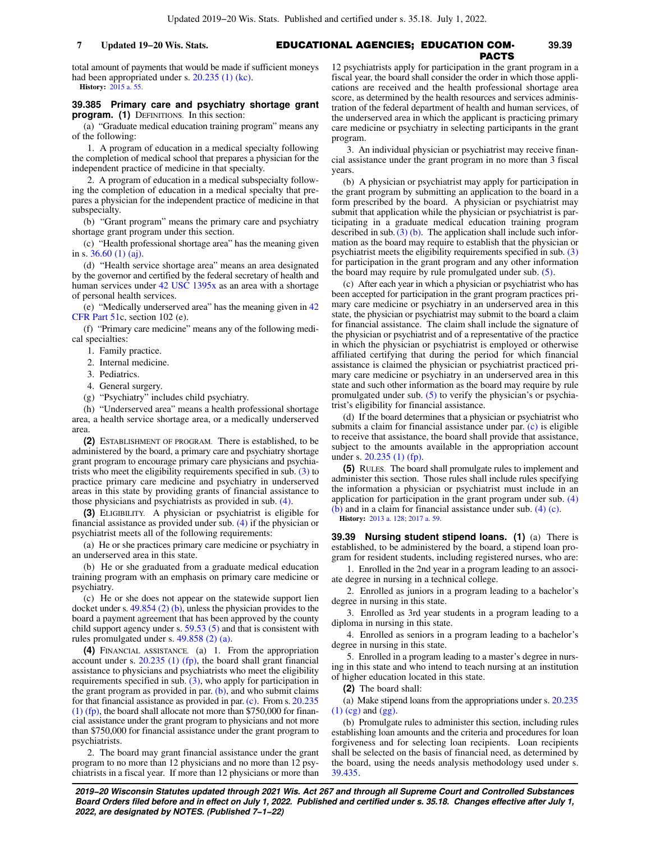### EDUCATIONAL AGENCIES; EDUCATION COM-**7 Updated 19−20 Wis. Stats. 39.39**

total amount of payments that would be made if sufficient moneys had been appropriated under s. [20.235 \(1\) \(kc\)](https://docs.legis.wisconsin.gov/document/statutes/20.235(1)(kc)). **History:** [2015 a. 55.](https://docs.legis.wisconsin.gov/document/acts/2015/55)

### **39.385 Primary care and psychiatry shortage grant program. (1)** DEFINITIONS. In this section:

(a) "Graduate medical education training program" means any of the following:

1. A program of education in a medical specialty following the completion of medical school that prepares a physician for the independent practice of medicine in that specialty.

2. A program of education in a medical subspecialty following the completion of education in a medical specialty that prepares a physician for the independent practice of medicine in that subspecialty.

(b) "Grant program" means the primary care and psychiatry shortage grant program under this section.

(c) "Health professional shortage area" has the meaning given in s. [36.60 \(1\) \(aj\)](https://docs.legis.wisconsin.gov/document/statutes/36.60(1)(aj)).

(d) "Health service shortage area" means an area designated by the governor and certified by the federal secretary of health and human services under [42 USC 1395x](https://docs.legis.wisconsin.gov/document/usc/42%20USC%201395x) as an area with a shortage of personal health services.

(e) "Medically underserved area" has the meaning given in [42](https://docs.legis.wisconsin.gov/document/cfr/42%20CFR%2051) [CFR Part 51c](https://docs.legis.wisconsin.gov/document/cfr/42%20CFR%2051), section 102 (e).

(f) "Primary care medicine" means any of the following medical specialties:

1. Family practice.

2. Internal medicine.

3. Pediatrics.

4. General surgery.

(g) "Psychiatry" includes child psychiatry.

(h) "Underserved area" means a health professional shortage area, a health service shortage area, or a medically underserved area.

**(2)** ESTABLISHMENT OF PROGRAM. There is established, to be administered by the board, a primary care and psychiatry shortage grant program to encourage primary care physicians and psychiatrists who meet the eligibility requirements specified in sub. [\(3\)](https://docs.legis.wisconsin.gov/document/statutes/39.385(3)) to practice primary care medicine and psychiatry in underserved areas in this state by providing grants of financial assistance to those physicians and psychiatrists as provided in sub. [\(4\).](https://docs.legis.wisconsin.gov/document/statutes/39.385(4))

**(3)** ELIGIBILITY. A physician or psychiatrist is eligible for financial assistance as provided under sub. [\(4\)](https://docs.legis.wisconsin.gov/document/statutes/39.385(4)) if the physician or psychiatrist meets all of the following requirements:

(a) He or she practices primary care medicine or psychiatry in an underserved area in this state.

(b) He or she graduated from a graduate medical education training program with an emphasis on primary care medicine or psychiatry.

(c) He or she does not appear on the statewide support lien docket under s. [49.854 \(2\) \(b\)](https://docs.legis.wisconsin.gov/document/statutes/49.854(2)(b)), unless the physician provides to the board a payment agreement that has been approved by the county child support agency under s. [59.53 \(5\)](https://docs.legis.wisconsin.gov/document/statutes/59.53(5)) and that is consistent with rules promulgated under s. [49.858 \(2\) \(a\).](https://docs.legis.wisconsin.gov/document/statutes/49.858(2)(a))

**(4)** FINANCIAL ASSISTANCE. (a) 1. From the appropriation account under s. [20.235 \(1\) \(fp\)](https://docs.legis.wisconsin.gov/document/statutes/20.235(1)(fp)), the board shall grant financial assistance to physicians and psychiatrists who meet the eligibility requirements specified in sub. [\(3\)](https://docs.legis.wisconsin.gov/document/statutes/39.385(3)), who apply for participation in the grant program as provided in par.  $(b)$ , and who submit claims for that financial assistance as provided in par. [\(c\).](https://docs.legis.wisconsin.gov/document/statutes/39.385(4)(c)) From s. [20.235](https://docs.legis.wisconsin.gov/document/statutes/20.235(1)(fp)) [\(1\) \(fp\)](https://docs.legis.wisconsin.gov/document/statutes/20.235(1)(fp)), the board shall allocate not more than \$750,000 for financial assistance under the grant program to physicians and not more than \$750,000 for financial assistance under the grant program to psychiatrists.

2. The board may grant financial assistance under the grant program to no more than 12 physicians and no more than 12 psychiatrists in a fiscal year. If more than 12 physicians or more than

12 psychiatrists apply for participation in the grant program in a fiscal year, the board shall consider the order in which those applications are received and the health professional shortage area score, as determined by the health resources and services administration of the federal department of health and human services, of the underserved area in which the applicant is practicing primary care medicine or psychiatry in selecting participants in the grant program.

PACTS

3. An individual physician or psychiatrist may receive financial assistance under the grant program in no more than 3 fiscal years.

(b) A physician or psychiatrist may apply for participation in the grant program by submitting an application to the board in a form prescribed by the board. A physician or psychiatrist may submit that application while the physician or psychiatrist is participating in a graduate medical education training program described in sub.[\(3\) \(b\).](https://docs.legis.wisconsin.gov/document/statutes/39.385(3)(b)) The application shall include such information as the board may require to establish that the physician or psychiatrist meets the eligibility requirements specified in sub. [\(3\)](https://docs.legis.wisconsin.gov/document/statutes/39.385(3)) for participation in the grant program and any other information the board may require by rule promulgated under sub. [\(5\)](https://docs.legis.wisconsin.gov/document/statutes/39.385(5)).

(c) After each year in which a physician or psychiatrist who has been accepted for participation in the grant program practices primary care medicine or psychiatry in an underserved area in this state, the physician or psychiatrist may submit to the board a claim for financial assistance. The claim shall include the signature of the physician or psychiatrist and of a representative of the practice in which the physician or psychiatrist is employed or otherwise affiliated certifying that during the period for which financial assistance is claimed the physician or psychiatrist practiced primary care medicine or psychiatry in an underserved area in this state and such other information as the board may require by rule promulgated under sub. [\(5\)](https://docs.legis.wisconsin.gov/document/statutes/39.385(5)) to verify the physician's or psychiatrist's eligibility for financial assistance.

(d) If the board determines that a physician or psychiatrist who submits a claim for financial assistance under par. [\(c\)](https://docs.legis.wisconsin.gov/document/statutes/39.385(4)(c)) is eligible to receive that assistance, the board shall provide that assistance, subject to the amounts available in the appropriation account under s. [20.235 \(1\) \(fp\).](https://docs.legis.wisconsin.gov/document/statutes/20.235(1)(fp))

**(5)** RULES. The board shall promulgate rules to implement and administer this section. Those rules shall include rules specifying the information a physician or psychiatrist must include in an application for participation in the grant program under sub. [\(4\)](https://docs.legis.wisconsin.gov/document/statutes/39.385(4)(b)) [\(b\)](https://docs.legis.wisconsin.gov/document/statutes/39.385(4)(b)) and in a claim for financial assistance under sub. [\(4\) \(c\)](https://docs.legis.wisconsin.gov/document/statutes/39.385(4)(c)).

**History:** [2013 a. 128;](https://docs.legis.wisconsin.gov/document/acts/2013/128) [2017 a. 59.](https://docs.legis.wisconsin.gov/document/acts/2017/59)

**39.39 Nursing student stipend loans. (1)** (a) There is established, to be administered by the board, a stipend loan program for resident students, including registered nurses, who are:

1. Enrolled in the 2nd year in a program leading to an associate degree in nursing in a technical college.

2. Enrolled as juniors in a program leading to a bachelor's degree in nursing in this state.

3. Enrolled as 3rd year students in a program leading to a diploma in nursing in this state.

4. Enrolled as seniors in a program leading to a bachelor's degree in nursing in this state.

5. Enrolled in a program leading to a master's degree in nursing in this state and who intend to teach nursing at an institution of higher education located in this state.

**(2)** The board shall:

(a) Make stipend loans from the appropriations under s. [20.235](https://docs.legis.wisconsin.gov/document/statutes/20.235(1)(cg)) [\(1\) \(cg\)](https://docs.legis.wisconsin.gov/document/statutes/20.235(1)(cg)) and [\(gg\)](https://docs.legis.wisconsin.gov/document/statutes/20.235(1)(gg)).

(b) Promulgate rules to administer this section, including rules establishing loan amounts and the criteria and procedures for loan forgiveness and for selecting loan recipients. Loan recipients shall be selected on the basis of financial need, as determined by the board, using the needs analysis methodology used under s. [39.435.](https://docs.legis.wisconsin.gov/document/statutes/39.435)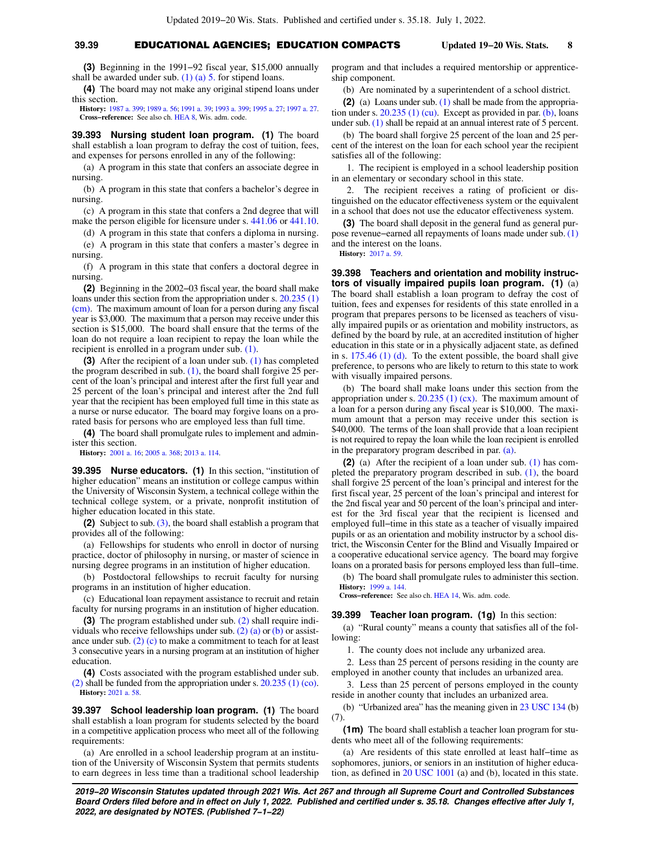# **39.39** EDUCATIONAL AGENCIES; EDUCATION COMPACTS **Updated 19−20 Wis. Stats. 8**

**(3)** Beginning in the 1991−92 fiscal year, \$15,000 annually shall be awarded under sub.  $(1)$   $(a)$  5. for stipend loans.

**(4)** The board may not make any original stipend loans under this section.

**History:** [1987 a. 399;](https://docs.legis.wisconsin.gov/document/acts/1987/399) [1989 a. 56;](https://docs.legis.wisconsin.gov/document/acts/1989/56) [1991 a. 39;](https://docs.legis.wisconsin.gov/document/acts/1991/39) [1993 a. 399](https://docs.legis.wisconsin.gov/document/acts/1993/399); [1995 a. 27](https://docs.legis.wisconsin.gov/document/acts/1995/27); [1997 a. 27](https://docs.legis.wisconsin.gov/document/acts/1997/27). **Cross−reference:** See also ch. [HEA 8,](https://docs.legis.wisconsin.gov/document/administrativecode/ch.%20HEA%208) Wis. adm. code.

**39.393 Nursing student loan program. (1)** The board shall establish a loan program to defray the cost of tuition, fees, and expenses for persons enrolled in any of the following:

(a) A program in this state that confers an associate degree in nursing.

(b) A program in this state that confers a bachelor's degree in nursing.

(c) A program in this state that confers a 2nd degree that will make the person eligible for licensure under s. [441.06](https://docs.legis.wisconsin.gov/document/statutes/441.06) or [441.10.](https://docs.legis.wisconsin.gov/document/statutes/441.10)

(d) A program in this state that confers a diploma in nursing.

(e) A program in this state that confers a master's degree in nursing.

(f) A program in this state that confers a doctoral degree in nursing.

**(2)** Beginning in the 2002−03 fiscal year, the board shall make loans under this section from the appropriation under s. [20.235 \(1\)](https://docs.legis.wisconsin.gov/document/statutes/20.235(1)(cm)) [\(cm\).](https://docs.legis.wisconsin.gov/document/statutes/20.235(1)(cm)) The maximum amount of loan for a person during any fiscal year is \$3,000. The maximum that a person may receive under this section is \$15,000. The board shall ensure that the terms of the loan do not require a loan recipient to repay the loan while the recipient is enrolled in a program under sub. [\(1\).](https://docs.legis.wisconsin.gov/document/statutes/39.393(1))

**(3)** After the recipient of a loan under sub. [\(1\)](https://docs.legis.wisconsin.gov/document/statutes/39.393(1)) has completed the program described in sub.  $(1)$ , the board shall forgive  $25$  percent of the loan's principal and interest after the first full year and 25 percent of the loan's principal and interest after the 2nd full year that the recipient has been employed full time in this state as a nurse or nurse educator. The board may forgive loans on a prorated basis for persons who are employed less than full time.

**(4)** The board shall promulgate rules to implement and administer this section.

**History:** [2001 a. 16;](https://docs.legis.wisconsin.gov/document/acts/2001/16) [2005 a. 368;](https://docs.legis.wisconsin.gov/document/acts/2005/368) [2013 a. 114.](https://docs.legis.wisconsin.gov/document/acts/2013/114)

**39.395 Nurse educators. (1)** In this section, "institution of higher education" means an institution or college campus within the University of Wisconsin System, a technical college within the technical college system, or a private, nonprofit institution of higher education located in this state.

**(2)** Subject to sub. [\(3\)](https://docs.legis.wisconsin.gov/document/statutes/39.395(3)), the board shall establish a program that provides all of the following:

(a) Fellowships for students who enroll in doctor of nursing practice, doctor of philosophy in nursing, or master of science in nursing degree programs in an institution of higher education.

(b) Postdoctoral fellowships to recruit faculty for nursing programs in an institution of higher education.

(c) Educational loan repayment assistance to recruit and retain faculty for nursing programs in an institution of higher education.

**(3)** The program established under sub. [\(2\)](https://docs.legis.wisconsin.gov/document/statutes/39.395(2)) shall require indi-viduals who receive fellowships under sub. [\(2\) \(a\)](https://docs.legis.wisconsin.gov/document/statutes/39.395(2)(a)) or [\(b\)](https://docs.legis.wisconsin.gov/document/statutes/39.395(2)(b)) or assistance under sub. [\(2\) \(c\)](https://docs.legis.wisconsin.gov/document/statutes/39.395(2)(c)) to make a commitment to teach for at least 3 consecutive years in a nursing program at an institution of higher education.

**(4)** Costs associated with the program established under sub. [\(2\)](https://docs.legis.wisconsin.gov/document/statutes/39.395(2)) shall be funded from the appropriation under s. [20.235 \(1\) \(co\).](https://docs.legis.wisconsin.gov/document/statutes/20.235(1)(co)) **History:** [2021 a. 58](https://docs.legis.wisconsin.gov/document/acts/2021/58).

**39.397 School leadership loan program. (1)** The board shall establish a loan program for students selected by the board in a competitive application process who meet all of the following requirements:

(a) Are enrolled in a school leadership program at an institution of the University of Wisconsin System that permits students to earn degrees in less time than a traditional school leadership program and that includes a required mentorship or apprenticeship component.

(b) Are nominated by a superintendent of a school district.

**(2)** (a) Loans under sub. [\(1\)](https://docs.legis.wisconsin.gov/document/statutes/39.397(1)) shall be made from the appropriation under s.  $20.235$  (1) (cu). Except as provided in par. [\(b\)](https://docs.legis.wisconsin.gov/document/statutes/39.397(2)(b)), loans under sub. [\(1\)](https://docs.legis.wisconsin.gov/document/statutes/39.397(1)) shall be repaid at an annual interest rate of 5 percent.

(b) The board shall forgive 25 percent of the loan and 25 percent of the interest on the loan for each school year the recipient satisfies all of the following:

1. The recipient is employed in a school leadership position in an elementary or secondary school in this state.

2. The recipient receives a rating of proficient or distinguished on the educator effectiveness system or the equivalent in a school that does not use the educator effectiveness system.

**(3)** The board shall deposit in the general fund as general purpose revenue−earned all repayments of loans made under sub. [\(1\)](https://docs.legis.wisconsin.gov/document/statutes/39.397(1)) and the interest on the loans.

**History:** [2017 a. 59](https://docs.legis.wisconsin.gov/document/acts/2017/59).

**39.398 Teachers and orientation and mobility instructors of visually impaired pupils loan program. (1)** (a) The board shall establish a loan program to defray the cost of tuition, fees and expenses for residents of this state enrolled in a program that prepares persons to be licensed as teachers of visually impaired pupils or as orientation and mobility instructors, as defined by the board by rule, at an accredited institution of higher education in this state or in a physically adjacent state, as defined in s. [175.46 \(1\) \(d\).](https://docs.legis.wisconsin.gov/document/statutes/175.46(1)(d)) To the extent possible, the board shall give preference, to persons who are likely to return to this state to work with visually impaired persons.

(b) The board shall make loans under this section from the appropriation under s.  $20.235$  (1) (cx). The maximum amount of a loan for a person during any fiscal year is \$10,000. The maximum amount that a person may receive under this section is \$40,000. The terms of the loan shall provide that a loan recipient is not required to repay the loan while the loan recipient is enrolled in the preparatory program described in par. [\(a\)](https://docs.legis.wisconsin.gov/document/statutes/39.398(1)(a)).

**(2)** (a) After the recipient of a loan under sub. [\(1\)](https://docs.legis.wisconsin.gov/document/statutes/39.398(1)) has completed the preparatory program described in sub. [\(1\),](https://docs.legis.wisconsin.gov/document/statutes/39.398(1)) the board shall forgive 25 percent of the loan's principal and interest for the first fiscal year, 25 percent of the loan's principal and interest for the 2nd fiscal year and 50 percent of the loan's principal and interest for the 3rd fiscal year that the recipient is licensed and employed full−time in this state as a teacher of visually impaired pupils or as an orientation and mobility instructor by a school district, the Wisconsin Center for the Blind and Visually Impaired or a cooperative educational service agency. The board may forgive loans on a prorated basis for persons employed less than full−time.

(b) The board shall promulgate rules to administer this section. **History:** [1999 a. 144.](https://docs.legis.wisconsin.gov/document/acts/1999/144)

**Cross−reference:** See also ch. [HEA 14](https://docs.legis.wisconsin.gov/document/administrativecode/ch.%20HEA%2014), Wis. adm. code.

### **39.399 Teacher loan program. (1g)** In this section:

(a) "Rural county" means a county that satisfies all of the following:

1. The county does not include any urbanized area.

2. Less than 25 percent of persons residing in the county are employed in another county that includes an urbanized area.

3. Less than 25 percent of persons employed in the county reside in another county that includes an urbanized area.

(b) "Urbanized area" has the meaning given in [23 USC 134](https://docs.legis.wisconsin.gov/document/usc/23%20USC%20134) (b) (7).

**(1m)** The board shall establish a teacher loan program for students who meet all of the following requirements:

(a) Are residents of this state enrolled at least half−time as sophomores, juniors, or seniors in an institution of higher education, as defined in [20 USC 1001](https://docs.legis.wisconsin.gov/document/usc/20%20USC%201001) (a) and (b), located in this state.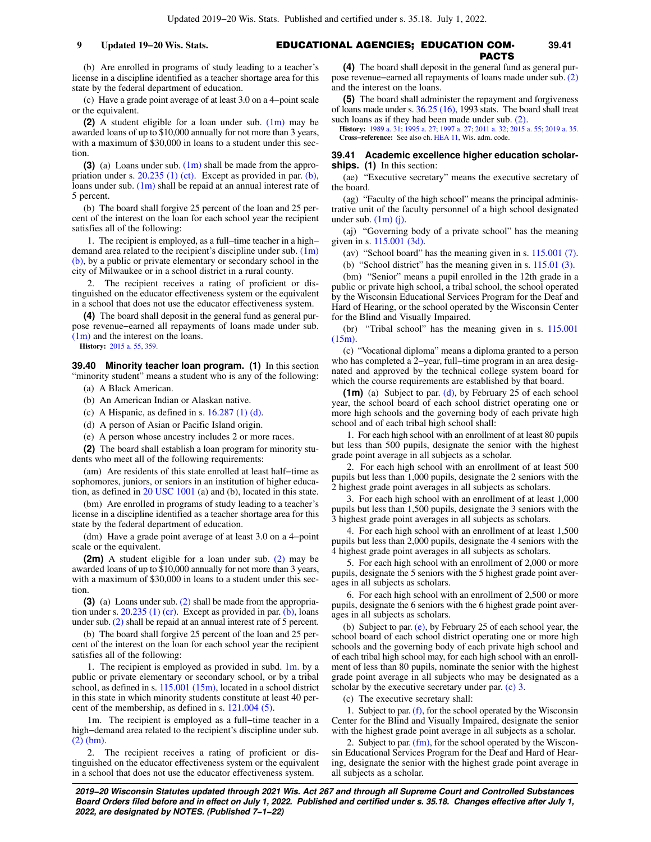# **9** Updated 19–20 Wis. Stats. **19.41 EDUCATIONAL AGENCIES; EDUCATION COM-** 39.41 PACTS

(b) Are enrolled in programs of study leading to a teacher's license in a discipline identified as a teacher shortage area for this state by the federal department of education.

(c) Have a grade point average of at least 3.0 on a 4−point scale or the equivalent.

**(2)** A student eligible for a loan under sub. [\(1m\)](https://docs.legis.wisconsin.gov/document/statutes/39.399(1m)) may be awarded loans of up to \$10,000 annually for not more than 3 years, with a maximum of \$30,000 in loans to a student under this section.

**(3)** (a) Loans under sub. [\(1m\)](https://docs.legis.wisconsin.gov/document/statutes/39.399(1m)) shall be made from the appropriation under s. [20.235 \(1\) \(ct\)](https://docs.legis.wisconsin.gov/document/statutes/20.235(1)(ct)). Except as provided in par. [\(b\),](https://docs.legis.wisconsin.gov/document/statutes/39.399(3)(b)) loans under sub. [\(1m\)](https://docs.legis.wisconsin.gov/document/statutes/39.399(1m)) shall be repaid at an annual interest rate of 5 percent.

(b) The board shall forgive 25 percent of the loan and 25 percent of the interest on the loan for each school year the recipient satisfies all of the following:

1. The recipient is employed, as a full−time teacher in a high− demand area related to the recipient's discipline under sub. [\(1m\)](https://docs.legis.wisconsin.gov/document/statutes/39.399(1m)(b)) [\(b\)](https://docs.legis.wisconsin.gov/document/statutes/39.399(1m)(b)), by a public or private elementary or secondary school in the city of Milwaukee or in a school district in a rural county.

2. The recipient receives a rating of proficient or distinguished on the educator effectiveness system or the equivalent in a school that does not use the educator effectiveness system.

**(4)** The board shall deposit in the general fund as general purpose revenue−earned all repayments of loans made under sub. [\(1m\)](https://docs.legis.wisconsin.gov/document/statutes/39.399(1m)) and the interest on the loans.

**History:** [2015 a. 55,](https://docs.legis.wisconsin.gov/document/acts/2015/55) [359.](https://docs.legis.wisconsin.gov/document/acts/2015/359)

**39.40 Minority teacher loan program. (1)** In this section "minority student" means a student who is any of the following:

- (a) A Black American.
- (b) An American Indian or Alaskan native.
- (c) A Hispanic, as defined in s.  $16.287(1)$  (d).
- (d) A person of Asian or Pacific Island origin.
- (e) A person whose ancestry includes 2 or more races.

**(2)** The board shall establish a loan program for minority students who meet all of the following requirements:

(am) Are residents of this state enrolled at least half−time as sophomores, juniors, or seniors in an institution of higher education, as defined in [20 USC 1001](https://docs.legis.wisconsin.gov/document/usc/20%20USC%201001) (a) and (b), located in this state.

(bm) Are enrolled in programs of study leading to a teacher's license in a discipline identified as a teacher shortage area for this state by the federal department of education.

(dm) Have a grade point average of at least 3.0 on a 4−point scale or the equivalent.

**(2m)** A student eligible for a loan under sub. [\(2\)](https://docs.legis.wisconsin.gov/document/statutes/39.40(2)) may be awarded loans of up to \$10,000 annually for not more than 3 years, with a maximum of \$30,000 in loans to a student under this section.

**(3)** (a) Loans under sub. [\(2\)](https://docs.legis.wisconsin.gov/document/statutes/39.40(2)) shall be made from the appropriation under s.  $20.235$  (1) (cr). Except as provided in par. [\(b\),](https://docs.legis.wisconsin.gov/document/statutes/39.40(3)(b)) loans under sub. [\(2\)](https://docs.legis.wisconsin.gov/document/statutes/39.40(2)) shall be repaid at an annual interest rate of 5 percent.

(b) The board shall forgive 25 percent of the loan and 25 percent of the interest on the loan for each school year the recipient satisfies all of the following:

1. The recipient is employed as provided in subd. [1m.](https://docs.legis.wisconsin.gov/document/statutes/39.40(3)(b)1m.) by a public or private elementary or secondary school, or by a tribal school, as defined in s. [115.001 \(15m\),](https://docs.legis.wisconsin.gov/document/statutes/115.001(15m)) located in a school district in this state in which minority students constitute at least 40 percent of the membership, as defined in s. [121.004 \(5\)](https://docs.legis.wisconsin.gov/document/statutes/121.004(5)).

1m. The recipient is employed as a full−time teacher in a high−demand area related to the recipient's discipline under sub. [\(2\) \(bm\)](https://docs.legis.wisconsin.gov/document/statutes/39.40(2)(bm)).

2. The recipient receives a rating of proficient or distinguished on the educator effectiveness system or the equivalent in a school that does not use the educator effectiveness system.

**(4)** The board shall deposit in the general fund as general purpose revenue−earned all repayments of loans made under sub. [\(2\)](https://docs.legis.wisconsin.gov/document/statutes/39.40(2)) and the interest on the loans.

**(5)** The board shall administer the repayment and forgiveness of loans made under s. [36.25 \(16\)](https://docs.legis.wisconsin.gov/document/statutes/1993/36.25(16)), 1993 stats. The board shall treat such loans as if they had been made under sub.  $(2)$ .

**History:** [1989 a. 31](https://docs.legis.wisconsin.gov/document/acts/1989/31); [1995 a. 27](https://docs.legis.wisconsin.gov/document/acts/1995/27); [1997 a. 27](https://docs.legis.wisconsin.gov/document/acts/1997/27); [2011 a. 32](https://docs.legis.wisconsin.gov/document/acts/2011/32); [2015 a. 55](https://docs.legis.wisconsin.gov/document/acts/2015/55); [2019 a. 35](https://docs.legis.wisconsin.gov/document/acts/2019/35). **Cross−reference:** See also ch. [HEA 11](https://docs.legis.wisconsin.gov/document/administrativecode/ch.%20HEA%2011), Wis. adm. code.

### **39.41 Academic excellence higher education scholarships. (1)** In this section:

(ae) "Executive secretary" means the executive secretary of the board.

(ag) "Faculty of the high school" means the principal administrative unit of the faculty personnel of a high school designated under sub.  $(1m)$  (j).

(aj) "Governing body of a private school" has the meaning given in s. [115.001 \(3d\)](https://docs.legis.wisconsin.gov/document/statutes/115.001(3d)).

(av) "School board" has the meaning given in s. [115.001 \(7\).](https://docs.legis.wisconsin.gov/document/statutes/115.001(7))

(b) "School district" has the meaning given in s. [115.01 \(3\).](https://docs.legis.wisconsin.gov/document/statutes/115.01(3))

(bm) "Senior" means a pupil enrolled in the 12th grade in a public or private high school, a tribal school, the school operated by the Wisconsin Educational Services Program for the Deaf and Hard of Hearing, or the school operated by the Wisconsin Center for the Blind and Visually Impaired.

(br) "Tribal school" has the meaning given in s. [115.001](https://docs.legis.wisconsin.gov/document/statutes/115.001(15m)) [\(15m\)](https://docs.legis.wisconsin.gov/document/statutes/115.001(15m)).

(c) "Vocational diploma" means a diploma granted to a person who has completed a 2−year, full−time program in an area designated and approved by the technical college system board for which the course requirements are established by that board.

**(1m)** (a) Subject to par. [\(d\),](https://docs.legis.wisconsin.gov/document/statutes/39.41(1m)(d)) by February 25 of each school year, the school board of each school district operating one or more high schools and the governing body of each private high school and of each tribal high school shall:

1. For each high school with an enrollment of at least 80 pupils but less than 500 pupils, designate the senior with the highest grade point average in all subjects as a scholar.

2. For each high school with an enrollment of at least 500 pupils but less than 1,000 pupils, designate the 2 seniors with the 2 highest grade point averages in all subjects as scholars.

3. For each high school with an enrollment of at least 1,000 pupils but less than 1,500 pupils, designate the 3 seniors with the 3 highest grade point averages in all subjects as scholars.

4. For each high school with an enrollment of at least 1,500 pupils but less than 2,000 pupils, designate the 4 seniors with the 4 highest grade point averages in all subjects as scholars.

5. For each high school with an enrollment of 2,000 or more pupils, designate the 5 seniors with the 5 highest grade point averages in all subjects as scholars.

6. For each high school with an enrollment of 2,500 or more pupils, designate the 6 seniors with the 6 highest grade point averages in all subjects as scholars.

(b) Subject to par. [\(e\)](https://docs.legis.wisconsin.gov/document/statutes/39.41(1m)(e)), by February 25 of each school year, the school board of each school district operating one or more high schools and the governing body of each private high school and of each tribal high school may, for each high school with an enrollment of less than 80 pupils, nominate the senior with the highest grade point average in all subjects who may be designated as a scholar by the executive secretary under par. [\(c\) 3.](https://docs.legis.wisconsin.gov/document/statutes/39.41(1m)(c)3.)

(c) The executive secretary shall:

1. Subject to par. [\(f\)](https://docs.legis.wisconsin.gov/document/statutes/39.41(1m)(f)), for the school operated by the Wisconsin Center for the Blind and Visually Impaired, designate the senior with the highest grade point average in all subjects as a scholar.

2. Subject to par. [\(fm\)](https://docs.legis.wisconsin.gov/document/statutes/39.41(1m)(fm)), for the school operated by the Wisconsin Educational Services Program for the Deaf and Hard of Hearing, designate the senior with the highest grade point average in all subjects as a scholar.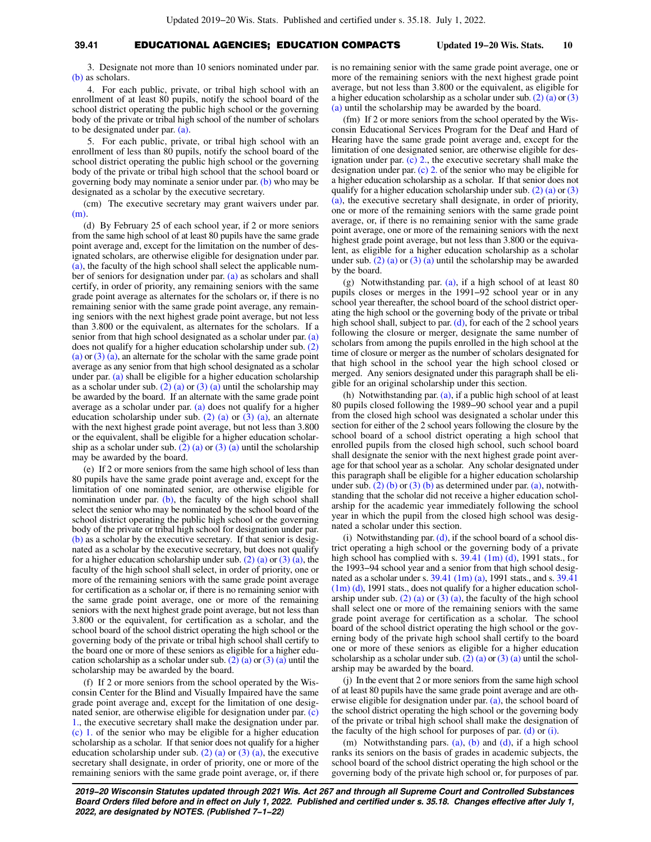3. Designate not more than 10 seniors nominated under par. [\(b\)](https://docs.legis.wisconsin.gov/document/statutes/39.41(1m)(b)) as scholars.

4. For each public, private, or tribal high school with an enrollment of at least 80 pupils, notify the school board of the school district operating the public high school or the governing body of the private or tribal high school of the number of scholars to be designated under par. [\(a\)](https://docs.legis.wisconsin.gov/document/statutes/39.41(1m)(a)).

5. For each public, private, or tribal high school with an enrollment of less than 80 pupils, notify the school board of the school district operating the public high school or the governing body of the private or tribal high school that the school board or governing body may nominate a senior under par. [\(b\)](https://docs.legis.wisconsin.gov/document/statutes/39.41(1m)(b)) who may be designated as a scholar by the executive secretary.

(cm) The executive secretary may grant waivers under par. [\(m\).](https://docs.legis.wisconsin.gov/document/statutes/39.41(1m)(m))

(d) By February 25 of each school year, if 2 or more seniors from the same high school of at least 80 pupils have the same grade point average and, except for the limitation on the number of designated scholars, are otherwise eligible for designation under par. [\(a\),](https://docs.legis.wisconsin.gov/document/statutes/39.41(1m)(a)) the faculty of the high school shall select the applicable number of seniors for designation under par. [\(a\)](https://docs.legis.wisconsin.gov/document/statutes/39.41(1m)(a)) as scholars and shall certify, in order of priority, any remaining seniors with the same grade point average as alternates for the scholars or, if there is no remaining senior with the same grade point average, any remaining seniors with the next highest grade point average, but not less than 3.800 or the equivalent, as alternates for the scholars. If a senior from that high school designated as a scholar under par. [\(a\)](https://docs.legis.wisconsin.gov/document/statutes/39.41(1m)(a)) does not qualify for a higher education scholarship under sub. [\(2\)](https://docs.legis.wisconsin.gov/document/statutes/39.41(2)(a)) [\(a\)](https://docs.legis.wisconsin.gov/document/statutes/39.41(2)(a)) or [\(3\) \(a\)](https://docs.legis.wisconsin.gov/document/statutes/39.41(3)(a)), an alternate for the scholar with the same grade point average as any senior from that high school designated as a scholar under par. [\(a\)](https://docs.legis.wisconsin.gov/document/statutes/39.41(1m)(a)) shall be eligible for a higher education scholarship as a scholar under sub. [\(2\) \(a\)](https://docs.legis.wisconsin.gov/document/statutes/39.41(2)(a)) or [\(3\) \(a\)](https://docs.legis.wisconsin.gov/document/statutes/39.41(3)(a)) until the scholarship may be awarded by the board. If an alternate with the same grade point average as a scholar under par. [\(a\)](https://docs.legis.wisconsin.gov/document/statutes/39.41(1m)(a)) does not qualify for a higher education scholarship under sub.  $(2)$  (a) or  $(3)$  (a), an alternate with the next highest grade point average, but not less than 3.800 or the equivalent, shall be eligible for a higher education scholar-ship as a scholar under sub. [\(2\) \(a\)](https://docs.legis.wisconsin.gov/document/statutes/39.41(2)(a)) or [\(3\) \(a\)](https://docs.legis.wisconsin.gov/document/statutes/39.41(3)(a)) until the scholarship may be awarded by the board.

(e) If 2 or more seniors from the same high school of less than 80 pupils have the same grade point average and, except for the limitation of one nominated senior, are otherwise eligible for nomination under par.  $(b)$ , the faculty of the high school shall select the senior who may be nominated by the school board of the school district operating the public high school or the governing body of the private or tribal high school for designation under par. [\(b\)](https://docs.legis.wisconsin.gov/document/statutes/39.41(1m)(b)) as a scholar by the executive secretary. If that senior is designated as a scholar by the executive secretary, but does not qualify for a higher education scholarship under sub.  $(2)$  (a) or  $(3)$  (a), the faculty of the high school shall select, in order of priority, one or more of the remaining seniors with the same grade point average for certification as a scholar or, if there is no remaining senior with the same grade point average, one or more of the remaining seniors with the next highest grade point average, but not less than 3.800 or the equivalent, for certification as a scholar, and the school board of the school district operating the high school or the governing body of the private or tribal high school shall certify to the board one or more of these seniors as eligible for a higher education scholarship as a scholar under sub.  $(2)$  (a) or  $(3)$  (a) until the scholarship may be awarded by the board.

(f) If 2 or more seniors from the school operated by the Wisconsin Center for the Blind and Visually Impaired have the same grade point average and, except for the limitation of one designated senior, are otherwise eligible for designation under par. [\(c\)](https://docs.legis.wisconsin.gov/document/statutes/39.41(1m)(c)1.) [1.,](https://docs.legis.wisconsin.gov/document/statutes/39.41(1m)(c)1.) the executive secretary shall make the designation under par. [\(c\) 1.](https://docs.legis.wisconsin.gov/document/statutes/39.41(1m)(c)1.) of the senior who may be eligible for a higher education scholarship as a scholar. If that senior does not qualify for a higher education scholarship under sub. [\(2\) \(a\)](https://docs.legis.wisconsin.gov/document/statutes/39.41(2)(a)) or [\(3\) \(a\)](https://docs.legis.wisconsin.gov/document/statutes/39.41(3)(a)), the executive secretary shall designate, in order of priority, one or more of the remaining seniors with the same grade point average, or, if there

is no remaining senior with the same grade point average, one or more of the remaining seniors with the next highest grade point average, but not less than 3.800 or the equivalent, as eligible for a higher education scholarship as a scholar under sub. [\(2\) \(a\)](https://docs.legis.wisconsin.gov/document/statutes/39.41(2)(a)) or [\(3\)](https://docs.legis.wisconsin.gov/document/statutes/39.41(3)(a)) [\(a\)](https://docs.legis.wisconsin.gov/document/statutes/39.41(3)(a)) until the scholarship may be awarded by the board.

(fm) If 2 or more seniors from the school operated by the Wisconsin Educational Services Program for the Deaf and Hard of Hearing have the same grade point average and, except for the limitation of one designated senior, are otherwise eligible for designation under par. (c)  $2$ ., the executive secretary shall make the designation under par.  $(c)$  2. of the senior who may be eligible for a higher education scholarship as a scholar. If that senior does not qualify for a higher education scholarship under sub.  $(2)$  (a) or  $(3)$ [\(a\)](https://docs.legis.wisconsin.gov/document/statutes/39.41(3)(a)), the executive secretary shall designate, in order of priority, one or more of the remaining seniors with the same grade point average, or, if there is no remaining senior with the same grade point average, one or more of the remaining seniors with the next highest grade point average, but not less than 3.800 or the equivalent, as eligible for a higher education scholarship as a scholar under sub.  $(2)$  (a) or  $(3)$  (a) until the scholarship may be awarded by the board.

(g) Notwithstanding par. [\(a\),](https://docs.legis.wisconsin.gov/document/statutes/39.41(1m)(a)) if a high school of at least 80 pupils closes or merges in the 1991−92 school year or in any school year thereafter, the school board of the school district operating the high school or the governing body of the private or tribal high school shall, subject to par.  $(d)$ , for each of the 2 school years following the closure or merger, designate the same number of scholars from among the pupils enrolled in the high school at the time of closure or merger as the number of scholars designated for that high school in the school year the high school closed or merged. Any seniors designated under this paragraph shall be eligible for an original scholarship under this section.

(h) Notwithstanding par. [\(a\)](https://docs.legis.wisconsin.gov/document/statutes/39.41(1m)(a)), if a public high school of at least 80 pupils closed following the 1989−90 school year and a pupil from the closed high school was designated a scholar under this section for either of the 2 school years following the closure by the school board of a school district operating a high school that enrolled pupils from the closed high school, such school board shall designate the senior with the next highest grade point average for that school year as a scholar. Any scholar designated under this paragraph shall be eligible for a higher education scholarship under sub.  $(2)$  (b) or  $(3)$  (b) as determined under par.  $(a)$ , notwithstanding that the scholar did not receive a higher education scholarship for the academic year immediately following the school year in which the pupil from the closed high school was designated a scholar under this section.

(i) Notwithstanding par. [\(d\)](https://docs.legis.wisconsin.gov/document/statutes/39.41(1m)(d)), if the school board of a school district operating a high school or the governing body of a private high school has complied with s. [39.41 \(1m\) \(d\),](https://docs.legis.wisconsin.gov/document/statutes/1991/39.41(1m)(d)) 1991 stats., for the 1993−94 school year and a senior from that high school designated as a scholar under s. [39.41 \(1m\) \(a\)](https://docs.legis.wisconsin.gov/document/statutes/1991/39.41(1m)(a)), 1991 stats., and s. [39.41](https://docs.legis.wisconsin.gov/document/statutes/1991/39.41(1m)(d)) [\(1m\) \(d\)](https://docs.legis.wisconsin.gov/document/statutes/1991/39.41(1m)(d)), 1991 stats., does not qualify for a higher education schol-arship under sub. [\(2\) \(a\)](https://docs.legis.wisconsin.gov/document/statutes/39.41(2)(a)) or [\(3\) \(a\)](https://docs.legis.wisconsin.gov/document/statutes/39.41(3)(a)), the faculty of the high school shall select one or more of the remaining seniors with the same grade point average for certification as a scholar. The school board of the school district operating the high school or the governing body of the private high school shall certify to the board one or more of these seniors as eligible for a higher education scholarship as a scholar under sub. [\(2\) \(a\)](https://docs.legis.wisconsin.gov/document/statutes/39.41(2)(a)) or [\(3\) \(a\)](https://docs.legis.wisconsin.gov/document/statutes/39.41(3)(a)) until the scholarship may be awarded by the board.

(j) In the event that 2 or more seniors from the same high school of at least 80 pupils have the same grade point average and are otherwise eligible for designation under par. [\(a\)](https://docs.legis.wisconsin.gov/document/statutes/39.41(1m)(a)), the school board of the school district operating the high school or the governing body of the private or tribal high school shall make the designation of the faculty of the high school for purposes of par.  $(d)$  or  $(i)$ .

(m) Notwithstanding pars. [\(a\)](https://docs.legis.wisconsin.gov/document/statutes/39.41(1m)(a)), [\(b\)](https://docs.legis.wisconsin.gov/document/statutes/39.41(1m)(b)) and [\(d\),](https://docs.legis.wisconsin.gov/document/statutes/39.41(1m)(d)) if a high school ranks its seniors on the basis of grades in academic subjects, the school board of the school district operating the high school or the governing body of the private high school or, for purposes of par.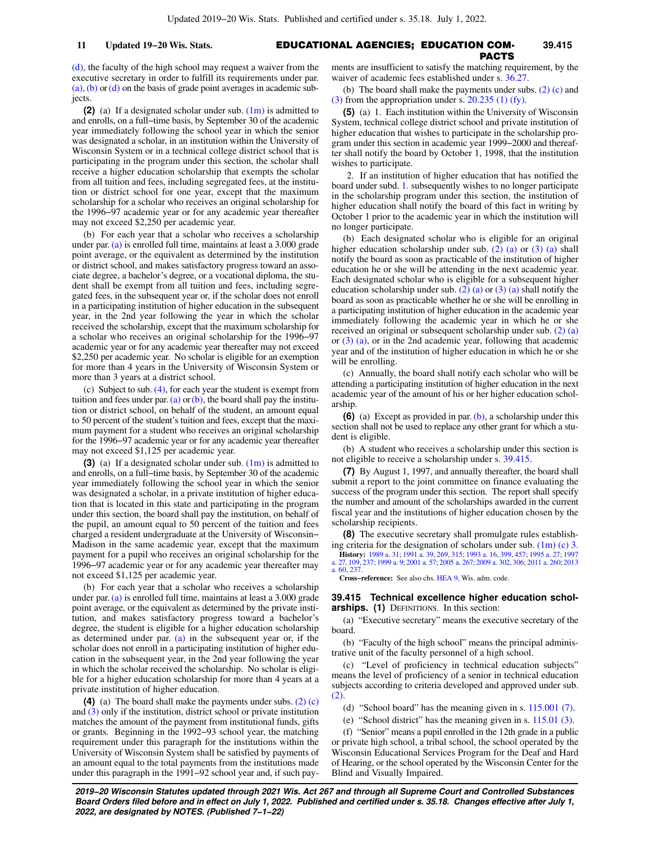# EDUCATIONAL AGENCIES; EDUCATION COM-**11 Updated 19−20 Wis. Stats. 39.415** PACTS

[\(d\)](https://docs.legis.wisconsin.gov/document/statutes/39.41(1m)(d)), the faculty of the high school may request a waiver from the executive secretary in order to fulfill its requirements under par. [\(a\),](https://docs.legis.wisconsin.gov/document/statutes/39.41(1m)(a))[\(b\)](https://docs.legis.wisconsin.gov/document/statutes/39.41(1m)(b)) or [\(d\)](https://docs.legis.wisconsin.gov/document/statutes/39.41(1m)(d)) on the basis of grade point averages in academic subjects.

**(2)** (a) If a designated scholar under sub. [\(1m\)](https://docs.legis.wisconsin.gov/document/statutes/39.41(1m)) is admitted to and enrolls, on a full−time basis, by September 30 of the academic year immediately following the school year in which the senior was designated a scholar, in an institution within the University of Wisconsin System or in a technical college district school that is participating in the program under this section, the scholar shall receive a higher education scholarship that exempts the scholar from all tuition and fees, including segregated fees, at the institution or district school for one year, except that the maximum scholarship for a scholar who receives an original scholarship for the 1996−97 academic year or for any academic year thereafter may not exceed \$2,250 per academic year.

(b) For each year that a scholar who receives a scholarship under par. [\(a\)](https://docs.legis.wisconsin.gov/document/statutes/39.41(2)(a)) is enrolled full time, maintains at least a 3.000 grade point average, or the equivalent as determined by the institution or district school, and makes satisfactory progress toward an associate degree, a bachelor's degree, or a vocational diploma, the student shall be exempt from all tuition and fees, including segregated fees, in the subsequent year or, if the scholar does not enroll in a participating institution of higher education in the subsequent year, in the 2nd year following the year in which the scholar received the scholarship, except that the maximum scholarship for a scholar who receives an original scholarship for the 1996−97 academic year or for any academic year thereafter may not exceed \$2,250 per academic year. No scholar is eligible for an exemption for more than 4 years in the University of Wisconsin System or more than 3 years at a district school.

(c) Subject to sub. [\(4\),](https://docs.legis.wisconsin.gov/document/statutes/39.41(4)) for each year the student is exempt from tuition and fees under par. [\(a\)](https://docs.legis.wisconsin.gov/document/statutes/39.41(2)(a)) or [\(b\),](https://docs.legis.wisconsin.gov/document/statutes/39.41(2)(b)) the board shall pay the institution or district school, on behalf of the student, an amount equal to 50 percent of the student's tuition and fees, except that the maximum payment for a student who receives an original scholarship for the 1996−97 academic year or for any academic year thereafter may not exceed \$1,125 per academic year.

**(3)** (a) If a designated scholar under sub. [\(1m\)](https://docs.legis.wisconsin.gov/document/statutes/39.41(1m)) is admitted to and enrolls, on a full−time basis, by September 30 of the academic year immediately following the school year in which the senior was designated a scholar, in a private institution of higher education that is located in this state and participating in the program under this section, the board shall pay the institution, on behalf of the pupil, an amount equal to 50 percent of the tuition and fees charged a resident undergraduate at the University of Wisconsin− Madison in the same academic year, except that the maximum payment for a pupil who receives an original scholarship for the 1996−97 academic year or for any academic year thereafter may not exceed \$1,125 per academic year.

(b) For each year that a scholar who receives a scholarship under par. [\(a\)](https://docs.legis.wisconsin.gov/document/statutes/39.41(3)(a)) is enrolled full time, maintains at least a 3.000 grade point average, or the equivalent as determined by the private institution, and makes satisfactory progress toward a bachelor's degree, the student is eligible for a higher education scholarship as determined under par. [\(a\)](https://docs.legis.wisconsin.gov/document/statutes/39.41(3)(a)) in the subsequent year or, if the scholar does not enroll in a participating institution of higher education in the subsequent year, in the 2nd year following the year in which the scholar received the scholarship. No scholar is eligible for a higher education scholarship for more than 4 years at a private institution of higher education.

**(4)** (a) The board shall make the payments under subs. [\(2\) \(c\)](https://docs.legis.wisconsin.gov/document/statutes/39.41(2)(c)) and [\(3\)](https://docs.legis.wisconsin.gov/document/statutes/39.41(3)) only if the institution, district school or private institution matches the amount of the payment from institutional funds, gifts or grants. Beginning in the 1992−93 school year, the matching requirement under this paragraph for the institutions within the University of Wisconsin System shall be satisfied by payments of an amount equal to the total payments from the institutions made under this paragraph in the 1991−92 school year and, if such payments are insufficient to satisfy the matching requirement, by the waiver of academic fees established under s. [36.27.](https://docs.legis.wisconsin.gov/document/statutes/36.27)

(b) The board shall make the payments under subs. [\(2\) \(c\)](https://docs.legis.wisconsin.gov/document/statutes/39.41(2)(c)) and [\(3\)](https://docs.legis.wisconsin.gov/document/statutes/39.41(3)) from the appropriation under s. [20.235 \(1\) \(fy\).](https://docs.legis.wisconsin.gov/document/statutes/20.235(1)(fy))

**(5)** (a) 1. Each institution within the University of Wisconsin System, technical college district school and private institution of higher education that wishes to participate in the scholarship program under this section in academic year 1999−2000 and thereafter shall notify the board by October 1, 1998, that the institution wishes to participate.

2. If an institution of higher education that has notified the board under subd. [1.](https://docs.legis.wisconsin.gov/document/statutes/39.41(5)(a)1.) subsequently wishes to no longer participate in the scholarship program under this section, the institution of higher education shall notify the board of this fact in writing by October 1 prior to the academic year in which the institution will no longer participate.

(b) Each designated scholar who is eligible for an original higher education scholarship under sub. [\(2\) \(a\)](https://docs.legis.wisconsin.gov/document/statutes/39.41(2)(a)) or [\(3\) \(a\)](https://docs.legis.wisconsin.gov/document/statutes/39.41(3)(a)) shall notify the board as soon as practicable of the institution of higher education he or she will be attending in the next academic year. Each designated scholar who is eligible for a subsequent higher education scholarship under sub. [\(2\) \(a\)](https://docs.legis.wisconsin.gov/document/statutes/39.41(2)(a)) or [\(3\) \(a\)](https://docs.legis.wisconsin.gov/document/statutes/39.41(3)(a)) shall notify the board as soon as practicable whether he or she will be enrolling in a participating institution of higher education in the academic year immediately following the academic year in which he or she received an original or subsequent scholarship under sub. [\(2\) \(a\)](https://docs.legis.wisconsin.gov/document/statutes/39.41(2)(a)) or [\(3\) \(a\)](https://docs.legis.wisconsin.gov/document/statutes/39.41(3)(a)), or in the 2nd academic year, following that academic year and of the institution of higher education in which he or she will be enrolling.

(c) Annually, the board shall notify each scholar who will be attending a participating institution of higher education in the next academic year of the amount of his or her higher education scholarship.

**(6)** (a) Except as provided in par. [\(b\)](https://docs.legis.wisconsin.gov/document/statutes/39.41(6)(b)), a scholarship under this section shall not be used to replace any other grant for which a student is eligible.

(b) A student who receives a scholarship under this section is not eligible to receive a scholarship under s. [39.415.](https://docs.legis.wisconsin.gov/document/statutes/39.415)

**(7)** By August 1, 1997, and annually thereafter, the board shall submit a report to the joint committee on finance evaluating the success of the program under this section. The report shall specify the number and amount of the scholarships awarded in the current fiscal year and the institutions of higher education chosen by the scholarship recipients.

**(8)** The executive secretary shall promulgate rules establishing criteria for the designation of scholars under sub.  $(1m)$  (c) 3.

**History:** [1989 a. 31;](https://docs.legis.wisconsin.gov/document/acts/1989/31) [1991 a. 39,](https://docs.legis.wisconsin.gov/document/acts/1991/39) [269,](https://docs.legis.wisconsin.gov/document/acts/1991/269) [315](https://docs.legis.wisconsin.gov/document/acts/1991/315); [1993 a. 16](https://docs.legis.wisconsin.gov/document/acts/1993/16), [399](https://docs.legis.wisconsin.gov/document/acts/1993/399), [457;](https://docs.legis.wisconsin.gov/document/acts/1993/457) [1995 a. 27;](https://docs.legis.wisconsin.gov/document/acts/1995/27) [1997](https://docs.legis.wisconsin.gov/document/acts/1997/27) [a. 27,](https://docs.legis.wisconsin.gov/document/acts/1997/27) [109](https://docs.legis.wisconsin.gov/document/acts/1997/109), [237;](https://docs.legis.wisconsin.gov/document/acts/1997/237) [1999 a. 9](https://docs.legis.wisconsin.gov/document/acts/1999/9); [2001 a. 57](https://docs.legis.wisconsin.gov/document/acts/2001/57); [2005 a. 267](https://docs.legis.wisconsin.gov/document/acts/2005/267); [2009 a. 302,](https://docs.legis.wisconsin.gov/document/acts/2009/302) [306;](https://docs.legis.wisconsin.gov/document/acts/2009/306) [2011 a. 260](https://docs.legis.wisconsin.gov/document/acts/2011/260); [2013](https://docs.legis.wisconsin.gov/document/acts/2013/60) [a. 60,](https://docs.legis.wisconsin.gov/document/acts/2013/60) [237.](https://docs.legis.wisconsin.gov/document/acts/2013/237)

**Cross−reference:** See also chs. [HEA 9,](https://docs.legis.wisconsin.gov/document/administrativecode/ch.%20HEA%209) Wis. adm. code.

**39.415 Technical excellence higher education scholarships. (1)** DEFINITIONS. In this section:

(a) "Executive secretary" means the executive secretary of the board.

(b) "Faculty of the high school" means the principal administrative unit of the faculty personnel of a high school.

(c) "Level of proficiency in technical education subjects" means the level of proficiency of a senior in technical education subjects according to criteria developed and approved under sub. [\(2\).](https://docs.legis.wisconsin.gov/document/statutes/39.415(2))

(d) "School board" has the meaning given in s. [115.001 \(7\)](https://docs.legis.wisconsin.gov/document/statutes/115.001(7)).

(e) "School district" has the meaning given in s. [115.01 \(3\)](https://docs.legis.wisconsin.gov/document/statutes/115.01(3)).

(f) "Senior" means a pupil enrolled in the 12th grade in a public or private high school, a tribal school, the school operated by the Wisconsin Educational Services Program for the Deaf and Hard of Hearing, or the school operated by the Wisconsin Center for the Blind and Visually Impaired.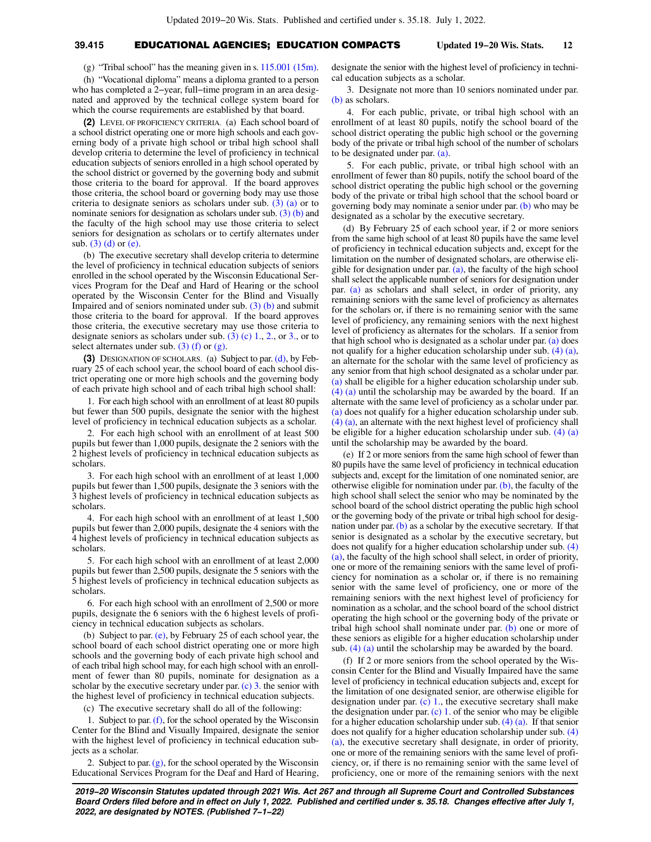# **39.415** EDUCATIONAL AGENCIES; EDUCATION COMPACTS **Updated 19−20 Wis. Stats. 12**

(g) "Tribal school" has the meaning given in s. [115.001 \(15m\).](https://docs.legis.wisconsin.gov/document/statutes/115.001(15m))

(h) "Vocational diploma" means a diploma granted to a person who has completed a 2−year, full−time program in an area designated and approved by the technical college system board for which the course requirements are established by that board.

**(2)** LEVEL OF PROFICIENCY CRITERIA. (a) Each school board of a school district operating one or more high schools and each governing body of a private high school or tribal high school shall develop criteria to determine the level of proficiency in technical education subjects of seniors enrolled in a high school operated by the school district or governed by the governing body and submit those criteria to the board for approval. If the board approves those criteria, the school board or governing body may use those criteria to designate seniors as scholars under sub. [\(3\) \(a\)](https://docs.legis.wisconsin.gov/document/statutes/39.415(3)(a)) or to nominate seniors for designation as scholars under sub. [\(3\) \(b\)](https://docs.legis.wisconsin.gov/document/statutes/39.415(3)(b)) and the faculty of the high school may use those criteria to select seniors for designation as scholars or to certify alternates under sub.  $(3)$  (d) or [\(e\)](https://docs.legis.wisconsin.gov/document/statutes/39.415(3)(e)).

(b) The executive secretary shall develop criteria to determine the level of proficiency in technical education subjects of seniors enrolled in the school operated by the Wisconsin Educational Services Program for the Deaf and Hard of Hearing or the school operated by the Wisconsin Center for the Blind and Visually Impaired and of seniors nominated under sub. [\(3\) \(b\)](https://docs.legis.wisconsin.gov/document/statutes/39.415(3)(b)) and submit those criteria to the board for approval. If the board approves those criteria, the executive secretary may use those criteria to designate seniors as scholars under sub.  $(3)$  (c) 1., [2.](https://docs.legis.wisconsin.gov/document/statutes/39.415(3)(c)2.), or [3.,](https://docs.legis.wisconsin.gov/document/statutes/39.415(3)(c)3.) or to select alternates under sub.  $(3)$  (f) or [\(g\).](https://docs.legis.wisconsin.gov/document/statutes/39.415(3)(g))

**(3)** DESIGNATION OF SCHOLARS. (a) Subject to par. [\(d\)](https://docs.legis.wisconsin.gov/document/statutes/39.415(3)(d)), by February 25 of each school year, the school board of each school district operating one or more high schools and the governing body of each private high school and of each tribal high school shall:

1. For each high school with an enrollment of at least 80 pupils but fewer than 500 pupils, designate the senior with the highest level of proficiency in technical education subjects as a scholar.

2. For each high school with an enrollment of at least 500 pupils but fewer than 1,000 pupils, designate the 2 seniors with the 2 highest levels of proficiency in technical education subjects as scholars.

3. For each high school with an enrollment of at least 1,000 pupils but fewer than 1,500 pupils, designate the 3 seniors with the 3 highest levels of proficiency in technical education subjects as scholars.

4. For each high school with an enrollment of at least 1,500 pupils but fewer than 2,000 pupils, designate the 4 seniors with the 4 highest levels of proficiency in technical education subjects as scholars.

5. For each high school with an enrollment of at least 2,000 pupils but fewer than 2,500 pupils, designate the 5 seniors with the 5 highest levels of proficiency in technical education subjects as scholars.

6. For each high school with an enrollment of 2,500 or more pupils, designate the 6 seniors with the 6 highest levels of proficiency in technical education subjects as scholars.

(b) Subject to par. [\(e\),](https://docs.legis.wisconsin.gov/document/statutes/39.415(3)(e)) by February 25 of each school year, the school board of each school district operating one or more high schools and the governing body of each private high school and of each tribal high school may, for each high school with an enrollment of fewer than 80 pupils, nominate for designation as a scholar by the executive secretary under par.  $(c)$  3. the senior with the highest level of proficiency in technical education subjects.

(c) The executive secretary shall do all of the following:

1. Subject to par. [\(f\),](https://docs.legis.wisconsin.gov/document/statutes/39.415(3)(f)) for the school operated by the Wisconsin Center for the Blind and Visually Impaired, designate the senior with the highest level of proficiency in technical education subjects as a scholar.

2. Subject to par.  $(g)$ , for the school operated by the Wisconsin Educational Services Program for the Deaf and Hard of Hearing,

designate the senior with the highest level of proficiency in technical education subjects as a scholar.

3. Designate not more than 10 seniors nominated under par. [\(b\)](https://docs.legis.wisconsin.gov/document/statutes/39.415(3)(b)) as scholars.

4. For each public, private, or tribal high school with an enrollment of at least 80 pupils, notify the school board of the school district operating the public high school or the governing body of the private or tribal high school of the number of scholars to be designated under par. [\(a\).](https://docs.legis.wisconsin.gov/document/statutes/39.415(3)(a))

5. For each public, private, or tribal high school with an enrollment of fewer than 80 pupils, notify the school board of the school district operating the public high school or the governing body of the private or tribal high school that the school board or governing body may nominate a senior under par. [\(b\)](https://docs.legis.wisconsin.gov/document/statutes/39.415(3)(b)) who may be designated as a scholar by the executive secretary.

(d) By February 25 of each school year, if 2 or more seniors from the same high school of at least 80 pupils have the same level of proficiency in technical education subjects and, except for the limitation on the number of designated scholars, are otherwise eligible for designation under par.  $(a)$ , the faculty of the high school shall select the applicable number of seniors for designation under par. [\(a\)](https://docs.legis.wisconsin.gov/document/statutes/39.415(3)(a)) as scholars and shall select, in order of priority, any remaining seniors with the same level of proficiency as alternates for the scholars or, if there is no remaining senior with the same level of proficiency, any remaining seniors with the next highest level of proficiency as alternates for the scholars. If a senior from that high school who is designated as a scholar under par. [\(a\)](https://docs.legis.wisconsin.gov/document/statutes/39.415(3)(a)) does not qualify for a higher education scholarship under sub. [\(4\) \(a\),](https://docs.legis.wisconsin.gov/document/statutes/39.415(4)(a)) an alternate for the scholar with the same level of proficiency as any senior from that high school designated as a scholar under par. [\(a\)](https://docs.legis.wisconsin.gov/document/statutes/39.415(3)(a)) shall be eligible for a higher education scholarship under sub. [\(4\) \(a\)](https://docs.legis.wisconsin.gov/document/statutes/39.415(4)(a)) until the scholarship may be awarded by the board. If an alternate with the same level of proficiency as a scholar under par. [\(a\)](https://docs.legis.wisconsin.gov/document/statutes/39.415(3)(a)) does not qualify for a higher education scholarship under sub. [\(4\) \(a\)](https://docs.legis.wisconsin.gov/document/statutes/39.415(4)(a)), an alternate with the next highest level of proficiency shall be eligible for a higher education scholarship under sub. [\(4\) \(a\)](https://docs.legis.wisconsin.gov/document/statutes/39.415(4)(a)) until the scholarship may be awarded by the board.

(e) If 2 or more seniors from the same high school of fewer than 80 pupils have the same level of proficiency in technical education subjects and, except for the limitation of one nominated senior, are otherwise eligible for nomination under par.  $(b)$ , the faculty of the high school shall select the senior who may be nominated by the school board of the school district operating the public high school or the governing body of the private or tribal high school for designation under par.  $(b)$  as a scholar by the executive secretary. If that senior is designated as a scholar by the executive secretary, but does not qualify for a higher education scholarship under sub. [\(4\)](https://docs.legis.wisconsin.gov/document/statutes/39.415(4)(a)) [\(a\)](https://docs.legis.wisconsin.gov/document/statutes/39.415(4)(a)), the faculty of the high school shall select, in order of priority, one or more of the remaining seniors with the same level of proficiency for nomination as a scholar or, if there is no remaining senior with the same level of proficiency, one or more of the remaining seniors with the next highest level of proficiency for nomination as a scholar, and the school board of the school district operating the high school or the governing body of the private or tribal high school shall nominate under par.  $(b)$  one or more of these seniors as eligible for a higher education scholarship under sub. [\(4\) \(a\)](https://docs.legis.wisconsin.gov/document/statutes/39.415(4)(a)) until the scholarship may be awarded by the board.

(f) If 2 or more seniors from the school operated by the Wisconsin Center for the Blind and Visually Impaired have the same level of proficiency in technical education subjects and, except for the limitation of one designated senior, are otherwise eligible for designation under par.  $(c)$  1., the executive secretary shall make the designation under par.  $(c)$  1. of the senior who may be eligible for a higher education scholarship under sub. [\(4\) \(a\)](https://docs.legis.wisconsin.gov/document/statutes/39.415(4)(a)). If that senior does not qualify for a higher education scholarship under sub. [\(4\)](https://docs.legis.wisconsin.gov/document/statutes/39.415(4)(a)) [\(a\)](https://docs.legis.wisconsin.gov/document/statutes/39.415(4)(a)), the executive secretary shall designate, in order of priority, one or more of the remaining seniors with the same level of proficiency, or, if there is no remaining senior with the same level of proficiency, one or more of the remaining seniors with the next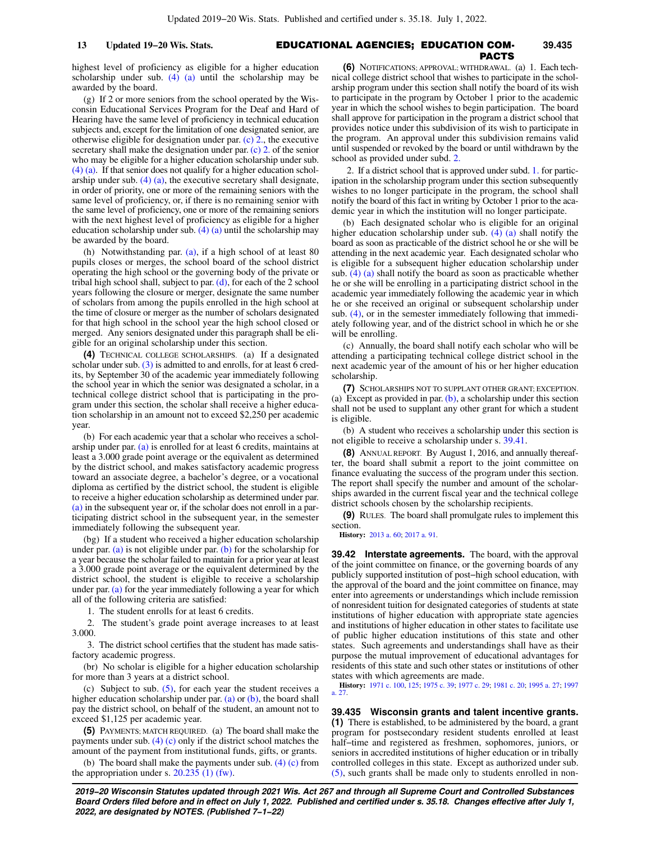### highest level of proficiency as eligible for a higher education scholarship under sub. [\(4\) \(a\)](https://docs.legis.wisconsin.gov/document/statutes/39.415(4)(a)) until the scholarship may be awarded by the board.

(g) If 2 or more seniors from the school operated by the Wisconsin Educational Services Program for the Deaf and Hard of Hearing have the same level of proficiency in technical education subjects and, except for the limitation of one designated senior, are otherwise eligible for designation under par. [\(c\) 2.,](https://docs.legis.wisconsin.gov/document/statutes/39.415(3)(c)2.) the executive secretary shall make the designation under par. [\(c\) 2.](https://docs.legis.wisconsin.gov/document/statutes/39.415(3)(c)2.) of the senior who may be eligible for a higher education scholarship under sub. [\(4\) \(a\).](https://docs.legis.wisconsin.gov/document/statutes/39.415(4)(a)) If that senior does not qualify for a higher education scholarship under sub. [\(4\) \(a\),](https://docs.legis.wisconsin.gov/document/statutes/39.415(4)(a)) the executive secretary shall designate, in order of priority, one or more of the remaining seniors with the same level of proficiency, or, if there is no remaining senior with the same level of proficiency, one or more of the remaining seniors with the next highest level of proficiency as eligible for a higher education scholarship under sub. [\(4\) \(a\)](https://docs.legis.wisconsin.gov/document/statutes/39.415(4)(a)) until the scholarship may be awarded by the board.

(h) Notwithstanding par. [\(a\),](https://docs.legis.wisconsin.gov/document/statutes/39.415(3)(a)) if a high school of at least 80 pupils closes or merges, the school board of the school district operating the high school or the governing body of the private or tribal high school shall, subject to par.  $(d)$ , for each of the 2 school years following the closure or merger, designate the same number of scholars from among the pupils enrolled in the high school at the time of closure or merger as the number of scholars designated for that high school in the school year the high school closed or merged. Any seniors designated under this paragraph shall be eligible for an original scholarship under this section.

**(4)** TECHNICAL COLLEGE SCHOLARSHIPS. (a) If a designated scholar under sub. [\(3\)](https://docs.legis.wisconsin.gov/document/statutes/39.415(3)) is admitted to and enrolls, for at least 6 credits, by September 30 of the academic year immediately following the school year in which the senior was designated a scholar, in a technical college district school that is participating in the program under this section, the scholar shall receive a higher education scholarship in an amount not to exceed \$2,250 per academic year.

(b) For each academic year that a scholar who receives a scholarship under par. [\(a\)](https://docs.legis.wisconsin.gov/document/statutes/39.415(4)(a)) is enrolled for at least 6 credits, maintains at least a 3.000 grade point average or the equivalent as determined by the district school, and makes satisfactory academic progress toward an associate degree, a bachelor's degree, or a vocational diploma as certified by the district school, the student is eligible to receive a higher education scholarship as determined under par. [\(a\)](https://docs.legis.wisconsin.gov/document/statutes/39.415(4)(a)) in the subsequent year or, if the scholar does not enroll in a participating district school in the subsequent year, in the semester immediately following the subsequent year.

(bg) If a student who received a higher education scholarship under par. [\(a\)](https://docs.legis.wisconsin.gov/document/statutes/39.415(4)(a)) is not eligible under par. [\(b\)](https://docs.legis.wisconsin.gov/document/statutes/39.415(4)(b)) for the scholarship for a year because the scholar failed to maintain for a prior year at least a 3.000 grade point average or the equivalent determined by the district school, the student is eligible to receive a scholarship under par. [\(a\)](https://docs.legis.wisconsin.gov/document/statutes/39.415(4)(a)) for the year immediately following a year for which all of the following criteria are satisfied:

1. The student enrolls for at least 6 credits.

2. The student's grade point average increases to at least 3.000.

3. The district school certifies that the student has made satisfactory academic progress.

(br) No scholar is eligible for a higher education scholarship for more than 3 years at a district school.

(c) Subject to sub. [\(5\)](https://docs.legis.wisconsin.gov/document/statutes/39.415(5)), for each year the student receives a higher education scholarship under par. [\(a\)](https://docs.legis.wisconsin.gov/document/statutes/39.415(4)(a)) or  $(b)$ , the board shall pay the district school, on behalf of the student, an amount not to exceed \$1,125 per academic year.

**(5)** PAYMENTS; MATCH REQUIRED. (a) The board shall make the payments under sub.  $(4)$  (c) only if the district school matches the amount of the payment from institutional funds, gifts, or grants.

(b) The board shall make the payments under sub. [\(4\) \(c\)](https://docs.legis.wisconsin.gov/document/statutes/39.415(4)(c)) from the appropriation under s.  $20.235$  (1) (fw).

### EDUCATIONAL AGENCIES; EDUCATION COM-**13 Updated 19−20 Wis. Stats. 39.435** PACTS

**(6)** NOTIFICATIONS; APPROVAL; WITHDRAWAL. (a) 1. Each technical college district school that wishes to participate in the scholarship program under this section shall notify the board of its wish to participate in the program by October 1 prior to the academic year in which the school wishes to begin participation. The board shall approve for participation in the program a district school that provides notice under this subdivision of its wish to participate in the program. An approval under this subdivision remains valid until suspended or revoked by the board or until withdrawn by the school as provided under subd. [2.](https://docs.legis.wisconsin.gov/document/statutes/39.415(6)(a)2.)

2. If a district school that is approved under subd. [1.](https://docs.legis.wisconsin.gov/document/statutes/39.415(6)(a)1.) for participation in the scholarship program under this section subsequently wishes to no longer participate in the program, the school shall notify the board of this fact in writing by October 1 prior to the academic year in which the institution will no longer participate.

(b) Each designated scholar who is eligible for an original higher education scholarship under sub. [\(4\) \(a\)](https://docs.legis.wisconsin.gov/document/statutes/39.415(4)(a)) shall notify the board as soon as practicable of the district school he or she will be attending in the next academic year. Each designated scholar who is eligible for a subsequent higher education scholarship under sub.  $(4)$  (a) shall notify the board as soon as practicable whether he or she will be enrolling in a participating district school in the academic year immediately following the academic year in which he or she received an original or subsequent scholarship under sub. [\(4\),](https://docs.legis.wisconsin.gov/document/statutes/39.415(4)) or in the semester immediately following that immediately following year, and of the district school in which he or she will be enrolling.

(c) Annually, the board shall notify each scholar who will be attending a participating technical college district school in the next academic year of the amount of his or her higher education scholarship.

**(7)** SCHOLARSHIPS NOT TO SUPPLANT OTHER GRANT; EXCEPTION. (a) Except as provided in par.  $(b)$ , a scholarship under this section shall not be used to supplant any other grant for which a student is eligible.

(b) A student who receives a scholarship under this section is not eligible to receive a scholarship under s. [39.41](https://docs.legis.wisconsin.gov/document/statutes/39.41).

**(8)** ANNUAL REPORT. By August 1, 2016, and annually thereafter, the board shall submit a report to the joint committee on finance evaluating the success of the program under this section. The report shall specify the number and amount of the scholarships awarded in the current fiscal year and the technical college district schools chosen by the scholarship recipients.

**(9)** RULES. The board shall promulgate rules to implement this section.

**History:** [2013 a. 60](https://docs.legis.wisconsin.gov/document/acts/2013/60); [2017 a. 91](https://docs.legis.wisconsin.gov/document/acts/2017/91).

**39.42 Interstate agreements.** The board, with the approval of the joint committee on finance, or the governing boards of any publicly supported institution of post−high school education, with the approval of the board and the joint committee on finance, may enter into agreements or understandings which include remission of nonresident tuition for designated categories of students at state institutions of higher education with appropriate state agencies and institutions of higher education in other states to facilitate use of public higher education institutions of this state and other states. Such agreements and understandings shall have as their purpose the mutual improvement of educational advantages for residents of this state and such other states or institutions of other states with which agreements are made.

**History:** [1971 c. 100](https://docs.legis.wisconsin.gov/document/acts/1971/100), [125](https://docs.legis.wisconsin.gov/document/acts/1971/125); [1975 c. 39](https://docs.legis.wisconsin.gov/document/acts/1975/39); [1977 c. 29](https://docs.legis.wisconsin.gov/document/acts/1977/29); [1981 c. 20](https://docs.legis.wisconsin.gov/document/acts/1981/20); [1995 a. 27;](https://docs.legis.wisconsin.gov/document/acts/1995/27) [1997](https://docs.legis.wisconsin.gov/document/acts/1997/27) [a. 27.](https://docs.legis.wisconsin.gov/document/acts/1997/27)

**39.435 Wisconsin grants and talent incentive grants. (1)** There is established, to be administered by the board, a grant program for postsecondary resident students enrolled at least half−time and registered as freshmen, sophomores, juniors, or seniors in accredited institutions of higher education or in tribally controlled colleges in this state. Except as authorized under sub. [\(5\),](https://docs.legis.wisconsin.gov/document/statutes/39.435(5)) such grants shall be made only to students enrolled in non-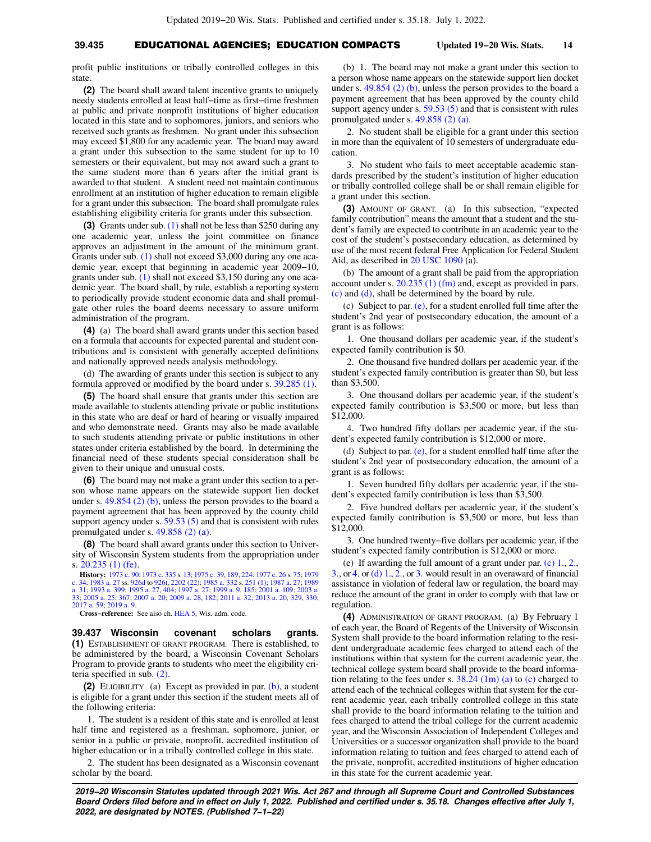# **39.435** EDUCATIONAL AGENCIES; EDUCATION COMPACTS **Updated 19−20 Wis. Stats. 14**

profit public institutions or tribally controlled colleges in this state

**(2)** The board shall award talent incentive grants to uniquely needy students enrolled at least half−time as first−time freshmen at public and private nonprofit institutions of higher education located in this state and to sophomores, juniors, and seniors who received such grants as freshmen. No grant under this subsection may exceed \$1,800 for any academic year. The board may award a grant under this subsection to the same student for up to 10 semesters or their equivalent, but may not award such a grant to the same student more than 6 years after the initial grant is awarded to that student. A student need not maintain continuous enrollment at an institution of higher education to remain eligible for a grant under this subsection. The board shall promulgate rules establishing eligibility criteria for grants under this subsection.

**(3)** Grants under sub. [\(1\)](https://docs.legis.wisconsin.gov/document/statutes/39.435(1)) shall not be less than \$250 during any one academic year, unless the joint committee on finance approves an adjustment in the amount of the minimum grant. Grants under sub. [\(1\)](https://docs.legis.wisconsin.gov/document/statutes/39.435(1)) shall not exceed \$3,000 during any one academic year, except that beginning in academic year 2009−10, grants under sub. [\(1\)](https://docs.legis.wisconsin.gov/document/statutes/39.435(1)) shall not exceed \$3,150 during any one academic year. The board shall, by rule, establish a reporting system to periodically provide student economic data and shall promulgate other rules the board deems necessary to assure uniform administration of the program.

**(4)** (a) The board shall award grants under this section based on a formula that accounts for expected parental and student contributions and is consistent with generally accepted definitions and nationally approved needs analysis methodology.

(d) The awarding of grants under this section is subject to any formula approved or modified by the board under s. [39.285 \(1\).](https://docs.legis.wisconsin.gov/document/statutes/39.285(1))

**(5)** The board shall ensure that grants under this section are made available to students attending private or public institutions in this state who are deaf or hard of hearing or visually impaired and who demonstrate need. Grants may also be made available to such students attending private or public institutions in other states under criteria established by the board. In determining the financial need of these students special consideration shall be given to their unique and unusual costs.

**(6)** The board may not make a grant under this section to a person whose name appears on the statewide support lien docket under s. [49.854 \(2\) \(b\),](https://docs.legis.wisconsin.gov/document/statutes/49.854(2)(b)) unless the person provides to the board a payment agreement that has been approved by the county child support agency under s. [59.53 \(5\)](https://docs.legis.wisconsin.gov/document/statutes/59.53(5)) and that is consistent with rules promulgated under s. [49.858 \(2\) \(a\).](https://docs.legis.wisconsin.gov/document/statutes/49.858(2)(a))

**(8)** The board shall award grants under this section to University of Wisconsin System students from the appropriation under s. [20.235 \(1\) \(fe\).](https://docs.legis.wisconsin.gov/document/statutes/20.235(1)(fe))

**History:** [1973 c. 90;](https://docs.legis.wisconsin.gov/document/acts/1973/90) [1973 c. 335](https://docs.legis.wisconsin.gov/document/acts/1973/335) s. [13](https://docs.legis.wisconsin.gov/document/acts/1973/335,%20s.%2013); [1975 c. 39,](https://docs.legis.wisconsin.gov/document/acts/1975/39) [189](https://docs.legis.wisconsin.gov/document/acts/1975/189), [224;](https://docs.legis.wisconsin.gov/document/acts/1975/224) [1977 c. 26](https://docs.legis.wisconsin.gov/document/acts/1977/26) s. [75;](https://docs.legis.wisconsin.gov/document/acts/1977/26,%20s.%2075) [1979](https://docs.legis.wisconsin.gov/document/acts/1979/34) [c. 34](https://docs.legis.wisconsin.gov/document/acts/1979/34); [1983 a. 27](https://docs.legis.wisconsin.gov/document/acts/1983/27) ss. [926d](https://docs.legis.wisconsin.gov/document/acts/1983/27,%20s.%20926d) to [926t,](https://docs.legis.wisconsin.gov/document/acts/1983/27,%20s.%20926t) [2202 \(22\);](https://docs.legis.wisconsin.gov/document/acts/1983/27,%20s.%202202) [1985 a. 332](https://docs.legis.wisconsin.gov/document/acts/1985/332) s. [251 \(1\);](https://docs.legis.wisconsin.gov/document/acts/1985/332,%20s.%20251) [1987 a. 27;](https://docs.legis.wisconsin.gov/document/acts/1987/27) [1989](https://docs.legis.wisconsin.gov/document/acts/1989/31) [a. 31](https://docs.legis.wisconsin.gov/document/acts/1989/31); [1993 a. 399](https://docs.legis.wisconsin.gov/document/acts/1993/399); [1995 a. 27](https://docs.legis.wisconsin.gov/document/acts/1995/27), [404;](https://docs.legis.wisconsin.gov/document/acts/1995/404) [1997 a. 27;](https://docs.legis.wisconsin.gov/document/acts/1997/27) [1999 a. 9,](https://docs.legis.wisconsin.gov/document/acts/1999/9) [185;](https://docs.legis.wisconsin.gov/document/acts/1999/185) [2001 a. 109;](https://docs.legis.wisconsin.gov/document/acts/2001/109) [2003 a.](https://docs.legis.wisconsin.gov/document/acts/2003/33) [33;](https://docs.legis.wisconsin.gov/document/acts/2003/33) [2005 a. 25](https://docs.legis.wisconsin.gov/document/acts/2005/25), [367](https://docs.legis.wisconsin.gov/document/acts/2005/367); [2007 a. 20;](https://docs.legis.wisconsin.gov/document/acts/2007/20) [2009 a. 28](https://docs.legis.wisconsin.gov/document/acts/2009/28), [182](https://docs.legis.wisconsin.gov/document/acts/2009/182); [2011 a. 32](https://docs.legis.wisconsin.gov/document/acts/2011/32); [2013 a. 20,](https://docs.legis.wisconsin.gov/document/acts/2013/20) [329,](https://docs.legis.wisconsin.gov/document/acts/2013/329) [330](https://docs.legis.wisconsin.gov/document/acts/2013/330); [2017 a. 59](https://docs.legis.wisconsin.gov/document/acts/2017/59); [2019 a. 9.](https://docs.legis.wisconsin.gov/document/acts/2019/9)

**Cross−reference:** See also ch. [HEA 5,](https://docs.legis.wisconsin.gov/document/administrativecode/ch.%20HEA%205) Wis. adm. code.

**39.437 Wisconsin covenant scholars grants. (1)** ESTABLISHMENT OF GRANT PROGRAM. There is established, to be administered by the board, a Wisconsin Covenant Scholars Program to provide grants to students who meet the eligibility criteria specified in sub. [\(2\).](https://docs.legis.wisconsin.gov/document/statutes/39.437(2))

**(2)** ELIGIBILITY. (a) Except as provided in par. [\(b\),](https://docs.legis.wisconsin.gov/document/statutes/39.437(2)(b)) a student is eligible for a grant under this section if the student meets all of the following criteria:

1. The student is a resident of this state and is enrolled at least half time and registered as a freshman, sophomore, junior, or senior in a public or private, nonprofit, accredited institution of higher education or in a tribally controlled college in this state.

2. The student has been designated as a Wisconsin covenant scholar by the board.

(b) 1. The board may not make a grant under this section to a person whose name appears on the statewide support lien docket under s. [49.854 \(2\) \(b\)](https://docs.legis.wisconsin.gov/document/statutes/49.854(2)(b)), unless the person provides to the board a payment agreement that has been approved by the county child support agency under s. [59.53 \(5\)](https://docs.legis.wisconsin.gov/document/statutes/59.53(5)) and that is consistent with rules promulgated under s. [49.858 \(2\) \(a\)](https://docs.legis.wisconsin.gov/document/statutes/49.858(2)(a)).

2. No student shall be eligible for a grant under this section in more than the equivalent of 10 semesters of undergraduate education.

3. No student who fails to meet acceptable academic standards prescribed by the student's institution of higher education or tribally controlled college shall be or shall remain eligible for a grant under this section.

**(3)** AMOUNT OF GRANT. (a) In this subsection, "expected family contribution" means the amount that a student and the student's family are expected to contribute in an academic year to the cost of the student's postsecondary education, as determined by use of the most recent federal Free Application for Federal Student Aid, as described in [20 USC 1090](https://docs.legis.wisconsin.gov/document/usc/20%20USC%201090) (a).

(b) The amount of a grant shall be paid from the appropriation account under s. [20.235 \(1\) \(fm\)](https://docs.legis.wisconsin.gov/document/statutes/20.235(1)(fm)) and, except as provided in pars. [\(c\)](https://docs.legis.wisconsin.gov/document/statutes/39.437(3)(c)) and [\(d\)](https://docs.legis.wisconsin.gov/document/statutes/39.437(3)(d)), shall be determined by the board by rule.

(c) Subject to par. [\(e\),](https://docs.legis.wisconsin.gov/document/statutes/39.437(3)(e)) for a student enrolled full time after the student's 2nd year of postsecondary education, the amount of a grant is as follows:

1. One thousand dollars per academic year, if the student's expected family contribution is \$0.

2. One thousand five hundred dollars per academic year, if the student's expected family contribution is greater than \$0, but less than \$3,500.

3. One thousand dollars per academic year, if the student's expected family contribution is \$3,500 or more, but less than \$12,000.

4. Two hundred fifty dollars per academic year, if the student's expected family contribution is \$12,000 or more.

(d) Subject to par. [\(e\),](https://docs.legis.wisconsin.gov/document/statutes/39.437(3)(e)) for a student enrolled half time after the student's 2nd year of postsecondary education, the amount of a grant is as follows:

1. Seven hundred fifty dollars per academic year, if the student's expected family contribution is less than \$3,500.

2. Five hundred dollars per academic year, if the student's expected family contribution is \$3,500 or more, but less than \$12,000.

3. One hundred twenty−five dollars per academic year, if the student's expected family contribution is \$12,000 or more.

(e) If awarding the full amount of a grant under par. [\(c\) 1.,](https://docs.legis.wisconsin.gov/document/statutes/39.437(3)(c)1.) [2.,](https://docs.legis.wisconsin.gov/document/statutes/39.437(3)(c)2.) [3.,](https://docs.legis.wisconsin.gov/document/statutes/39.437(3)(c)3.) or [4.](https://docs.legis.wisconsin.gov/document/statutes/39.437(3)(c)4.) or [\(d\) 1.,](https://docs.legis.wisconsin.gov/document/statutes/39.437(3)(d)1.) [2.](https://docs.legis.wisconsin.gov/document/statutes/39.437(3)(d)2.), or [3.](https://docs.legis.wisconsin.gov/document/statutes/39.437(3)(d)3.) would result in an overaward of financial assistance in violation of federal law or regulation, the board may reduce the amount of the grant in order to comply with that law or regulation.

**(4)** ADMINISTRATION OF GRANT PROGRAM. (a) By February 1 of each year, the Board of Regents of the University of Wisconsin System shall provide to the board information relating to the resident undergraduate academic fees charged to attend each of the institutions within that system for the current academic year, the technical college system board shall provide to the board information relating to the fees under s. [38.24 \(1m\) \(a\)](https://docs.legis.wisconsin.gov/document/statutes/38.24(1m)(a)) to [\(c\)](https://docs.legis.wisconsin.gov/document/statutes/38.24(1m)(c)) charged to attend each of the technical colleges within that system for the current academic year, each tribally controlled college in this state shall provide to the board information relating to the tuition and fees charged to attend the tribal college for the current academic year, and the Wisconsin Association of Independent Colleges and Universities or a successor organization shall provide to the board information relating to tuition and fees charged to attend each of the private, nonprofit, accredited institutions of higher education in this state for the current academic year.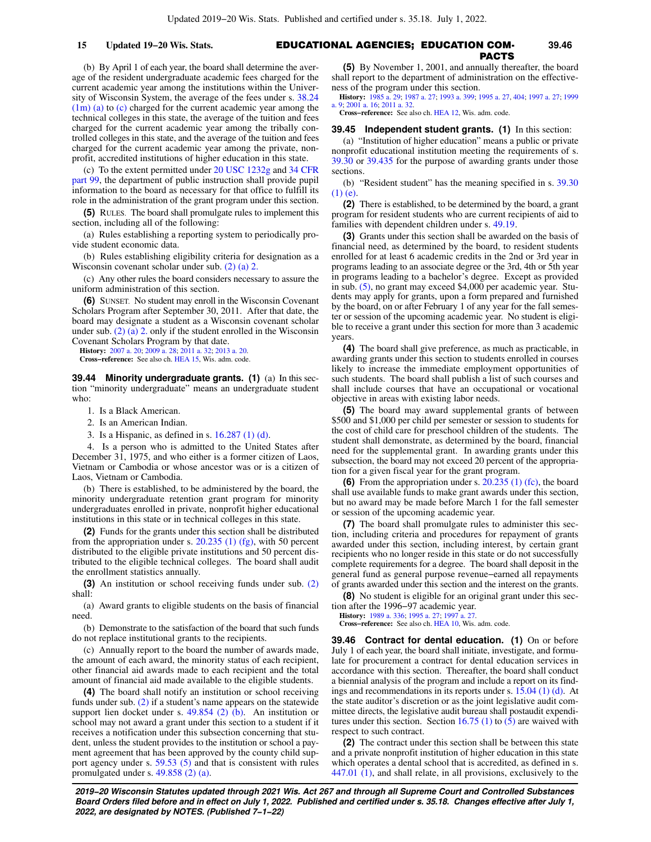# EDUCATIONAL AGENCIES; EDUCATION COM-**15 Updated 19−20 Wis. Stats. 39.46** PACTS

(b) By April 1 of each year, the board shall determine the average of the resident undergraduate academic fees charged for the current academic year among the institutions within the University of Wisconsin System, the average of the fees under s. [38.24](https://docs.legis.wisconsin.gov/document/statutes/38.24(1m)(a)) [\(1m\) \(a\)](https://docs.legis.wisconsin.gov/document/statutes/38.24(1m)(a)) to [\(c\)](https://docs.legis.wisconsin.gov/document/statutes/38.24(1m)(c)) charged for the current academic year among the technical colleges in this state, the average of the tuition and fees charged for the current academic year among the tribally controlled colleges in this state, and the average of the tuition and fees charged for the current academic year among the private, nonprofit, accredited institutions of higher education in this state.

(c) To the extent permitted under [20 USC 1232g](https://docs.legis.wisconsin.gov/document/usc/20%20USC%201232g) and [34 CFR](https://docs.legis.wisconsin.gov/document/cfr/34%20CFR%2099) [part 99](https://docs.legis.wisconsin.gov/document/cfr/34%20CFR%2099), the department of public instruction shall provide pupil information to the board as necessary for that office to fulfill its role in the administration of the grant program under this section.

**(5)** RULES. The board shall promulgate rules to implement this section, including all of the following:

(a) Rules establishing a reporting system to periodically provide student economic data.

(b) Rules establishing eligibility criteria for designation as a Wisconsin covenant scholar under sub. [\(2\) \(a\) 2.](https://docs.legis.wisconsin.gov/document/statutes/39.437(2)(a)2.)

(c) Any other rules the board considers necessary to assure the uniform administration of this section.

**(6)** SUNSET. No student may enroll in the Wisconsin Covenant Scholars Program after September 30, 2011. After that date, the board may designate a student as a Wisconsin covenant scholar under sub.  $(2)$  (a) 2. only if the student enrolled in the Wisconsin Covenant Scholars Program by that date.

**History:** [2007 a. 20;](https://docs.legis.wisconsin.gov/document/acts/2007/20) [2009 a. 28;](https://docs.legis.wisconsin.gov/document/acts/2009/28) [2011 a. 32;](https://docs.legis.wisconsin.gov/document/acts/2011/32) [2013 a. 20](https://docs.legis.wisconsin.gov/document/acts/2013/20).

**Cross−reference:** See also ch. [HEA 15](https://docs.legis.wisconsin.gov/document/administrativecode/ch.%20HEA%2015), Wis. adm. code.

**39.44 Minority undergraduate grants. (1)** (a) In this section "minority undergraduate" means an undergraduate student who:

1. Is a Black American.

- 2. Is an American Indian.
- 3. Is a Hispanic, as defined in s. [16.287 \(1\) \(d\)](https://docs.legis.wisconsin.gov/document/statutes/16.287(1)(d)).

4. Is a person who is admitted to the United States after December 31, 1975, and who either is a former citizen of Laos, Vietnam or Cambodia or whose ancestor was or is a citizen of Laos, Vietnam or Cambodia.

(b) There is established, to be administered by the board, the minority undergraduate retention grant program for minority undergraduates enrolled in private, nonprofit higher educational institutions in this state or in technical colleges in this state.

**(2)** Funds for the grants under this section shall be distributed from the appropriation under s. [20.235 \(1\) \(fg\)](https://docs.legis.wisconsin.gov/document/statutes/20.235(1)(fg)), with 50 percent distributed to the eligible private institutions and 50 percent distributed to the eligible technical colleges. The board shall audit the enrollment statistics annually.

**(3)** An institution or school receiving funds under sub. [\(2\)](https://docs.legis.wisconsin.gov/document/statutes/39.44(2)) shall:

(a) Award grants to eligible students on the basis of financial need.

(b) Demonstrate to the satisfaction of the board that such funds do not replace institutional grants to the recipients.

(c) Annually report to the board the number of awards made, the amount of each award, the minority status of each recipient, other financial aid awards made to each recipient and the total amount of financial aid made available to the eligible students.

**(4)** The board shall notify an institution or school receiving funds under sub. [\(2\)](https://docs.legis.wisconsin.gov/document/statutes/39.44(2)) if a student's name appears on the statewide support lien docket under s.  $49.854$  (2) (b). An institution or school may not award a grant under this section to a student if it receives a notification under this subsection concerning that student, unless the student provides to the institution or school a payment agreement that has been approved by the county child support agency under s. [59.53 \(5\)](https://docs.legis.wisconsin.gov/document/statutes/59.53(5)) and that is consistent with rules promulgated under s. [49.858 \(2\) \(a\).](https://docs.legis.wisconsin.gov/document/statutes/49.858(2)(a))

**(5)** By November 1, 2001, and annually thereafter, the board shall report to the department of administration on the effectiveness of the program under this section.

**History:** [1985 a. 29;](https://docs.legis.wisconsin.gov/document/acts/1985/29) [1987 a. 27;](https://docs.legis.wisconsin.gov/document/acts/1987/27) [1993 a. 399](https://docs.legis.wisconsin.gov/document/acts/1993/399); [1995 a. 27](https://docs.legis.wisconsin.gov/document/acts/1995/27), [404](https://docs.legis.wisconsin.gov/document/acts/1995/404); [1997 a. 27;](https://docs.legis.wisconsin.gov/document/acts/1997/27) [1999](https://docs.legis.wisconsin.gov/document/acts/1999/9) [a. 9](https://docs.legis.wisconsin.gov/document/acts/1999/9); [2001 a. 16](https://docs.legis.wisconsin.gov/document/acts/2001/16); [2011 a. 32](https://docs.legis.wisconsin.gov/document/acts/2011/32).

**Cross−reference:** See also ch. [HEA 12](https://docs.legis.wisconsin.gov/document/administrativecode/ch.%20HEA%2012), Wis. adm. code.

## **39.45 Independent student grants. (1)** In this section:

(a) "Institution of higher education" means a public or private nonprofit educational institution meeting the requirements of s. [39.30](https://docs.legis.wisconsin.gov/document/statutes/39.30) or [39.435](https://docs.legis.wisconsin.gov/document/statutes/39.435) for the purpose of awarding grants under those sections.

(b) "Resident student" has the meaning specified in s. [39.30](https://docs.legis.wisconsin.gov/document/statutes/39.30(1)(e)) [\(1\) \(e\).](https://docs.legis.wisconsin.gov/document/statutes/39.30(1)(e))

**(2)** There is established, to be determined by the board, a grant program for resident students who are current recipients of aid to families with dependent children under s. [49.19](https://docs.legis.wisconsin.gov/document/statutes/49.19).

**(3)** Grants under this section shall be awarded on the basis of financial need, as determined by the board, to resident students enrolled for at least 6 academic credits in the 2nd or 3rd year in programs leading to an associate degree or the 3rd, 4th or 5th year in programs leading to a bachelor's degree. Except as provided in sub. [\(5\),](https://docs.legis.wisconsin.gov/document/statutes/39.45(5)) no grant may exceed \$4,000 per academic year. Students may apply for grants, upon a form prepared and furnished by the board, on or after February 1 of any year for the fall semester or session of the upcoming academic year. No student is eligible to receive a grant under this section for more than 3 academic years.

**(4)** The board shall give preference, as much as practicable, in awarding grants under this section to students enrolled in courses likely to increase the immediate employment opportunities of such students. The board shall publish a list of such courses and shall include courses that have an occupational or vocational objective in areas with existing labor needs.

**(5)** The board may award supplemental grants of between \$500 and \$1,000 per child per semester or session to students for the cost of child care for preschool children of the students. The student shall demonstrate, as determined by the board, financial need for the supplemental grant. In awarding grants under this subsection, the board may not exceed 20 percent of the appropriation for a given fiscal year for the grant program.

**(6)** From the appropriation under s. [20.235 \(1\) \(fc\)](https://docs.legis.wisconsin.gov/document/statutes/20.235(1)(fc)), the board shall use available funds to make grant awards under this section, but no award may be made before March 1 for the fall semester or session of the upcoming academic year.

**(7)** The board shall promulgate rules to administer this section, including criteria and procedures for repayment of grants awarded under this section, including interest, by certain grant recipients who no longer reside in this state or do not successfully complete requirements for a degree. The board shall deposit in the general fund as general purpose revenue−earned all repayments of grants awarded under this section and the interest on the grants.

**(8)** No student is eligible for an original grant under this section after the 1996−97 academic year.

**History:** [1989 a. 336;](https://docs.legis.wisconsin.gov/document/acts/1989/336) [1995 a. 27;](https://docs.legis.wisconsin.gov/document/acts/1995/27) [1997 a. 27.](https://docs.legis.wisconsin.gov/document/acts/1997/27)

**Cross−reference:** See also ch. [HEA 10](https://docs.legis.wisconsin.gov/document/administrativecode/ch.%20HEA%2010), Wis. adm. code.

**39.46 Contract for dental education. (1)** On or before July 1 of each year, the board shall initiate, investigate, and formulate for procurement a contract for dental education services in accordance with this section. Thereafter, the board shall conduct a biennial analysis of the program and include a report on its findings and recommendations in its reports under s. [15.04 \(1\) \(d\).](https://docs.legis.wisconsin.gov/document/statutes/15.04(1)(d)) At the state auditor's discretion or as the joint legislative audit committee directs, the legislative audit bureau shall postaudit expenditures under this section. Section  $16.75$  (1) to [\(5\)](https://docs.legis.wisconsin.gov/document/statutes/16.75(5)) are waived with respect to such contract.

**(2)** The contract under this section shall be between this state and a private nonprofit institution of higher education in this state which operates a dental school that is accredited, as defined in s. [447.01 \(1\)](https://docs.legis.wisconsin.gov/document/statutes/447.01(1)), and shall relate, in all provisions, exclusively to the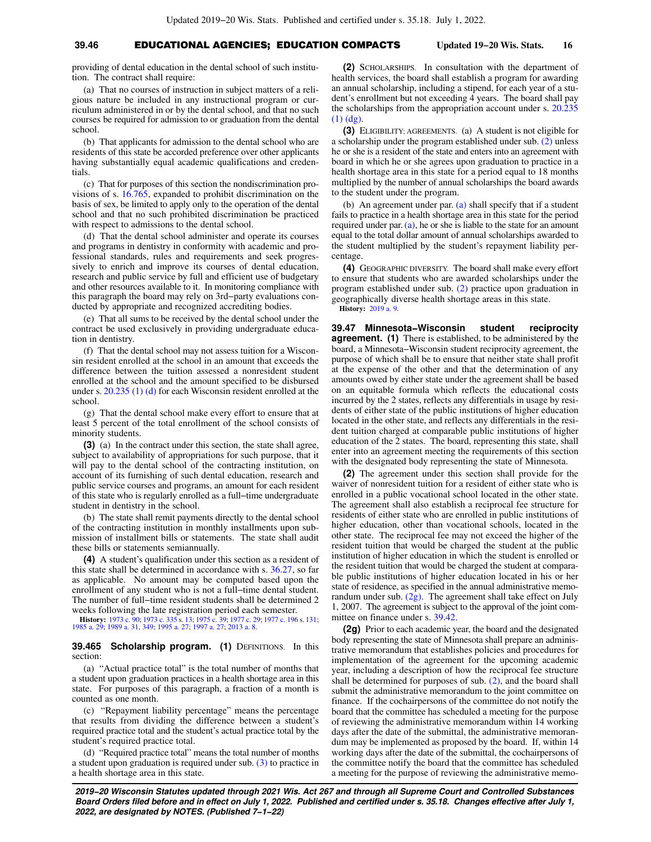# **39.46** EDUCATIONAL AGENCIES; EDUCATION COMPACTS **Updated 19−20 Wis. Stats. 16**

providing of dental education in the dental school of such institution. The contract shall require:

(a) That no courses of instruction in subject matters of a religious nature be included in any instructional program or curriculum administered in or by the dental school, and that no such courses be required for admission to or graduation from the dental school.

(b) That applicants for admission to the dental school who are residents of this state be accorded preference over other applicants having substantially equal academic qualifications and credentials.

(c) That for purposes of this section the nondiscrimination provisions of s. [16.765](https://docs.legis.wisconsin.gov/document/statutes/16.765), expanded to prohibit discrimination on the basis of sex, be limited to apply only to the operation of the dental school and that no such prohibited discrimination be practiced with respect to admissions to the dental school.

(d) That the dental school administer and operate its courses and programs in dentistry in conformity with academic and professional standards, rules and requirements and seek progressively to enrich and improve its courses of dental education, research and public service by full and efficient use of budgetary and other resources available to it. In monitoring compliance with this paragraph the board may rely on 3rd−party evaluations conducted by appropriate and recognized accrediting bodies.

(e) That all sums to be received by the dental school under the contract be used exclusively in providing undergraduate education in dentistry.

(f) That the dental school may not assess tuition for a Wisconsin resident enrolled at the school in an amount that exceeds the difference between the tuition assessed a nonresident student enrolled at the school and the amount specified to be disbursed under s. [20.235 \(1\) \(d\)](https://docs.legis.wisconsin.gov/document/statutes/20.235(1)(d)) for each Wisconsin resident enrolled at the school.

(g) That the dental school make every effort to ensure that at least 5 percent of the total enrollment of the school consists of minority students.

**(3)** (a) In the contract under this section, the state shall agree, subject to availability of appropriations for such purpose, that it will pay to the dental school of the contracting institution, on account of its furnishing of such dental education, research and public service courses and programs, an amount for each resident of this state who is regularly enrolled as a full−time undergraduate student in dentistry in the school.

(b) The state shall remit payments directly to the dental school of the contracting institution in monthly installments upon submission of installment bills or statements. The state shall audit these bills or statements semiannually.

**(4)** A student's qualification under this section as a resident of this state shall be determined in accordance with s. [36.27,](https://docs.legis.wisconsin.gov/document/statutes/36.27) so far as applicable. No amount may be computed based upon the enrollment of any student who is not a full−time dental student. The number of full−time resident students shall be determined 2 weeks following the late registration period each semester.

**History:** [1973 c. 90](https://docs.legis.wisconsin.gov/document/acts/1973/90); [1973 c. 335](https://docs.legis.wisconsin.gov/document/acts/1973/335) s. [13;](https://docs.legis.wisconsin.gov/document/acts/1973/335,%20s.%2013) [1975 c. 39;](https://docs.legis.wisconsin.gov/document/acts/1975/39) [1977 c. 29;](https://docs.legis.wisconsin.gov/document/acts/1977/29) [1977 c. 196](https://docs.legis.wisconsin.gov/document/acts/1977/196) s. [131](https://docs.legis.wisconsin.gov/document/acts/1977/196,%20s.%20131); [1985 a. 29](https://docs.legis.wisconsin.gov/document/acts/1985/29); [1989 a. 31](https://docs.legis.wisconsin.gov/document/acts/1989/31), [349](https://docs.legis.wisconsin.gov/document/acts/1989/349); [1995 a. 27;](https://docs.legis.wisconsin.gov/document/acts/1995/27) [1997 a. 27;](https://docs.legis.wisconsin.gov/document/acts/1997/27) [2013 a. 8](https://docs.legis.wisconsin.gov/document/acts/2013/8).

**39.465 Scholarship program.** (1) DEFINITIONS. In this section:

(a) "Actual practice total" is the total number of months that a student upon graduation practices in a health shortage area in this state. For purposes of this paragraph, a fraction of a month is counted as one month.

(c) "Repayment liability percentage" means the percentage that results from dividing the difference between a student's required practice total and the student's actual practice total by the student's required practice total.

(d) "Required practice total" means the total number of months a student upon graduation is required under sub.  $(3)$  to practice in a health shortage area in this state.

**(2)** SCHOLARSHIPS. In consultation with the department of health services, the board shall establish a program for awarding an annual scholarship, including a stipend, for each year of a student's enrollment but not exceeding 4 years. The board shall pay the scholarships from the appropriation account under s. [20.235](https://docs.legis.wisconsin.gov/document/statutes/20.235(1)(dg)) [\(1\) \(dg\).](https://docs.legis.wisconsin.gov/document/statutes/20.235(1)(dg))

**(3)** ELIGIBILITY; AGREEMENTS. (a) A student is not eligible for a scholarship under the program established under sub. [\(2\)](https://docs.legis.wisconsin.gov/document/statutes/39.465(2)) unless he or she is a resident of the state and enters into an agreement with board in which he or she agrees upon graduation to practice in a health shortage area in this state for a period equal to 18 months multiplied by the number of annual scholarships the board awards to the student under the program.

(b) An agreement under par. [\(a\)](https://docs.legis.wisconsin.gov/document/statutes/39.465(3)(a)) shall specify that if a student fails to practice in a health shortage area in this state for the period required under par. [\(a\),](https://docs.legis.wisconsin.gov/document/statutes/39.465(3)(a)) he or she is liable to the state for an amount equal to the total dollar amount of annual scholarships awarded to the student multiplied by the student's repayment liability percentage.

**(4)** GEOGRAPHIC DIVERSITY. The board shall make every effort to ensure that students who are awarded scholarships under the program established under sub. [\(2\)](https://docs.legis.wisconsin.gov/document/statutes/39.465(2)) practice upon graduation in geographically diverse health shortage areas in this state. **History:** [2019 a. 9.](https://docs.legis.wisconsin.gov/document/acts/2019/9)

**39.47 Minnesota−Wisconsin student reciprocity agreement. (1)** There is established, to be administered by the board, a Minnesota−Wisconsin student reciprocity agreement, the purpose of which shall be to ensure that neither state shall profit at the expense of the other and that the determination of any amounts owed by either state under the agreement shall be based on an equitable formula which reflects the educational costs incurred by the 2 states, reflects any differentials in usage by residents of either state of the public institutions of higher education located in the other state, and reflects any differentials in the resident tuition charged at comparable public institutions of higher education of the 2 states. The board, representing this state, shall enter into an agreement meeting the requirements of this section with the designated body representing the state of Minnesota.

**(2)** The agreement under this section shall provide for the waiver of nonresident tuition for a resident of either state who is enrolled in a public vocational school located in the other state. The agreement shall also establish a reciprocal fee structure for residents of either state who are enrolled in public institutions of higher education, other than vocational schools, located in the other state. The reciprocal fee may not exceed the higher of the resident tuition that would be charged the student at the public institution of higher education in which the student is enrolled or the resident tuition that would be charged the student at comparable public institutions of higher education located in his or her state of residence, as specified in the annual administrative memorandum under sub. [\(2g\).](https://docs.legis.wisconsin.gov/document/statutes/39.47(2g)) The agreement shall take effect on July 1, 2007. The agreement is subject to the approval of the joint committee on finance under s. [39.42](https://docs.legis.wisconsin.gov/document/statutes/39.42).

**(2g)** Prior to each academic year, the board and the designated body representing the state of Minnesota shall prepare an administrative memorandum that establishes policies and procedures for implementation of the agreement for the upcoming academic year, including a description of how the reciprocal fee structure shall be determined for purposes of sub. [\(2\),](https://docs.legis.wisconsin.gov/document/statutes/39.47(2)) and the board shall submit the administrative memorandum to the joint committee on finance. If the cochairpersons of the committee do not notify the board that the committee has scheduled a meeting for the purpose of reviewing the administrative memorandum within 14 working days after the date of the submittal, the administrative memorandum may be implemented as proposed by the board. If, within 14 working days after the date of the submittal, the cochairpersons of the committee notify the board that the committee has scheduled a meeting for the purpose of reviewing the administrative memo-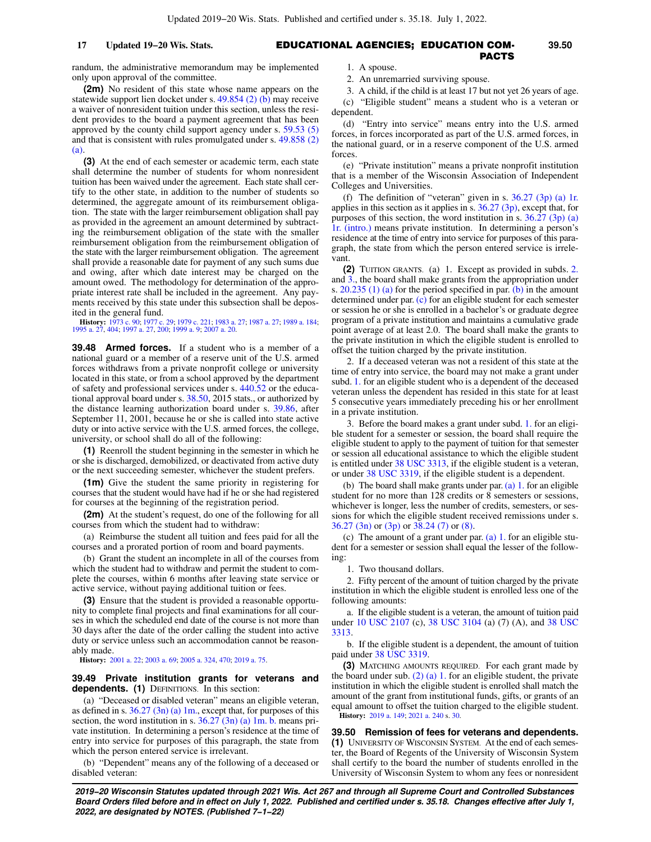### EDUCATIONAL AGENCIES; EDUCATION COM-**17 Updated 19−20 Wis. Stats. 39.50** PACTS

randum, the administrative memorandum may be implemented only upon approval of the committee.

**(2m)** No resident of this state whose name appears on the statewide support lien docket under s. [49.854 \(2\) \(b\)](https://docs.legis.wisconsin.gov/document/statutes/49.854(2)(b)) may receive a waiver of nonresident tuition under this section, unless the resident provides to the board a payment agreement that has been approved by the county child support agency under s. [59.53 \(5\)](https://docs.legis.wisconsin.gov/document/statutes/59.53(5)) and that is consistent with rules promulgated under s. [49.858 \(2\)](https://docs.legis.wisconsin.gov/document/statutes/49.858(2)(a)) [\(a\).](https://docs.legis.wisconsin.gov/document/statutes/49.858(2)(a))

**(3)** At the end of each semester or academic term, each state shall determine the number of students for whom nonresident tuition has been waived under the agreement. Each state shall certify to the other state, in addition to the number of students so determined, the aggregate amount of its reimbursement obligation. The state with the larger reimbursement obligation shall pay as provided in the agreement an amount determined by subtracting the reimbursement obligation of the state with the smaller reimbursement obligation from the reimbursement obligation of the state with the larger reimbursement obligation. The agreement shall provide a reasonable date for payment of any such sums due and owing, after which date interest may be charged on the amount owed. The methodology for determination of the appropriate interest rate shall be included in the agreement. Any payments received by this state under this subsection shall be deposited in the general fund.

**History:** [1973 c. 90](https://docs.legis.wisconsin.gov/document/acts/1973/90); [1977 c. 29](https://docs.legis.wisconsin.gov/document/acts/1977/29); [1979 c. 221;](https://docs.legis.wisconsin.gov/document/acts/1979/221) [1983 a. 27;](https://docs.legis.wisconsin.gov/document/acts/1983/27) [1987 a. 27;](https://docs.legis.wisconsin.gov/document/acts/1987/27) [1989 a. 184](https://docs.legis.wisconsin.gov/document/acts/1989/184); [1995 a. 27](https://docs.legis.wisconsin.gov/document/acts/1995/27), [404](https://docs.legis.wisconsin.gov/document/acts/1995/404); [1997 a. 27](https://docs.legis.wisconsin.gov/document/acts/1997/27), [200;](https://docs.legis.wisconsin.gov/document/acts/1997/200) [1999 a. 9](https://docs.legis.wisconsin.gov/document/acts/1999/9); [2007 a. 20](https://docs.legis.wisconsin.gov/document/acts/2007/20).

**39.48 Armed forces.** If a student who is a member of a national guard or a member of a reserve unit of the U.S. armed forces withdraws from a private nonprofit college or university located in this state, or from a school approved by the department of safety and professional services under s. [440.52](https://docs.legis.wisconsin.gov/document/statutes/440.52) or the educational approval board under s. [38.50,](https://docs.legis.wisconsin.gov/document/statutes/2015/38.50) 2015 stats., or authorized by the distance learning authorization board under s. [39.86,](https://docs.legis.wisconsin.gov/document/statutes/39.86) after September 11, 2001, because he or she is called into state active duty or into active service with the U.S. armed forces, the college, university, or school shall do all of the following:

**(1)** Reenroll the student beginning in the semester in which he or she is discharged, demobilized, or deactivated from active duty or the next succeeding semester, whichever the student prefers.

**(1m)** Give the student the same priority in registering for courses that the student would have had if he or she had registered for courses at the beginning of the registration period.

**(2m)** At the student's request, do one of the following for all courses from which the student had to withdraw:

(a) Reimburse the student all tuition and fees paid for all the courses and a prorated portion of room and board payments.

(b) Grant the student an incomplete in all of the courses from which the student had to withdraw and permit the student to complete the courses, within 6 months after leaving state service or active service, without paying additional tuition or fees.

**(3)** Ensure that the student is provided a reasonable opportunity to complete final projects and final examinations for all courses in which the scheduled end date of the course is not more than 30 days after the date of the order calling the student into active duty or service unless such an accommodation cannot be reasonably made.

**History:** [2001 a. 22;](https://docs.legis.wisconsin.gov/document/acts/2001/22) [2003 a. 69;](https://docs.legis.wisconsin.gov/document/acts/2003/69) [2005 a. 324,](https://docs.legis.wisconsin.gov/document/acts/2005/324) [470;](https://docs.legis.wisconsin.gov/document/acts/2005/470) [2019 a. 75.](https://docs.legis.wisconsin.gov/document/acts/2019/75)

### **39.49 Private institution grants for veterans and dependents. (1)** DEFINITIONS. In this section:

(a) "Deceased or disabled veteran" means an eligible veteran, as defined in s. [36.27 \(3n\) \(a\) 1m.,](https://docs.legis.wisconsin.gov/document/statutes/36.27(3n)(a)1m.) except that, for purposes of this section, the word institution in s.  $36.27(3n)$  (a) 1m. b. means private institution. In determining a person's residence at the time of entry into service for purposes of this paragraph, the state from which the person entered service is irrelevant.

(b) "Dependent" means any of the following of a deceased or disabled veteran:

1. A spouse.

2. An unremarried surviving spouse.

3. A child, if the child is at least 17 but not yet 26 years of age. (c) "Eligible student" means a student who is a veteran or dependent.

(d) "Entry into service" means entry into the U.S. armed forces, in forces incorporated as part of the U.S. armed forces, in the national guard, or in a reserve component of the U.S. armed forces.

(e) "Private institution" means a private nonprofit institution that is a member of the Wisconsin Association of Independent Colleges and Universities.

(f) The definition of "veteran" given in s.  $36.27$  (3p) (a) 1r. applies in this section as it applies in s.  $36.27$  (3p), except that, for purposes of this section, the word institution in s.  $36.27$  (3p) (a) [1r. \(intro.\)](https://docs.legis.wisconsin.gov/document/statutes/36.27(3p)(a)1r.(intro.)) means private institution. In determining a person's residence at the time of entry into service for purposes of this paragraph, the state from which the person entered service is irrelevant.

**(2)** TUITION GRANTS. (a) 1. Except as provided in subds. [2.](https://docs.legis.wisconsin.gov/document/statutes/39.49(2)(a)2.) and [3.](https://docs.legis.wisconsin.gov/document/statutes/39.49(2)(a)3.), the board shall make grants from the appropriation under s.  $20.235$  (1) (a) for the period specified in par. [\(b\)](https://docs.legis.wisconsin.gov/document/statutes/39.49(2)(b)) in the amount determined under par. [\(c\)](https://docs.legis.wisconsin.gov/document/statutes/39.49(2)(c)) for an eligible student for each semester or session he or she is enrolled in a bachelor's or graduate degree program of a private institution and maintains a cumulative grade point average of at least 2.0. The board shall make the grants to the private institution in which the eligible student is enrolled to offset the tuition charged by the private institution.

2. If a deceased veteran was not a resident of this state at the time of entry into service, the board may not make a grant under subd. [1.](https://docs.legis.wisconsin.gov/document/statutes/39.49(2)(a)1.) for an eligible student who is a dependent of the deceased veteran unless the dependent has resided in this state for at least 5 consecutive years immediately preceding his or her enrollment in a private institution.

3. Before the board makes a grant under subd. [1.](https://docs.legis.wisconsin.gov/document/statutes/39.49(2)(a)1.) for an eligible student for a semester or session, the board shall require the eligible student to apply to the payment of tuition for that semester or session all educational assistance to which the eligible student is entitled under [38 USC 3313,](https://docs.legis.wisconsin.gov/document/usc/38%20USC%203313) if the eligible student is a veteran, or under [38 USC 3319,](https://docs.legis.wisconsin.gov/document/usc/38%20USC%203319) if the eligible student is a dependent.

(b) The board shall make grants under par. [\(a\) 1.](https://docs.legis.wisconsin.gov/document/statutes/39.49(2)(a)1.) for an eligible student for no more than 128 credits or 8 semesters or sessions, whichever is longer, less the number of credits, semesters, or sessions for which the eligible student received remissions under s. [36.27 \(3n\)](https://docs.legis.wisconsin.gov/document/statutes/36.27(3n)) or [\(3p\)](https://docs.legis.wisconsin.gov/document/statutes/36.27(3p)) or [38.24 \(7\)](https://docs.legis.wisconsin.gov/document/statutes/38.24(7)) or [\(8\).](https://docs.legis.wisconsin.gov/document/statutes/38.24(8))

(c) The amount of a grant under par. [\(a\) 1.](https://docs.legis.wisconsin.gov/document/statutes/39.49(2)(a)1.) for an eligible student for a semester or session shall equal the lesser of the following:

1. Two thousand dollars.

2. Fifty percent of the amount of tuition charged by the private institution in which the eligible student is enrolled less one of the following amounts:

a. If the eligible student is a veteran, the amount of tuition paid under [10 USC 2107](https://docs.legis.wisconsin.gov/document/usc/10%20USC%202107) (c), [38 USC 3104](https://docs.legis.wisconsin.gov/document/usc/38%20USC%203104) (a) (7) (A), and [38 USC](https://docs.legis.wisconsin.gov/document/usc/38%20USC%203313) [3313](https://docs.legis.wisconsin.gov/document/usc/38%20USC%203313).

b. If the eligible student is a dependent, the amount of tuition paid under [38 USC 3319](https://docs.legis.wisconsin.gov/document/usc/38%20USC%203319).

**(3)** MATCHING AMOUNTS REQUIRED. For each grant made by the board under sub.  $(2)$  (a) 1. for an eligible student, the private institution in which the eligible student is enrolled shall match the amount of the grant from institutional funds, gifts, or grants of an equal amount to offset the tuition charged to the eligible student. **History:** [2019 a. 149;](https://docs.legis.wisconsin.gov/document/acts/2019/149) [2021 a. 240](https://docs.legis.wisconsin.gov/document/acts/2021/240) s. [30](https://docs.legis.wisconsin.gov/document/acts/2021/240,%20s.%2030).

**39.50 Remission of fees for veterans and dependents. (1)** UNIVERSITY OF WISCONSIN SYSTEM. At the end of each semester, the Board of Regents of the University of Wisconsin System shall certify to the board the number of students enrolled in the University of Wisconsin System to whom any fees or nonresident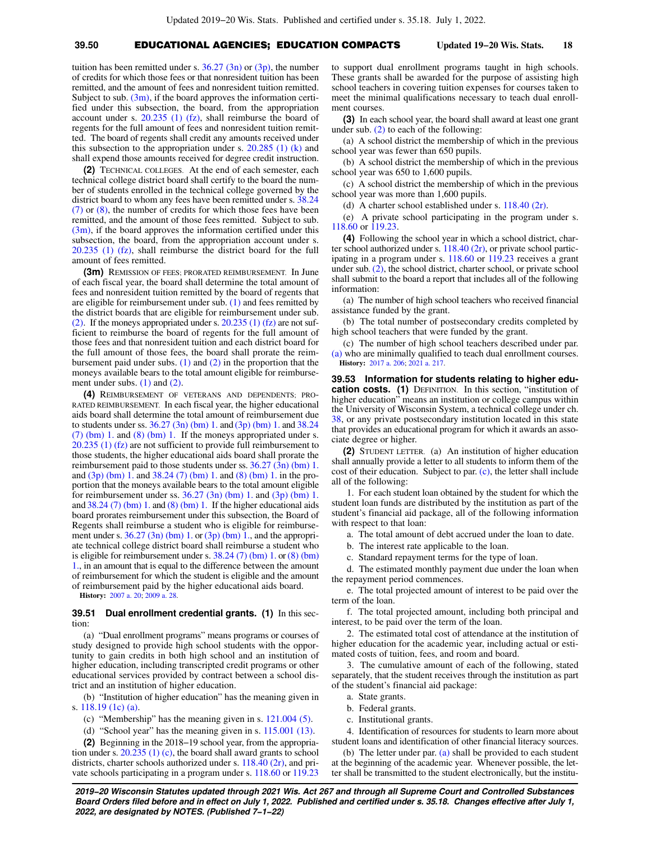# **39.50** EDUCATIONAL AGENCIES; EDUCATION COMPACTS **Updated 19−20 Wis. Stats. 18**

tuition has been remitted under s.  $36.27$  (3n) or [\(3p\),](https://docs.legis.wisconsin.gov/document/statutes/36.27(3p)) the number of credits for which those fees or that nonresident tuition has been remitted, and the amount of fees and nonresident tuition remitted. Subject to sub.  $(3m)$ , if the board approves the information certified under this subsection, the board, from the appropriation account under s. [20.235 \(1\) \(fz\)](https://docs.legis.wisconsin.gov/document/statutes/20.235(1)(fz)), shall reimburse the board of regents for the full amount of fees and nonresident tuition remitted. The board of regents shall credit any amounts received under this subsection to the appropriation under s.  $20.285$  (1) (k) and shall expend those amounts received for degree credit instruction.

**(2)** TECHNICAL COLLEGES. At the end of each semester, each technical college district board shall certify to the board the number of students enrolled in the technical college governed by the district board to whom any fees have been remitted under s. [38.24](https://docs.legis.wisconsin.gov/document/statutes/38.24(7)) [\(7\)](https://docs.legis.wisconsin.gov/document/statutes/38.24(7)) or [\(8\)](https://docs.legis.wisconsin.gov/document/statutes/38.24(8)), the number of credits for which those fees have been remitted, and the amount of those fees remitted. Subject to sub.  $(3m)$ , if the board approves the information certified under this subsection, the board, from the appropriation account under s. [20.235 \(1\) \(fz\),](https://docs.legis.wisconsin.gov/document/statutes/20.235(1)(fz)) shall reimburse the district board for the full amount of fees remitted.

**(3m)** REMISSION OF FEES; PRORATED REIMBURSEMENT. In June of each fiscal year, the board shall determine the total amount of fees and nonresident tuition remitted by the board of regents that are eligible for reimbursement under sub. [\(1\)](https://docs.legis.wisconsin.gov/document/statutes/39.50(1)) and fees remitted by the district boards that are eligible for reimbursement under sub. [\(2\)](https://docs.legis.wisconsin.gov/document/statutes/39.50(2)). If the moneys appropriated under s.  $20.235$  (1) (fz) are not sufficient to reimburse the board of regents for the full amount of those fees and that nonresident tuition and each district board for the full amount of those fees, the board shall prorate the reimbursement paid under subs.  $(1)$  and  $(2)$  in the proportion that the moneys available bears to the total amount eligible for reimbursement under subs. [\(1\)](https://docs.legis.wisconsin.gov/document/statutes/39.50(1)) and [\(2\)](https://docs.legis.wisconsin.gov/document/statutes/39.50(2)).

**(4)** REIMBURSEMENT OF VETERANS AND DEPENDENTS; PRO-RATED REIMBURSEMENT. In each fiscal year, the higher educational aids board shall determine the total amount of reimbursement due to students under ss. [36.27 \(3n\) \(bm\) 1.](https://docs.legis.wisconsin.gov/document/statutes/36.27(3n)(bm)1.) and [\(3p\) \(bm\) 1.](https://docs.legis.wisconsin.gov/document/statutes/36.27(3p)(bm)1.) and [38.24](https://docs.legis.wisconsin.gov/document/statutes/38.24(7)(bm)1.) [\(7\) \(bm\) 1.](https://docs.legis.wisconsin.gov/document/statutes/38.24(7)(bm)1.) and [\(8\) \(bm\) 1.](https://docs.legis.wisconsin.gov/document/statutes/38.24(8)(bm)1.) If the moneys appropriated under s. [20.235 \(1\) \(fz\)](https://docs.legis.wisconsin.gov/document/statutes/20.235(1)(fz)) are not sufficient to provide full reimbursement to those students, the higher educational aids board shall prorate the reimbursement paid to those students under ss. [36.27 \(3n\) \(bm\) 1.](https://docs.legis.wisconsin.gov/document/statutes/36.27(3n)(bm)1.) and  $(3p)$  (bm) 1. and  $38.24$  (7) (bm) 1. and [\(8\) \(bm\) 1.](https://docs.legis.wisconsin.gov/document/statutes/38.24(8)(bm)1.) in the proportion that the moneys available bears to the total amount eligible for reimbursement under ss.  $36.27$  (3n) (bm) 1. and [\(3p\) \(bm\) 1.](https://docs.legis.wisconsin.gov/document/statutes/36.27(3p)(bm)1.) and [38.24 \(7\) \(bm\) 1.](https://docs.legis.wisconsin.gov/document/statutes/38.24(7)(bm)1.) and [\(8\) \(bm\) 1.](https://docs.legis.wisconsin.gov/document/statutes/38.24(8)(bm)1.) If the higher educational aids board prorates reimbursement under this subsection, the Board of Regents shall reimburse a student who is eligible for reimbursement under s.  $36.27$  (3n) (bm) 1. or [\(3p\) \(bm\) 1.](https://docs.legis.wisconsin.gov/document/statutes/36.27(3p)(bm)1.), and the appropriate technical college district board shall reimburse a student who is eligible for reimbursement under s. [38.24 \(7\) \(bm\) 1.](https://docs.legis.wisconsin.gov/document/statutes/38.24(7)(bm)1.) or [\(8\) \(bm\)](https://docs.legis.wisconsin.gov/document/statutes/38.24(8)(bm)1.) [1.,](https://docs.legis.wisconsin.gov/document/statutes/38.24(8)(bm)1.) in an amount that is equal to the difference between the amount of reimbursement for which the student is eligible and the amount of reimbursement paid by the higher educational aids board.

**History:** [2007 a. 20;](https://docs.legis.wisconsin.gov/document/acts/2007/20) [2009 a. 28.](https://docs.legis.wisconsin.gov/document/acts/2009/28)

### **39.51 Dual enrollment credential grants. (1)** In this section:

(a) "Dual enrollment programs" means programs or courses of study designed to provide high school students with the opportunity to gain credits in both high school and an institution of higher education, including transcripted credit programs or other educational services provided by contract between a school district and an institution of higher education.

(b) "Institution of higher education" has the meaning given in s. [118.19 \(1c\) \(a\).](https://docs.legis.wisconsin.gov/document/statutes/118.19(1c)(a))

- (c) "Membership" has the meaning given in s. [121.004 \(5\)](https://docs.legis.wisconsin.gov/document/statutes/121.004(5)).
- (d) "School year" has the meaning given in s. [115.001 \(13\)](https://docs.legis.wisconsin.gov/document/statutes/115.001(13)).

**(2)** Beginning in the 2018−19 school year, from the appropriation under s. [20.235 \(1\) \(c\)](https://docs.legis.wisconsin.gov/document/statutes/20.235(1)(c)), the board shall award grants to school districts, charter schools authorized under s.  $118.40$  (2r), and private schools participating in a program under s. [118.60](https://docs.legis.wisconsin.gov/document/statutes/118.60) or [119.23](https://docs.legis.wisconsin.gov/document/statutes/119.23) to support dual enrollment programs taught in high schools. These grants shall be awarded for the purpose of assisting high school teachers in covering tuition expenses for courses taken to meet the minimal qualifications necessary to teach dual enrollment courses.

**(3)** In each school year, the board shall award at least one grant under sub.  $(2)$  to each of the following:

(a) A school district the membership of which in the previous school year was fewer than 650 pupils.

(b) A school district the membership of which in the previous school year was 650 to 1,600 pupils.

(c) A school district the membership of which in the previous school year was more than 1,600 pupils.

(d) A charter school established under s.  $118.40$  (2r).

(e) A private school participating in the program under s. [118.60](https://docs.legis.wisconsin.gov/document/statutes/118.60) or [119.23](https://docs.legis.wisconsin.gov/document/statutes/119.23).

**(4)** Following the school year in which a school district, charter school authorized under s. [118.40 \(2r\)](https://docs.legis.wisconsin.gov/document/statutes/118.40(2r)), or private school participating in a program under s. [118.60](https://docs.legis.wisconsin.gov/document/statutes/118.60) or [119.23](https://docs.legis.wisconsin.gov/document/statutes/119.23) receives a grant under sub. [\(2\),](https://docs.legis.wisconsin.gov/document/statutes/39.51(2)) the school district, charter school, or private school shall submit to the board a report that includes all of the following information:

(a) The number of high school teachers who received financial assistance funded by the grant.

(b) The total number of postsecondary credits completed by high school teachers that were funded by the grant.

(c) The number of high school teachers described under par. [\(a\)](https://docs.legis.wisconsin.gov/document/statutes/39.51(4)(a)) who are minimally qualified to teach dual enrollment courses. **History:** [2017 a. 206;](https://docs.legis.wisconsin.gov/document/acts/2017/206) [2021 a. 217](https://docs.legis.wisconsin.gov/document/acts/2021/217).

**39.53 Information for students relating to higher education costs. (1)** DEFINITION. In this section, "institution of higher education" means an institution or college campus within the University of Wisconsin System, a technical college under ch. [38](https://docs.legis.wisconsin.gov/document/statutes/ch.%2038), or any private postsecondary institution located in this state that provides an educational program for which it awards an associate degree or higher.

**(2)** STUDENT LETTER. (a) An institution of higher education shall annually provide a letter to all students to inform them of the cost of their education. Subject to par. [\(c\)](https://docs.legis.wisconsin.gov/document/statutes/39.53(2)(c)), the letter shall include all of the following:

1. For each student loan obtained by the student for which the student loan funds are distributed by the institution as part of the student's financial aid package, all of the following information with respect to that loan:

a. The total amount of debt accrued under the loan to date.

b. The interest rate applicable to the loan.

c. Standard repayment terms for the type of loan.

d. The estimated monthly payment due under the loan when the repayment period commences.

e. The total projected amount of interest to be paid over the term of the loan.

f. The total projected amount, including both principal and interest, to be paid over the term of the loan.

2. The estimated total cost of attendance at the institution of higher education for the academic year, including actual or estimated costs of tuition, fees, and room and board.

3. The cumulative amount of each of the following, stated separately, that the student receives through the institution as part of the student's financial aid package:

- a. State grants.
- b. Federal grants.
- c. Institutional grants.

4. Identification of resources for students to learn more about student loans and identification of other financial literacy sources.

(b) The letter under par. [\(a\)](https://docs.legis.wisconsin.gov/document/statutes/39.53(2)(a)) shall be provided to each student at the beginning of the academic year. Whenever possible, the letter shall be transmitted to the student electronically, but the institu-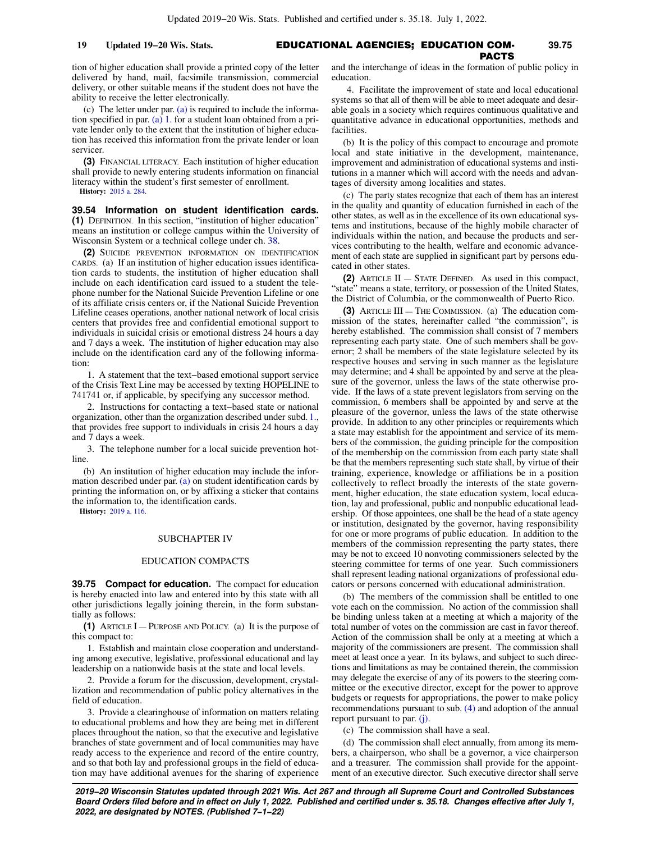# EDUCATIONAL AGENCIES; EDUCATION COM-**19 Updated 19−20 Wis. Stats. 39.75** PACTS

tion of higher education shall provide a printed copy of the letter delivered by hand, mail, facsimile transmission, commercial delivery, or other suitable means if the student does not have the ability to receive the letter electronically.

(c) The letter under par. [\(a\)](https://docs.legis.wisconsin.gov/document/statutes/39.53(2)(a)) is required to include the informa-tion specified in par. [\(a\) 1.](https://docs.legis.wisconsin.gov/document/statutes/39.53(2)(a)1.) for a student loan obtained from a private lender only to the extent that the institution of higher education has received this information from the private lender or loan servicer.

**(3)** FINANCIAL LITERACY. Each institution of higher education shall provide to newly entering students information on financial literacy within the student's first semester of enrollment.

**History:** [2015 a. 284](https://docs.legis.wisconsin.gov/document/acts/2015/284).

**39.54 Information on student identification cards. (1)** DEFINITION. In this section, "institution of higher education" means an institution or college campus within the University of Wisconsin System or a technical college under ch. [38](https://docs.legis.wisconsin.gov/document/statutes/ch.%2038).

**(2)** SUICIDE PREVENTION INFORMATION ON IDENTIFICATION CARDS. (a) If an institution of higher education issues identification cards to students, the institution of higher education shall include on each identification card issued to a student the telephone number for the National Suicide Prevention Lifeline or one of its affiliate crisis centers or, if the National Suicide Prevention Lifeline ceases operations, another national network of local crisis centers that provides free and confidential emotional support to individuals in suicidal crisis or emotional distress 24 hours a day and 7 days a week. The institution of higher education may also include on the identification card any of the following information:

1. A statement that the text−based emotional support service of the Crisis Text Line may be accessed by texting HOPELINE to 741741 or, if applicable, by specifying any successor method.

2. Instructions for contacting a text−based state or national organization, other than the organization described under subd. [1.,](https://docs.legis.wisconsin.gov/document/statutes/39.54(2)(a)1.) that provides free support to individuals in crisis 24 hours a day and 7 days a week.

3. The telephone number for a local suicide prevention hotline.

(b) An institution of higher education may include the information described under par.  $(a)$  on student identification cards by printing the information on, or by affixing a sticker that contains the information to, the identification cards.

**History:** [2019 a. 116](https://docs.legis.wisconsin.gov/document/acts/2019/116).

### SUBCHAPTER IV

### EDUCATION COMPACTS

**39.75 Compact for education.** The compact for education is hereby enacted into law and entered into by this state with all other jurisdictions legally joining therein, in the form substantially as follows:

**(1)** ARTICLE I — PURPOSE AND POLICY. (a) It is the purpose of this compact to:

1. Establish and maintain close cooperation and understanding among executive, legislative, professional educational and lay leadership on a nationwide basis at the state and local levels.

2. Provide a forum for the discussion, development, crystallization and recommendation of public policy alternatives in the field of education.

3. Provide a clearinghouse of information on matters relating to educational problems and how they are being met in different places throughout the nation, so that the executive and legislative branches of state government and of local communities may have ready access to the experience and record of the entire country, and so that both lay and professional groups in the field of education may have additional avenues for the sharing of experience and the interchange of ideas in the formation of public policy in education.

4. Facilitate the improvement of state and local educational systems so that all of them will be able to meet adequate and desirable goals in a society which requires continuous qualitative and quantitative advance in educational opportunities, methods and facilities.

(b) It is the policy of this compact to encourage and promote local and state initiative in the development, maintenance, improvement and administration of educational systems and institutions in a manner which will accord with the needs and advantages of diversity among localities and states.

(c) The party states recognize that each of them has an interest in the quality and quantity of education furnished in each of the other states, as well as in the excellence of its own educational systems and institutions, because of the highly mobile character of individuals within the nation, and because the products and services contributing to the health, welfare and economic advancement of each state are supplied in significant part by persons educated in other states.

**(2)** ARTICLE II — STATE DEFINED. As used in this compact, "state" means a state, territory, or possession of the United States, the District of Columbia, or the commonwealth of Puerto Rico.

**(3)** ARTICLE III — THE COMMISSION. (a) The education commission of the states, hereinafter called "the commission", is hereby established. The commission shall consist of 7 members representing each party state. One of such members shall be governor; 2 shall be members of the state legislature selected by its respective houses and serving in such manner as the legislature may determine; and 4 shall be appointed by and serve at the pleasure of the governor, unless the laws of the state otherwise provide. If the laws of a state prevent legislators from serving on the commission, 6 members shall be appointed by and serve at the pleasure of the governor, unless the laws of the state otherwise provide. In addition to any other principles or requirements which a state may establish for the appointment and service of its members of the commission, the guiding principle for the composition of the membership on the commission from each party state shall be that the members representing such state shall, by virtue of their training, experience, knowledge or affiliations be in a position collectively to reflect broadly the interests of the state government, higher education, the state education system, local education, lay and professional, public and nonpublic educational leadership. Of those appointees, one shall be the head of a state agency or institution, designated by the governor, having responsibility for one or more programs of public education. In addition to the members of the commission representing the party states, there may be not to exceed 10 nonvoting commissioners selected by the steering committee for terms of one year. Such commissioners shall represent leading national organizations of professional educators or persons concerned with educational administration.

(b) The members of the commission shall be entitled to one vote each on the commission. No action of the commission shall be binding unless taken at a meeting at which a majority of the total number of votes on the commission are cast in favor thereof. Action of the commission shall be only at a meeting at which a majority of the commissioners are present. The commission shall meet at least once a year. In its bylaws, and subject to such directions and limitations as may be contained therein, the commission may delegate the exercise of any of its powers to the steering committee or the executive director, except for the power to approve budgets or requests for appropriations, the power to make policy recommendations pursuant to sub. [\(4\)](https://docs.legis.wisconsin.gov/document/statutes/39.75(4)) and adoption of the annual report pursuant to par.  $(j)$ .

(c) The commission shall have a seal.

(d) The commission shall elect annually, from among its members, a chairperson, who shall be a governor, a vice chairperson and a treasurer. The commission shall provide for the appointment of an executive director. Such executive director shall serve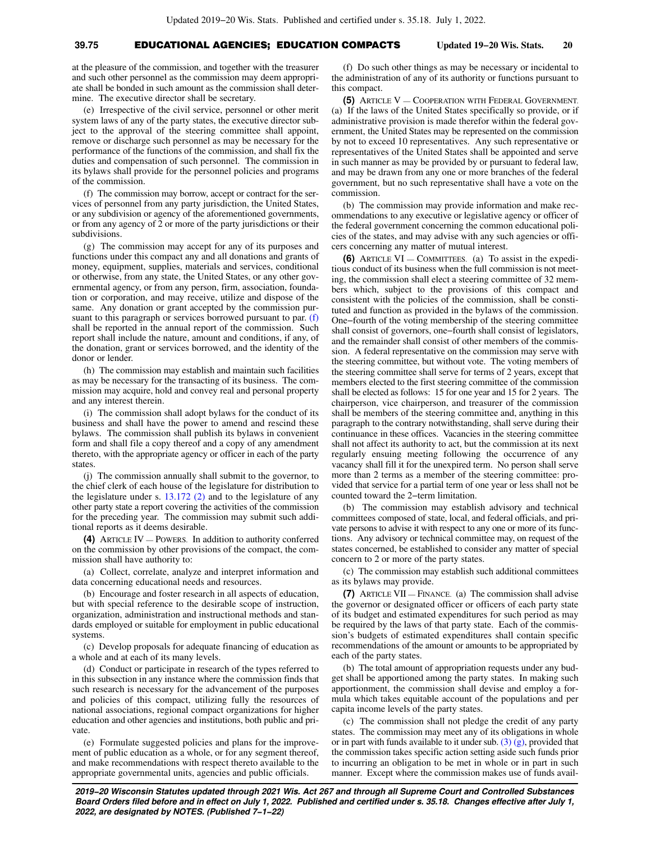# **39.75** EDUCATIONAL AGENCIES; EDUCATION COMPACTS **Updated 19−20 Wis. Stats. 20**

at the pleasure of the commission, and together with the treasurer and such other personnel as the commission may deem appropriate shall be bonded in such amount as the commission shall determine. The executive director shall be secretary.

(e) Irrespective of the civil service, personnel or other merit system laws of any of the party states, the executive director subject to the approval of the steering committee shall appoint, remove or discharge such personnel as may be necessary for the performance of the functions of the commission, and shall fix the duties and compensation of such personnel. The commission in its bylaws shall provide for the personnel policies and programs of the commission.

(f) The commission may borrow, accept or contract for the services of personnel from any party jurisdiction, the United States, or any subdivision or agency of the aforementioned governments, or from any agency of 2 or more of the party jurisdictions or their subdivisions.

(g) The commission may accept for any of its purposes and functions under this compact any and all donations and grants of money, equipment, supplies, materials and services, conditional or otherwise, from any state, the United States, or any other governmental agency, or from any person, firm, association, foundation or corporation, and may receive, utilize and dispose of the same. Any donation or grant accepted by the commission pursuant to this paragraph or services borrowed pursuant to par. [\(f\)](https://docs.legis.wisconsin.gov/document/statutes/39.75(3)(f)) shall be reported in the annual report of the commission. Such report shall include the nature, amount and conditions, if any, of the donation, grant or services borrowed, and the identity of the donor or lender.

(h) The commission may establish and maintain such facilities as may be necessary for the transacting of its business. The commission may acquire, hold and convey real and personal property and any interest therein.

(i) The commission shall adopt bylaws for the conduct of its business and shall have the power to amend and rescind these bylaws. The commission shall publish its bylaws in convenient form and shall file a copy thereof and a copy of any amendment thereto, with the appropriate agency or officer in each of the party states

(j) The commission annually shall submit to the governor, to the chief clerk of each house of the legislature for distribution to the legislature under s. [13.172 \(2\)](https://docs.legis.wisconsin.gov/document/statutes/13.172(2)) and to the legislature of any other party state a report covering the activities of the commission for the preceding year. The commission may submit such additional reports as it deems desirable.

**(4)** ARTICLE IV — POWERS. In addition to authority conferred on the commission by other provisions of the compact, the commission shall have authority to:

(a) Collect, correlate, analyze and interpret information and data concerning educational needs and resources.

(b) Encourage and foster research in all aspects of education, but with special reference to the desirable scope of instruction, organization, administration and instructional methods and standards employed or suitable for employment in public educational systems.

(c) Develop proposals for adequate financing of education as a whole and at each of its many levels.

(d) Conduct or participate in research of the types referred to in this subsection in any instance where the commission finds that such research is necessary for the advancement of the purposes and policies of this compact, utilizing fully the resources of national associations, regional compact organizations for higher education and other agencies and institutions, both public and private.

(e) Formulate suggested policies and plans for the improvement of public education as a whole, or for any segment thereof, and make recommendations with respect thereto available to the appropriate governmental units, agencies and public officials.

(f) Do such other things as may be necessary or incidental to the administration of any of its authority or functions pursuant to this compact.

**(5)** ARTICLE V — COOPERATION WITH FEDERAL GOVERNMENT. (a) If the laws of the United States specifically so provide, or if administrative provision is made therefor within the federal government, the United States may be represented on the commission by not to exceed 10 representatives. Any such representative or representatives of the United States shall be appointed and serve in such manner as may be provided by or pursuant to federal law, and may be drawn from any one or more branches of the federal government, but no such representative shall have a vote on the commission.

(b) The commission may provide information and make recommendations to any executive or legislative agency or officer of the federal government concerning the common educational policies of the states, and may advise with any such agencies or officers concerning any matter of mutual interest.

**(6)** ARTICLE VI — COMMITTEES. (a) To assist in the expeditious conduct of its business when the full commission is not meeting, the commission shall elect a steering committee of 32 members which, subject to the provisions of this compact and consistent with the policies of the commission, shall be constituted and function as provided in the bylaws of the commission. One−fourth of the voting membership of the steering committee shall consist of governors, one−fourth shall consist of legislators, and the remainder shall consist of other members of the commission. A federal representative on the commission may serve with the steering committee, but without vote. The voting members of the steering committee shall serve for terms of 2 years, except that members elected to the first steering committee of the commission shall be elected as follows: 15 for one year and 15 for 2 years. The chairperson, vice chairperson, and treasurer of the commission shall be members of the steering committee and, anything in this paragraph to the contrary notwithstanding, shall serve during their continuance in these offices. Vacancies in the steering committee shall not affect its authority to act, but the commission at its next regularly ensuing meeting following the occurrence of any vacancy shall fill it for the unexpired term. No person shall serve more than 2 terms as a member of the steering committee: provided that service for a partial term of one year or less shall not be counted toward the 2−term limitation.

(b) The commission may establish advisory and technical committees composed of state, local, and federal officials, and private persons to advise it with respect to any one or more of its functions. Any advisory or technical committee may, on request of the states concerned, be established to consider any matter of special concern to 2 or more of the party states.

(c) The commission may establish such additional committees as its bylaws may provide.

**(7)** ARTICLE VII — FINANCE. (a) The commission shall advise the governor or designated officer or officers of each party state of its budget and estimated expenditures for such period as may be required by the laws of that party state. Each of the commission's budgets of estimated expenditures shall contain specific recommendations of the amount or amounts to be appropriated by each of the party states.

(b) The total amount of appropriation requests under any budget shall be apportioned among the party states. In making such apportionment, the commission shall devise and employ a formula which takes equitable account of the populations and per capita income levels of the party states.

(c) The commission shall not pledge the credit of any party states. The commission may meet any of its obligations in whole or in part with funds available to it under sub.  $(3)$   $(g)$ , provided that the commission takes specific action setting aside such funds prior to incurring an obligation to be met in whole or in part in such manner. Except where the commission makes use of funds avail-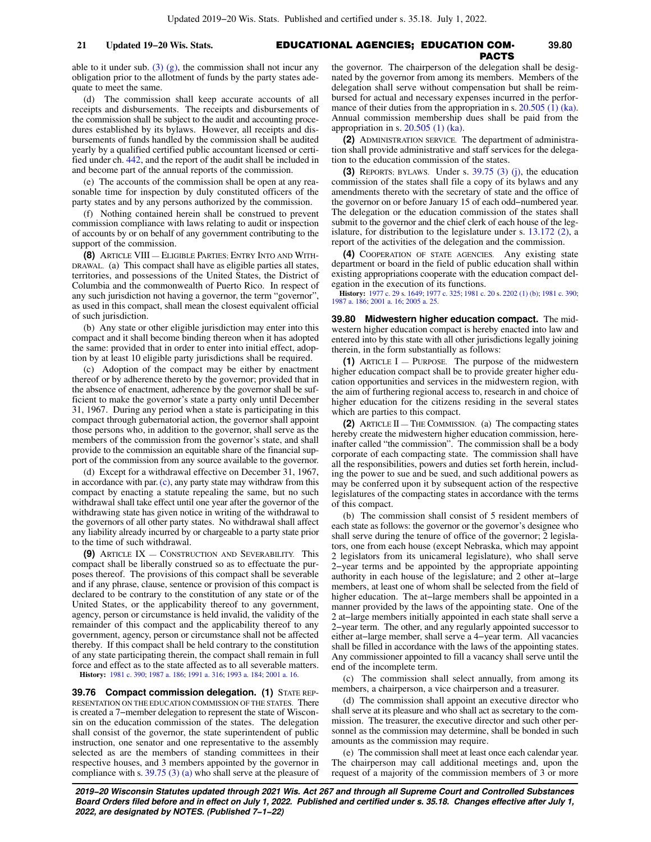able to it under sub.  $(3)$   $(g)$ , the commission shall not incur any obligation prior to the allotment of funds by the party states adequate to meet the same.

(d) The commission shall keep accurate accounts of all receipts and disbursements. The receipts and disbursements of the commission shall be subject to the audit and accounting procedures established by its bylaws. However, all receipts and disbursements of funds handled by the commission shall be audited yearly by a qualified certified public accountant licensed or certified under ch. [442](https://docs.legis.wisconsin.gov/document/statutes/ch.%20442), and the report of the audit shall be included in and become part of the annual reports of the commission.

(e) The accounts of the commission shall be open at any reasonable time for inspection by duly constituted officers of the party states and by any persons authorized by the commission.

(f) Nothing contained herein shall be construed to prevent commission compliance with laws relating to audit or inspection of accounts by or on behalf of any government contributing to the support of the commission.

**(8)** ARTICLE VIII — ELIGIBLE PARTIES; ENTRY INTO AND WITH-DRAWAL. (a) This compact shall have as eligible parties all states, territories, and possessions of the United States, the District of Columbia and the commonwealth of Puerto Rico. In respect of any such jurisdiction not having a governor, the term "governor", as used in this compact, shall mean the closest equivalent official of such jurisdiction.

(b) Any state or other eligible jurisdiction may enter into this compact and it shall become binding thereon when it has adopted the same: provided that in order to enter into initial effect, adoption by at least 10 eligible party jurisdictions shall be required.

(c) Adoption of the compact may be either by enactment thereof or by adherence thereto by the governor; provided that in the absence of enactment, adherence by the governor shall be sufficient to make the governor's state a party only until December 31, 1967. During any period when a state is participating in this compact through gubernatorial action, the governor shall appoint those persons who, in addition to the governor, shall serve as the members of the commission from the governor's state, and shall provide to the commission an equitable share of the financial support of the commission from any source available to the governor.

(d) Except for a withdrawal effective on December 31, 1967, in accordance with par.  $(c)$ , any party state may withdraw from this compact by enacting a statute repealing the same, but no such withdrawal shall take effect until one year after the governor of the withdrawing state has given notice in writing of the withdrawal to the governors of all other party states. No withdrawal shall affect any liability already incurred by or chargeable to a party state prior to the time of such withdrawal.

**(9)** ARTICLE IX — CONSTRUCTION AND SEVERABILITY. This compact shall be liberally construed so as to effectuate the purposes thereof. The provisions of this compact shall be severable and if any phrase, clause, sentence or provision of this compact is declared to be contrary to the constitution of any state or of the United States, or the applicability thereof to any government, agency, person or circumstance is held invalid, the validity of the remainder of this compact and the applicability thereof to any government, agency, person or circumstance shall not be affected thereby. If this compact shall be held contrary to the constitution of any state participating therein, the compact shall remain in full force and effect as to the state affected as to all severable matters.

**History:** [1981 c. 390](https://docs.legis.wisconsin.gov/document/acts/1981/390); [1987 a. 186](https://docs.legis.wisconsin.gov/document/acts/1987/186); [1991 a. 316;](https://docs.legis.wisconsin.gov/document/acts/1991/316) [1993 a. 184](https://docs.legis.wisconsin.gov/document/acts/1993/184); [2001 a. 16.](https://docs.legis.wisconsin.gov/document/acts/2001/16)

**39.76 Compact commission delegation. (1)** STATE REP-RESENTATION ON THE EDUCATION COMMISSION OF THE STATES. There is created a 7−member delegation to represent the state of Wisconsin on the education commission of the states. The delegation shall consist of the governor, the state superintendent of public instruction, one senator and one representative to the assembly selected as are the members of standing committees in their respective houses, and 3 members appointed by the governor in compliance with s. [39.75 \(3\) \(a\)](https://docs.legis.wisconsin.gov/document/statutes/39.75(3)(a)) who shall serve at the pleasure of

 EDUCATIONAL AGENCIES; EDUCATION COM-**21 Updated 19−20 Wis. Stats. 39.80** PACTS the governor. The chairperson of the delegation shall be desig-

nated by the governor from among its members. Members of the delegation shall serve without compensation but shall be reimbursed for actual and necessary expenses incurred in the perfor-mance of their duties from the appropriation in s. [20.505 \(1\) \(ka\).](https://docs.legis.wisconsin.gov/document/statutes/20.505(1)(ka)) Annual commission membership dues shall be paid from the appropriation in s. [20.505 \(1\) \(ka\).](https://docs.legis.wisconsin.gov/document/statutes/20.505(1)(ka))

**(2)** ADMINISTRATION SERVICE. The department of administration shall provide administrative and staff services for the delegation to the education commission of the states.

**(3)** REPORTS; BYLAWS. Under s. [39.75 \(3\) \(j\),](https://docs.legis.wisconsin.gov/document/statutes/39.75(3)(j)) the education commission of the states shall file a copy of its bylaws and any amendments thereto with the secretary of state and the office of the governor on or before January 15 of each odd−numbered year. The delegation or the education commission of the states shall submit to the governor and the chief clerk of each house of the legislature, for distribution to the legislature under s. [13.172 \(2\)](https://docs.legis.wisconsin.gov/document/statutes/13.172(2)), a report of the activities of the delegation and the commission.

**(4)** COOPERATION OF STATE AGENCIES. Any existing state department or board in the field of public education shall within existing appropriations cooperate with the education compact delegation in the execution of its functions.

**History:** [1977 c. 29](https://docs.legis.wisconsin.gov/document/acts/1977/29) s. [1649](https://docs.legis.wisconsin.gov/document/acts/1977/29,%20s.%201649); [1977 c. 325](https://docs.legis.wisconsin.gov/document/acts/1977/325); [1981 c. 20](https://docs.legis.wisconsin.gov/document/acts/1981/20) s. [2202 \(1\) \(b\)](https://docs.legis.wisconsin.gov/document/acts/1981/20,%20s.%202202); [1981 c. 390](https://docs.legis.wisconsin.gov/document/acts/1981/390); [1987 a. 186;](https://docs.legis.wisconsin.gov/document/acts/1987/186) [2001 a. 16](https://docs.legis.wisconsin.gov/document/acts/2001/16); [2005 a. 25](https://docs.legis.wisconsin.gov/document/acts/2005/25).

**39.80 Midwestern higher education compact.** The midwestern higher education compact is hereby enacted into law and entered into by this state with all other jurisdictions legally joining therein, in the form substantially as follows:

**(1)** ARTICLE I — PURPOSE. The purpose of the midwestern higher education compact shall be to provide greater higher education opportunities and services in the midwestern region, with the aim of furthering regional access to, research in and choice of higher education for the citizens residing in the several states which are parties to this compact.

**(2)** ARTICLE II — THE COMMISSION. (a) The compacting states hereby create the midwestern higher education commission, hereinafter called "the commission". The commission shall be a body corporate of each compacting state. The commission shall have all the responsibilities, powers and duties set forth herein, including the power to sue and be sued, and such additional powers as may be conferred upon it by subsequent action of the respective legislatures of the compacting states in accordance with the terms of this compact.

(b) The commission shall consist of 5 resident members of each state as follows: the governor or the governor's designee who shall serve during the tenure of office of the governor; 2 legislators, one from each house (except Nebraska, which may appoint 2 legislators from its unicameral legislature), who shall serve 2−year terms and be appointed by the appropriate appointing authority in each house of the legislature; and 2 other at−large members, at least one of whom shall be selected from the field of higher education. The at−large members shall be appointed in a manner provided by the laws of the appointing state. One of the 2 at−large members initially appointed in each state shall serve a 2−year term. The other, and any regularly appointed successor to either at−large member, shall serve a 4−year term. All vacancies shall be filled in accordance with the laws of the appointing states. Any commissioner appointed to fill a vacancy shall serve until the end of the incomplete term.

(c) The commission shall select annually, from among its members, a chairperson, a vice chairperson and a treasurer.

(d) The commission shall appoint an executive director who shall serve at its pleasure and who shall act as secretary to the commission. The treasurer, the executive director and such other personnel as the commission may determine, shall be bonded in such amounts as the commission may require.

(e) The commission shall meet at least once each calendar year. The chairperson may call additional meetings and, upon the request of a majority of the commission members of 3 or more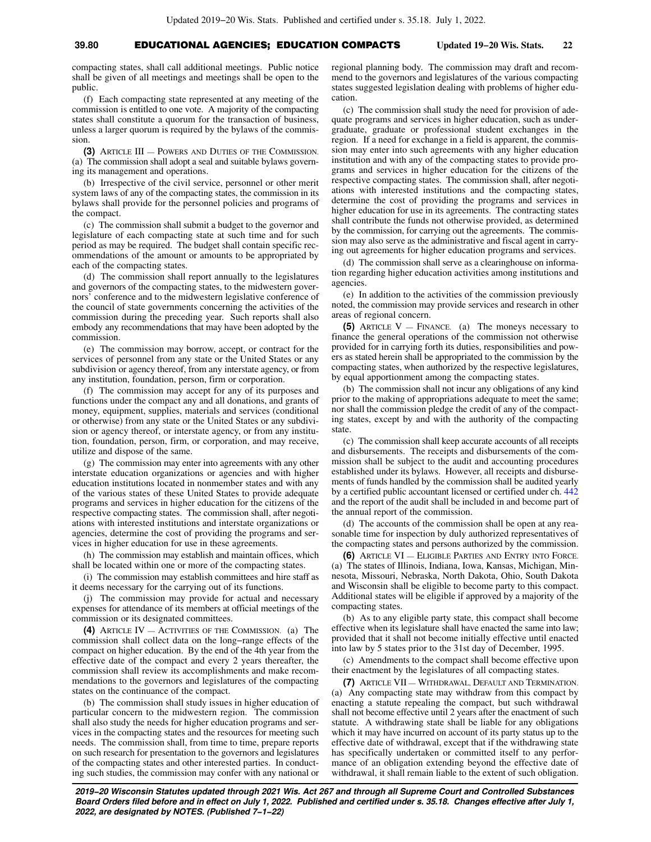# **39.80** EDUCATIONAL AGENCIES; EDUCATION COMPACTS **Updated 19−20 Wis. Stats. 22**

compacting states, shall call additional meetings. Public notice shall be given of all meetings and meetings shall be open to the public.

(f) Each compacting state represented at any meeting of the commission is entitled to one vote. A majority of the compacting states shall constitute a quorum for the transaction of business, unless a larger quorum is required by the bylaws of the commission.

**(3)** ARTICLE III — POWERS AND DUTIES OF THE COMMISSION. (a) The commission shall adopt a seal and suitable bylaws governing its management and operations.

(b) Irrespective of the civil service, personnel or other merit system laws of any of the compacting states, the commission in its bylaws shall provide for the personnel policies and programs of the compact.

(c) The commission shall submit a budget to the governor and legislature of each compacting state at such time and for such period as may be required. The budget shall contain specific recommendations of the amount or amounts to be appropriated by each of the compacting states.

(d) The commission shall report annually to the legislatures and governors of the compacting states, to the midwestern governors' conference and to the midwestern legislative conference of the council of state governments concerning the activities of the commission during the preceding year. Such reports shall also embody any recommendations that may have been adopted by the commission.

(e) The commission may borrow, accept, or contract for the services of personnel from any state or the United States or any subdivision or agency thereof, from any interstate agency, or from any institution, foundation, person, firm or corporation.

(f) The commission may accept for any of its purposes and functions under the compact any and all donations, and grants of money, equipment, supplies, materials and services (conditional or otherwise) from any state or the United States or any subdivision or agency thereof, or interstate agency, or from any institution, foundation, person, firm, or corporation, and may receive, utilize and dispose of the same.

(g) The commission may enter into agreements with any other interstate education organizations or agencies and with higher education institutions located in nonmember states and with any of the various states of these United States to provide adequate programs and services in higher education for the citizens of the respective compacting states. The commission shall, after negotiations with interested institutions and interstate organizations or agencies, determine the cost of providing the programs and services in higher education for use in these agreements.

(h) The commission may establish and maintain offices, which shall be located within one or more of the compacting states.

(i) The commission may establish committees and hire staff as it deems necessary for the carrying out of its functions.

(j) The commission may provide for actual and necessary expenses for attendance of its members at official meetings of the commission or its designated committees.

**(4)** ARTICLE IV — ACTIVITIES OF THE COMMISSION. (a) The commission shall collect data on the long−range effects of the compact on higher education. By the end of the 4th year from the effective date of the compact and every 2 years thereafter, the commission shall review its accomplishments and make recommendations to the governors and legislatures of the compacting states on the continuance of the compact.

(b) The commission shall study issues in higher education of particular concern to the midwestern region. The commission shall also study the needs for higher education programs and services in the compacting states and the resources for meeting such needs. The commission shall, from time to time, prepare reports on such research for presentation to the governors and legislatures of the compacting states and other interested parties. In conducting such studies, the commission may confer with any national or

regional planning body. The commission may draft and recommend to the governors and legislatures of the various compacting states suggested legislation dealing with problems of higher education.

(c) The commission shall study the need for provision of adequate programs and services in higher education, such as undergraduate, graduate or professional student exchanges in the region. If a need for exchange in a field is apparent, the commission may enter into such agreements with any higher education institution and with any of the compacting states to provide programs and services in higher education for the citizens of the respective compacting states. The commission shall, after negotiations with interested institutions and the compacting states, determine the cost of providing the programs and services in higher education for use in its agreements. The contracting states shall contribute the funds not otherwise provided, as determined by the commission, for carrying out the agreements. The commission may also serve as the administrative and fiscal agent in carrying out agreements for higher education programs and services.

(d) The commission shall serve as a clearinghouse on information regarding higher education activities among institutions and agencies.

(e) In addition to the activities of the commission previously noted, the commission may provide services and research in other areas of regional concern.

**(5)** ARTICLE V — FINANCE. (a) The moneys necessary to finance the general operations of the commission not otherwise provided for in carrying forth its duties, responsibilities and powers as stated herein shall be appropriated to the commission by the compacting states, when authorized by the respective legislatures, by equal apportionment among the compacting states.

(b) The commission shall not incur any obligations of any kind prior to the making of appropriations adequate to meet the same; nor shall the commission pledge the credit of any of the compacting states, except by and with the authority of the compacting state.

(c) The commission shall keep accurate accounts of all receipts and disbursements. The receipts and disbursements of the commission shall be subject to the audit and accounting procedures established under its bylaws. However, all receipts and disbursements of funds handled by the commission shall be audited yearly by a certified public accountant licensed or certified under ch. [442](https://docs.legis.wisconsin.gov/document/statutes/ch.%20442) and the report of the audit shall be included in and become part of the annual report of the commission.

(d) The accounts of the commission shall be open at any reasonable time for inspection by duly authorized representatives of the compacting states and persons authorized by the commission.

**(6)** ARTICLE VI — ELIGIBLE PARTIES AND ENTRY INTO FORCE. (a) The states of Illinois, Indiana, Iowa, Kansas, Michigan, Minnesota, Missouri, Nebraska, North Dakota, Ohio, South Dakota and Wisconsin shall be eligible to become party to this compact. Additional states will be eligible if approved by a majority of the compacting states.

(b) As to any eligible party state, this compact shall become effective when its legislature shall have enacted the same into law; provided that it shall not become initially effective until enacted into law by 5 states prior to the 31st day of December, 1995.

(c) Amendments to the compact shall become effective upon their enactment by the legislatures of all compacting states.

**(7)** ARTICLE VII — WITHDRAWAL, DEFAULT AND TERMINATION. (a) Any compacting state may withdraw from this compact by enacting a statute repealing the compact, but such withdrawal shall not become effective until 2 years after the enactment of such statute. A withdrawing state shall be liable for any obligations which it may have incurred on account of its party status up to the effective date of withdrawal, except that if the withdrawing state has specifically undertaken or committed itself to any performance of an obligation extending beyond the effective date of withdrawal, it shall remain liable to the extent of such obligation.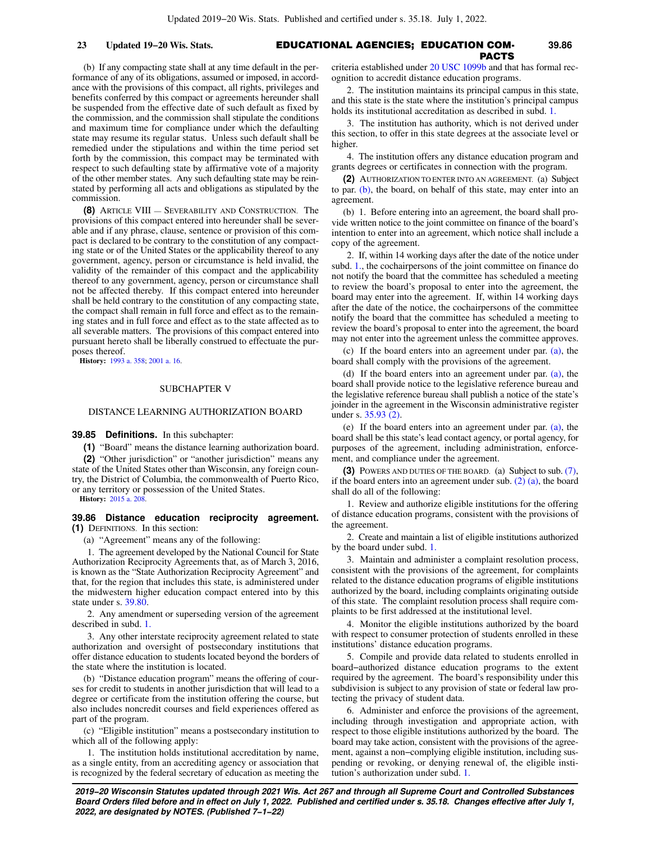# EDUCATIONAL AGENCIES; EDUCATION COM-**23 Updated 19−20 Wis. Stats. 39.86** PACTS

(b) If any compacting state shall at any time default in the performance of any of its obligations, assumed or imposed, in accordance with the provisions of this compact, all rights, privileges and benefits conferred by this compact or agreements hereunder shall be suspended from the effective date of such default as fixed by the commission, and the commission shall stipulate the conditions and maximum time for compliance under which the defaulting state may resume its regular status. Unless such default shall be remedied under the stipulations and within the time period set forth by the commission, this compact may be terminated with respect to such defaulting state by affirmative vote of a majority of the other member states. Any such defaulting state may be reinstated by performing all acts and obligations as stipulated by the commission.

**(8)** ARTICLE VIII — SEVERABILITY AND CONSTRUCTION. The provisions of this compact entered into hereunder shall be severable and if any phrase, clause, sentence or provision of this compact is declared to be contrary to the constitution of any compacting state or of the United States or the applicability thereof to any government, agency, person or circumstance is held invalid, the validity of the remainder of this compact and the applicability thereof to any government, agency, person or circumstance shall not be affected thereby. If this compact entered into hereunder shall be held contrary to the constitution of any compacting state, the compact shall remain in full force and effect as to the remaining states and in full force and effect as to the state affected as to all severable matters. The provisions of this compact entered into pursuant hereto shall be liberally construed to effectuate the purposes thereof.

**History:** [1993 a. 358](https://docs.legis.wisconsin.gov/document/acts/1993/358); [2001 a. 16.](https://docs.legis.wisconsin.gov/document/acts/2001/16)

### SUBCHAPTER V

### DISTANCE LEARNING AUTHORIZATION BOARD

**39.85 Definitions.** In this subchapter:

**(1)** "Board" means the distance learning authorization board.

**(2)** "Other jurisdiction" or "another jurisdiction" means any state of the United States other than Wisconsin, any foreign country, the District of Columbia, the commonwealth of Puerto Rico, or any territory or possession of the United States.

**History:** [2015 a. 208](https://docs.legis.wisconsin.gov/document/acts/2015/208).

**39.86 Distance education reciprocity agreement. (1)** DEFINITIONS. In this section:

(a) "Agreement" means any of the following:

1. The agreement developed by the National Council for State Authorization Reciprocity Agreements that, as of March 3, 2016, is known as the "State Authorization Reciprocity Agreement" and that, for the region that includes this state, is administered under the midwestern higher education compact entered into by this state under s. [39.80.](https://docs.legis.wisconsin.gov/document/statutes/39.80)

2. Any amendment or superseding version of the agreement described in subd. [1.](https://docs.legis.wisconsin.gov/document/statutes/39.86(1)(a)1.)

3. Any other interstate reciprocity agreement related to state authorization and oversight of postsecondary institutions that offer distance education to students located beyond the borders of the state where the institution is located.

(b) "Distance education program" means the offering of courses for credit to students in another jurisdiction that will lead to a degree or certificate from the institution offering the course, but also includes noncredit courses and field experiences offered as part of the program.

(c) "Eligible institution" means a postsecondary institution to which all of the following apply:

1. The institution holds institutional accreditation by name, as a single entity, from an accrediting agency or association that is recognized by the federal secretary of education as meeting the criteria established under [20 USC 1099b](https://docs.legis.wisconsin.gov/document/usc/20%20USC%201099b) and that has formal recognition to accredit distance education programs.

2. The institution maintains its principal campus in this state, and this state is the state where the institution's principal campus holds its institutional accreditation as described in subd. [1.](https://docs.legis.wisconsin.gov/document/statutes/39.86(1)(c)1.)

3. The institution has authority, which is not derived under this section, to offer in this state degrees at the associate level or higher.

4. The institution offers any distance education program and grants degrees or certificates in connection with the program.

**(2)** AUTHORIZATION TO ENTER INTO AN AGREEMENT. (a) Subject to par. [\(b\),](https://docs.legis.wisconsin.gov/document/statutes/39.86(2)(b)) the board, on behalf of this state, may enter into an agreement.

(b) 1. Before entering into an agreement, the board shall provide written notice to the joint committee on finance of the board's intention to enter into an agreement, which notice shall include a copy of the agreement.

2. If, within 14 working days after the date of the notice under subd. [1.](https://docs.legis.wisconsin.gov/document/statutes/39.86(2)(b)1.), the cochairpersons of the joint committee on finance do not notify the board that the committee has scheduled a meeting to review the board's proposal to enter into the agreement, the board may enter into the agreement. If, within 14 working days after the date of the notice, the cochairpersons of the committee notify the board that the committee has scheduled a meeting to review the board's proposal to enter into the agreement, the board may not enter into the agreement unless the committee approves.

(c) If the board enters into an agreement under par. [\(a\)](https://docs.legis.wisconsin.gov/document/statutes/39.86(2)(a)), the board shall comply with the provisions of the agreement.

(d) If the board enters into an agreement under par. [\(a\)](https://docs.legis.wisconsin.gov/document/statutes/39.86(2)(a)), the board shall provide notice to the legislative reference bureau and the legislative reference bureau shall publish a notice of the state's joinder in the agreement in the Wisconsin administrative register under s. [35.93 \(2\)](https://docs.legis.wisconsin.gov/document/statutes/35.93(2)).

(e) If the board enters into an agreement under par. [\(a\)](https://docs.legis.wisconsin.gov/document/statutes/39.86(2)(a)), the board shall be this state's lead contact agency, or portal agency, for purposes of the agreement, including administration, enforcement, and compliance under the agreement.

**(3)** POWERS AND DUTIES OF THE BOARD. (a) Subject to sub. [\(7\),](https://docs.legis.wisconsin.gov/document/statutes/39.86(7)) if the board enters into an agreement under sub. [\(2\) \(a\)](https://docs.legis.wisconsin.gov/document/statutes/39.86(2)(a)), the board shall do all of the following:

1. Review and authorize eligible institutions for the offering of distance education programs, consistent with the provisions of the agreement.

2. Create and maintain a list of eligible institutions authorized by the board under subd. [1.](https://docs.legis.wisconsin.gov/document/statutes/39.86(3)(a)1.)

3. Maintain and administer a complaint resolution process, consistent with the provisions of the agreement, for complaints related to the distance education programs of eligible institutions authorized by the board, including complaints originating outside of this state. The complaint resolution process shall require complaints to be first addressed at the institutional level.

4. Monitor the eligible institutions authorized by the board with respect to consumer protection of students enrolled in these institutions' distance education programs.

5. Compile and provide data related to students enrolled in board−authorized distance education programs to the extent required by the agreement. The board's responsibility under this subdivision is subject to any provision of state or federal law protecting the privacy of student data.

6. Administer and enforce the provisions of the agreement, including through investigation and appropriate action, with respect to those eligible institutions authorized by the board. The board may take action, consistent with the provisions of the agreement, against a non−complying eligible institution, including suspending or revoking, or denying renewal of, the eligible institution's authorization under subd. [1.](https://docs.legis.wisconsin.gov/document/statutes/39.86(3)(a)1.)